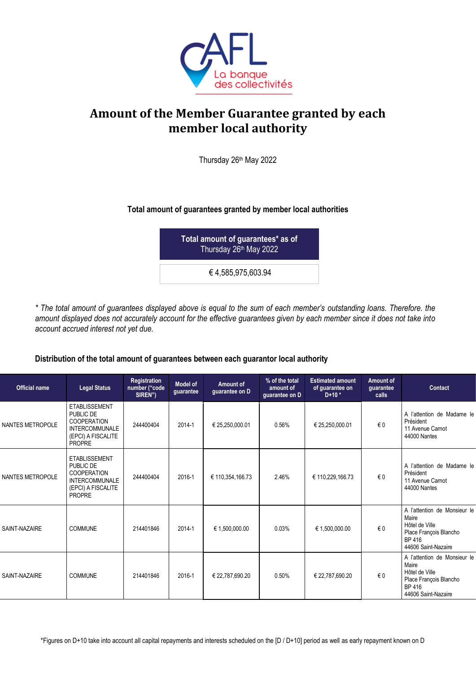

## **Amount of the Member Guarantee granted by each member local authority**

Thursday 26th May 2022

## **Total amount of guarantees granted by member local authorities**

**Total amount of guarantees\* as of** Thursday 26 th May 2022

€ 4,585,975,603.94

*\* The total amount of guarantees displayed above is equal to the sum of each member's outstanding loans. Therefore. the amount displayed does not accurately account for the effective guarantees given by each member since it does not take into account accrued interest not yet due.*

## **Distribution of the total amount of guarantees between each guarantor local authority**

| <b>Official name</b>    | <b>Legal Status</b>                                                                                                     | <b>Registration</b><br>number ("code<br>SIREN") | <b>Model of</b><br>guarantee | Amount of<br>guarantee on D | % of the total<br>amount of<br>guarantee on D | <b>Estimated amount</b><br>of guarantee on<br>$D+10*$ | Amount of<br>quarantee<br>calls | <b>Contact</b>                                                                                                     |
|-------------------------|-------------------------------------------------------------------------------------------------------------------------|-------------------------------------------------|------------------------------|-----------------------------|-----------------------------------------------|-------------------------------------------------------|---------------------------------|--------------------------------------------------------------------------------------------------------------------|
| <b>NANTES METROPOLE</b> | <b>ETABLISSEMENT</b><br>PUBLIC DE<br><b>COOPERATION</b><br><b>INTERCOMMUNALE</b><br>(EPCI) A FISCALITE<br><b>PROPRE</b> | 244400404                                       | 2014-1                       | € 25,250,000.01             | 0.56%                                         | € 25,250,000.01                                       | €0                              | A l'attention de Madame le<br>Président<br>11 Avenue Carnot<br>44000 Nantes                                        |
| <b>NANTES METROPOLE</b> | <b>ETABLISSEMENT</b><br>PUBLIC DE<br><b>COOPERATION</b><br><b>INTERCOMMUNALE</b><br>(EPCI) A FISCALITE<br><b>PROPRE</b> | 244400404                                       | 2016-1                       | € 110,354,166.73            | 2.46%                                         | € 110,229,166.73                                      | €0                              | A l'attention de Madame le<br>Président<br>11 Avenue Carnot<br>44000 Nantes                                        |
| SAINT-NAZAIRE           | <b>COMMUNE</b>                                                                                                          | 214401846                                       | 2014-1                       | € 1,500,000.00              | 0.03%                                         | € 1,500,000.00                                        | $\epsilon$ 0                    | A l'attention de Monsieur le<br>Maire<br>Hôtel de Ville<br>Place François Blancho<br>BP 416<br>44606 Saint-Nazaire |
| SAINT-NAZAIRE           | <b>COMMUNE</b>                                                                                                          | 214401846                                       | 2016-1                       | € 22,787,690.20             | 0.50%                                         | € 22,787,690.20                                       | $\epsilon$ 0                    | A l'attention de Monsieur le<br>Maire<br>Hôtel de Ville<br>Place François Blancho<br>BP 416<br>44606 Saint-Nazaire |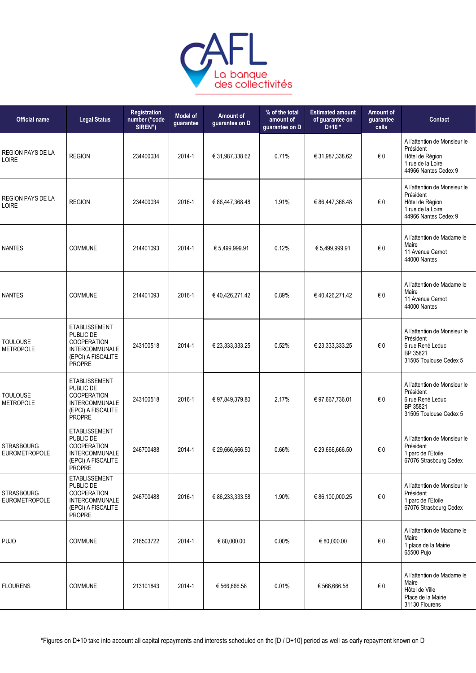

| <b>Official name</b>                      | <b>Legal Status</b>                                                                                                     | Registration<br>number ("code<br>SIREN") | <b>Model of</b><br>guarantee | Amount of<br>guarantee on D | % of the total<br>amount of<br>guarantee on D | <b>Estimated amount</b><br>of guarantee on<br>$D+10*$ | Amount of<br>guarantee<br>calls | Contact                                                                                                   |
|-------------------------------------------|-------------------------------------------------------------------------------------------------------------------------|------------------------------------------|------------------------------|-----------------------------|-----------------------------------------------|-------------------------------------------------------|---------------------------------|-----------------------------------------------------------------------------------------------------------|
| <b>REGION PAYS DE LA</b><br><b>LOIRE</b>  | <b>REGION</b>                                                                                                           | 234400034                                | 2014-1                       | € 31,987,338.62             | 0.71%                                         | € 31,987,338.62                                       | €0                              | A l'attention de Monsieur le<br>Président<br>Hôtel de Région<br>1 rue de la Loire<br>44966 Nantes Cedex 9 |
| <b>REGION PAYS DE LA</b><br>LOIRE         | <b>REGION</b>                                                                                                           | 234400034                                | 2016-1                       | € 86,447,368.48             | 1.91%                                         | € 86,447,368.48                                       | €0                              | A l'attention de Monsieur le<br>Président<br>Hôtel de Région<br>1 rue de la Loire<br>44966 Nantes Cedex 9 |
| <b>NANTES</b>                             | <b>COMMUNE</b>                                                                                                          | 214401093                                | 2014-1                       | € 5,499,999.91              | 0.12%                                         | € 5,499,999.91                                        | €0                              | A l'attention de Madame le<br>Maire<br>11 Avenue Camot<br>44000 Nantes                                    |
| <b>NANTES</b>                             | <b>COMMUNE</b>                                                                                                          | 214401093                                | 2016-1                       | € 40,426,271.42             | 0.89%                                         | € 40,426,271.42                                       | $\in 0$                         | A l'attention de Madame le<br>Maire<br>11 Avenue Carnot<br>44000 Nantes                                   |
| <b>TOULOUSE</b><br><b>METROPOLE</b>       | <b>ETABLISSEMENT</b><br>PUBLIC DE<br><b>COOPERATION</b><br><b>INTERCOMMUNALE</b><br>(EPCI) A FISCALITE<br><b>PROPRE</b> | 243100518                                | 2014-1                       | € 23,333,333.25             | 0.52%                                         | € 23,333,333.25                                       | €0                              | A l'attention de Monsieur le<br>Président<br>6 rue René Leduc<br>BP 35821<br>31505 Toulouse Cedex 5       |
| <b>TOULOUSE</b><br><b>METROPOLE</b>       | <b>ETABLISSEMENT</b><br>PUBLIC DE<br><b>COOPERATION</b><br><b>INTERCOMMUNALE</b><br>(EPCI) A FISCALITE<br>PROPRE        | 243100518                                | 2016-1                       | € 97,849,379.80             | 2.17%                                         | € 97,667,736.01                                       | €0                              | A l'attention de Monsieur le<br>Président<br>6 rue René Leduc<br>BP 35821<br>31505 Toulouse Cedex 5       |
| <b>STRASBOURG</b><br><b>EUROMETROPOLE</b> | <b>ETABLISSEMENT</b><br>PUBLIC DE<br><b>COOPERATION</b><br><b>INTERCOMMUNALE</b><br>(EPCI) A FISCALITE<br><b>PROPRE</b> | 246700488                                | 2014-1                       | € 29,666,666.50             | 0.66%                                         | € 29,666,666.50                                       | € 0                             | A l'attention de Monsieur le<br>Président<br>1 parc de l'Etoile<br>67076 Strasbourg Cedex                 |
| <b>STRASBOURG</b><br><b>EUROMETROPOLE</b> | <b>ETABLISSEMENT</b><br>PUBLIC DE<br><b>COOPERATION</b><br><b>INTERCOMMUNALE</b><br>(EPCI) A FISCALITE<br>PROPRE        | 246700488                                | 2016-1                       | € 86,233,333.58             | 1.90%                                         | € 86,100,000.25                                       | $\in 0$                         | A l'attention de Monsieur le<br>Président<br>1 parc de l'Etoile<br>67076 Strasbourg Cedex                 |
| <b>PUJO</b>                               | <b>COMMUNE</b>                                                                                                          | 216503722                                | 2014-1                       | € 80,000.00                 | 0.00%                                         | € 80,000.00                                           | € 0                             | A l'attention de Madame le<br>Maire<br>1 place de la Mairie<br>65500 Pujo                                 |
| <b>FLOURENS</b>                           | <b>COMMUNE</b>                                                                                                          | 213101843                                | 2014-1                       | € 566,666.58                | 0.01%                                         | € 566,666.58                                          | $\in 0$                         | A l'attention de Madame le<br>Maire<br>Hôtel de Ville<br>Place de la Mairie<br>31130 Flourens             |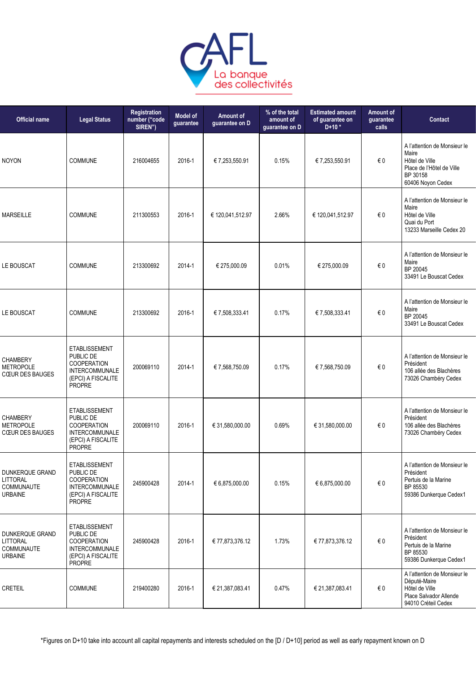

| <b>Official name</b>                                               | <b>Legal Status</b>                                                                                              | Registration<br>number ("code<br>SIREN") | <b>Model of</b><br>guarantee | Amount of<br>guarantee on D | % of the total<br>amount of<br>guarantee on D | <b>Estimated amount</b><br>of guarantee on<br>$D+10*$ | Amount of<br>guarantee<br>calls | Contact                                                                                                               |
|--------------------------------------------------------------------|------------------------------------------------------------------------------------------------------------------|------------------------------------------|------------------------------|-----------------------------|-----------------------------------------------|-------------------------------------------------------|---------------------------------|-----------------------------------------------------------------------------------------------------------------------|
| <b>NOYON</b>                                                       | <b>COMMUNE</b>                                                                                                   | 216004655                                | 2016-1                       | € 7,253,550.91              | 0.15%                                         | € 7,253,550.91                                        | € 0                             | A l'attention de Monsieur le<br>Maire<br>Hôtel de Ville<br>Place de l'Hôtel de Ville<br>BP 30158<br>60406 Noyon Cedex |
| <b>MARSEILLE</b>                                                   | <b>COMMUNE</b>                                                                                                   | 211300553                                | 2016-1                       | € 120,041,512.97            | 2.66%                                         | € 120,041,512.97                                      | € 0                             | A l'attention de Monsieur le<br>Maire<br>Hôtel de Ville<br>Quai du Port<br>13233 Marseille Cedex 20                   |
| LE BOUSCAT                                                         | <b>COMMUNE</b>                                                                                                   | 213300692                                | 2014-1                       | € 275,000.09                | 0.01%                                         | € 275,000.09                                          | € 0                             | A l'attention de Monsieur le<br>Maire<br>BP 20045<br>33491 Le Bouscat Cedex                                           |
| LE BOUSCAT                                                         | <b>COMMUNE</b>                                                                                                   | 213300692                                | 2016-1                       | € 7,508,333.41              | 0.17%                                         | € 7,508,333.41                                        | $\epsilon$ 0                    | A l'attention de Monsieur le<br>Maire<br>BP 20045<br>33491 Le Bouscat Cedex                                           |
| <b>CHAMBERY</b><br><b>METROPOLE</b><br><b>CŒUR DES BAUGES</b>      | <b>ETABLISSEMENT</b><br>PUBLIC DE<br>COOPERATION<br>INTERCOMMUNALE<br>(EPCI) A FISCALITE<br>PROPRE               | 200069110                                | 2014-1                       | € 7,568,750.09              | 0.17%                                         | € 7,568,750.09                                        | € 0                             | A l'attention de Monsieur le<br>Président<br>106 allée des Blachères<br>73026 Chambéry Cedex                          |
| <b>CHAMBERY</b><br><b>METROPOLE</b><br><b>CŒUR DES BAUGES</b>      | <b>ETABLISSEMENT</b><br>PUBLIC DE<br>COOPERATION<br>INTERCOMMUNALE<br>(EPCI) A FISCALITE<br><b>PROPRE</b>        | 200069110                                | 2016-1                       | € 31,580,000.00             | 0.69%                                         | € 31,580,000.00                                       | €0                              | A l'attention de Monsieur le<br>Président<br>106 allée des Blachères<br>73026 Chambéry Cedex                          |
| DUNKERQUE GRAND<br><b>LITTORAL</b><br>COMMUNAUTE<br><b>URBAINE</b> | <b>ETABLISSEMENT</b><br>PUBLIC DE<br>COOPERATION<br><b>INTERCOMMUNALE</b><br>(EPCI) A FISCALITE<br><b>PROPRE</b> | 245900428                                | 2014-1                       | € 6,875,000.00              | 0.15%                                         | € 6,875,000.00                                        | $\epsilon$ 0                    | A l'attention de Monsieur le<br>Président<br>Pertuis de la Marine<br>BP 85530<br>59386 Dunkerque Cedex1               |
| DUNKERQUE GRAND<br>LITTORAL<br>COMMUNAUTE<br><b>URBAINE</b>        | <b>ETABLISSEMENT</b><br>PUBLIC DE<br><b>COOPERATION</b><br><b>INTERCOMMUNALE</b><br>(EPCI) A FISCALITE<br>PROPRE | 245900428                                | 2016-1                       | € 77,873,376.12             | 1.73%                                         | € 77,873,376.12                                       | € 0                             | A l'attention de Monsieur le<br>Président<br>Pertuis de la Marine<br>BP 85530<br>59386 Dunkerque Cedex1               |
| <b>CRETEIL</b>                                                     | COMMUNE                                                                                                          | 219400280                                | 2016-1                       | € 21,387,083.41             | 0.47%                                         | € 21,387,083.41                                       | € 0                             | A l'attention de Monsieur le<br>Député-Maire<br>Hôtel de Ville<br>Place Salvador Allende<br>94010 Créteil Cedex       |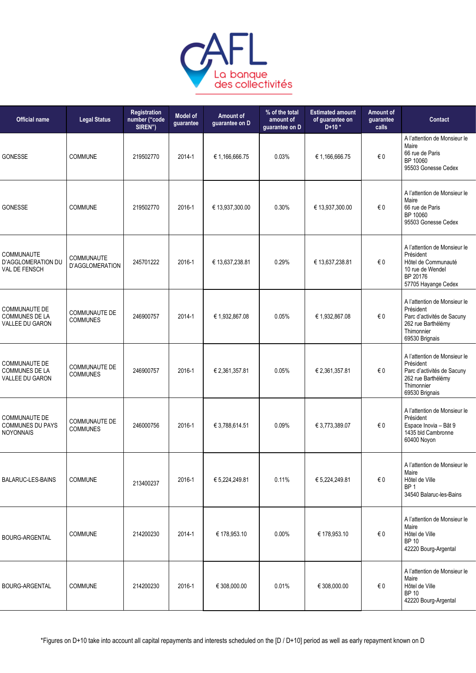

| <b>Official name</b>                                                | <b>Legal Status</b>                     | Registration<br>number ("code<br>SIREN") | <b>Model of</b><br>guarantee | Amount of<br>guarantee on D | % of the total<br>amount of<br>guarantee on D | <b>Estimated amount</b><br>of guarantee on<br>$D+10*$ | <b>Amount of</b><br>guarantee<br>calls | <b>Contact</b>                                                                                                                |
|---------------------------------------------------------------------|-----------------------------------------|------------------------------------------|------------------------------|-----------------------------|-----------------------------------------------|-------------------------------------------------------|----------------------------------------|-------------------------------------------------------------------------------------------------------------------------------|
| GONESSE                                                             | <b>COMMUNE</b>                          | 219502770                                | 2014-1                       | € 1,166,666.75              | 0.03%                                         | € 1,166,666.75                                        | €0                                     | A l'attention de Monsieur le<br>Maire<br>66 rue de Paris<br>BP 10060<br>95503 Gonesse Cedex                                   |
| <b>GONESSE</b>                                                      | <b>COMMUNE</b>                          | 219502770                                | 2016-1                       | € 13,937,300.00             | 0.30%                                         | € 13,937,300.00                                       | €0                                     | A l'attention de Monsieur le<br>Maire<br>66 rue de Paris<br>BP 10060<br>95503 Gonesse Cedex                                   |
| COMMUNAUTE<br>D'AGGLOMERATION DU<br><b>VAL DE FENSCH</b>            | COMMUNAUTE<br>D'AGGLOMERATION           | 245701222                                | 2016-1                       | € 13,637,238.81             | 0.29%                                         | € 13,637,238.81                                       | €0                                     | A l'attention de Monsieur le<br>Président<br>Hôtel de Communauté<br>10 rue de Wendel<br>BP 20176<br>57705 Hayange Cedex       |
| COMMUNAUTE DE<br><b>COMMUNES DE LA</b><br>VALLEE DU GARON           | <b>COMMUNAUTE DE</b><br><b>COMMUNES</b> | 246900757                                | 2014-1                       | € 1,932,867.08              | 0.05%                                         | € 1,932,867.08                                        | €0                                     | A l'attention de Monsieur le<br>Président<br>Parc d'activités de Sacuny<br>262 rue Barthélémy<br>Thimonnier<br>69530 Brignais |
| COMMUNAUTE DE<br><b>COMMUNES DE LA</b><br>VALLEE DU GARON           | <b>COMMUNAUTE DE</b><br><b>COMMUNES</b> | 246900757                                | 2016-1                       | € 2,361,357.81              | 0.05%                                         | € 2,361,357.81                                        | €0                                     | A l'attention de Monsieur le<br>Président<br>Parc d'activités de Sacuny<br>262 rue Barthélémy<br>Thimonnier<br>69530 Brignais |
| <b>COMMUNAUTE DE</b><br><b>COMMUNES DU PAYS</b><br><b>NOYONNAIS</b> | <b>COMMUNAUTE DE</b><br><b>COMMUNES</b> | 246000756                                | 2016-1                       | € 3,788,614.51              | 0.09%                                         | € 3,773,389.07                                        | € 0                                    | A l'attention de Monsieur le<br>Président<br>Espace Inovia - Bât 9<br>1435 bld Cambronne<br>60400 Novon                       |
| <b>BALARUC-LES-BAINS</b>                                            | <b>COMMUNE</b>                          | 213400237                                | 2016-1                       | € 5,224,249.81              | 0.11%                                         | € 5,224,249.81                                        | $\in 0$                                | A l'attention de Monsieur le<br>Maire<br>Hôtel de Ville<br>BP <sub>1</sub><br>34540 Balaruc-les-Bains                         |
| <b>BOURG-ARGENTAL</b>                                               | COMMUNE                                 | 214200230                                | 2014-1                       | € 178,953.10                | 0.00%                                         | € 178,953.10                                          | €0                                     | A l'attention de Monsieur le<br>Maire<br>Hôtel de Ville<br><b>BP 10</b><br>42220 Bourg-Argental                               |
| BOURG-ARGENTAL                                                      | COMMUNE                                 | 214200230                                | 2016-1                       | € 308,000.00                | 0.01%                                         | € 308,000.00                                          | $\in 0$                                | A l'attention de Monsieur le<br>Maire<br>Hôtel de Ville<br><b>BP 10</b><br>42220 Bourg-Argental                               |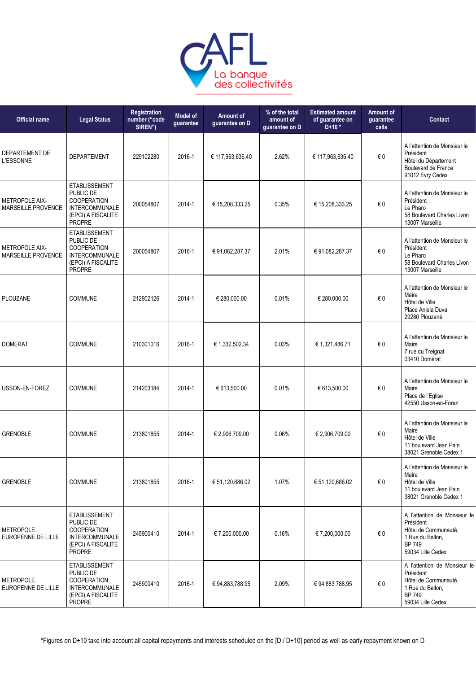

| <b>Official name</b>                        | <b>Legal Status</b>                                                                                                     | Registration<br>number ("code<br>SIREN") | Model of<br>guarantee | Amount of<br>guarantee on D | % of the total<br>amount of<br>guarantee on D | <b>Estimated amount</b><br>of guarantee on<br>$D+10*$ | Amount of<br>guarantee<br>calls | <b>Contact</b>                                                                                                              |
|---------------------------------------------|-------------------------------------------------------------------------------------------------------------------------|------------------------------------------|-----------------------|-----------------------------|-----------------------------------------------|-------------------------------------------------------|---------------------------------|-----------------------------------------------------------------------------------------------------------------------------|
| DEPARTEMENT DE<br>L'ESSONNE                 | <b>DEPARTEMENT</b>                                                                                                      | 229102280                                | 2016-1                | € 117,963,636.40            | 2.62%                                         | € 117,963,636.40                                      | € 0                             | A l'attention de Monsieur le<br>Président<br>Hôtel du Département<br>Boulevard de France<br>91012 Evry Cedex                |
| <b>METROPOLE AIX-</b><br>MARSEILLE PROVENCE | <b>ETABLISSEMENT</b><br>PUBLIC DE<br>COOPERATION<br><b>INTERCOMMUNALE</b><br>(EPCI) A FISCALITE<br>PROPRE               | 200054807                                | 2014-1                | € 15,208,333.25             | 0.35%                                         | € 15,208,333.25                                       | $\epsilon$ 0                    | A l'attention de Monsieur le<br>Président<br>Le Pharo<br>58 Boulevard Charles Livon<br>13007 Marseille                      |
| METROPOLE AIX-<br>MARSEILLE PROVENCE        | <b>ETABLISSEMENT</b><br>PUBLIC DE<br><b>COOPERATION</b><br>INTERCOMMUNALE<br>(EPCI) A FISCALITE<br>PROPRE               | 200054807                                | 2016-1                | € 91,082,287.37             | 2.01%                                         | € 91,082,287.37                                       | € 0                             | A l'attention de Monsieur le<br>Président<br>Le Pharo<br>58 Boulevard Charles Livon<br>13007 Marseille                      |
| <b>PLOUZANE</b>                             | <b>COMMUNE</b>                                                                                                          | 212902126                                | 2014-1                | € 280,000.00                | 0.01%                                         | € 280,000.00                                          | € 0                             | A l'attention de Monsieur le<br>Maire<br>Hôtel de Ville<br>Place Anjela Duval<br>29280 Plouzané                             |
| <b>DOMERAT</b>                              | <b>COMMUNE</b>                                                                                                          | 210301016                                | 2016-1                | € 1,332,502.34              | 0.03%                                         | € 1,321,486.71                                        | $\epsilon$ 0                    | A l'attention de Monsieur le<br>Maire<br>7 rue du Treignat<br>03410 Domérat                                                 |
| USSON-EN-FOREZ                              | <b>COMMUNE</b>                                                                                                          | 214203184                                | 2014-1                | € 613,500.00                | 0.01%                                         | € 613,500.00                                          | €0                              | A l'attention de Monsieur le<br>Maire<br>Place de l'Eglise<br>42550 Usson-en-Forez                                          |
| <b>GRENOBLE</b>                             | <b>COMMUNE</b>                                                                                                          | 213801855                                | 2014-1                | € 2,906,709.00              | 0.06%                                         | € 2,906,709.00                                        | $\epsilon$ 0                    | A l'attention de Monsieur le<br>Maire<br>Hôtel de Ville<br>11 boulevard Jean Pain<br>38021 Grenoble Cedex 1                 |
| <b>GRENOBLE</b>                             | COMMUNE                                                                                                                 | 213801855                                | 2016-1                | € 51,120,686.02             | 1.07%                                         | € 51,120,686.02                                       | € 0                             | A l'attention de Monsieur le<br>Maire<br>Hôtel de Ville<br>11 boulevard Jean Pain<br>38021 Grenoble Cedex 1                 |
| <b>METROPOLE</b><br>EUROPENNE DE LILLE      | <b>ETABLISSEMENT</b><br>PUBLIC DE<br><b>COOPERATION</b><br>INTERCOMMUNALE<br>(EPCI) A FISCALITE<br><b>PROPRE</b>        | 245900410                                | 2014-1                | € 7,200,000.00              | 0.16%                                         | € 7,200,000.00                                        | € 0                             | A l'attention de Monsieur le<br>Président<br>Hôtel de Communauté,<br>1 Rue du Ballon,<br><b>BP 749</b><br>59034 Lille Cedex |
| <b>METROPOLE</b><br>EUROPENNE DE LILLE      | <b>ETABLISSEMENT</b><br>PUBLIC DE<br><b>COOPERATION</b><br><b>INTERCOMMUNALE</b><br>(EPCI) A FISCALITE<br><b>PROPRE</b> | 245900410                                | 2016-1                | € 94,883,788.95             | 2.09%                                         | € 94 883 788,95                                       | $\epsilon$ 0                    | A l'attention de Monsieur le<br>Président<br>Hôtel de Communauté,<br>1 Rue du Ballon,<br><b>BP 749</b><br>59034 Lille Cedex |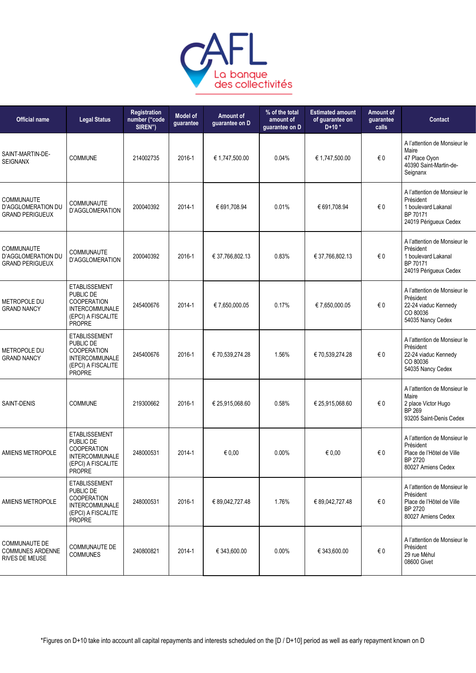

| <b>Official name</b>                                                     | <b>Legal Status</b>                                                                                                     | Registration<br>number ("code<br>SIREN") | <b>Model of</b><br>guarantee | Amount of<br>guarantee on D | % of the total<br>amount of<br>guarantee on D | <b>Estimated amount</b><br>of guarantee on<br>$D+10*$ | Amount of<br>quarantee<br>calls | <b>Contact</b>                                                                                           |
|--------------------------------------------------------------------------|-------------------------------------------------------------------------------------------------------------------------|------------------------------------------|------------------------------|-----------------------------|-----------------------------------------------|-------------------------------------------------------|---------------------------------|----------------------------------------------------------------------------------------------------------|
| SAINT-MARTIN-DE-<br><b>SEIGNANX</b>                                      | COMMUNE                                                                                                                 | 214002735                                | 2016-1                       | € 1,747,500.00              | 0.04%                                         | € 1,747,500.00                                        | $\in 0$                         | A l'attention de Monsieur le<br>Maire<br>47 Place Oyon<br>40390 Saint-Martin-de-<br>Seignanx             |
| COMMUNAUTE<br><b>D'AGGLOMERATION DU</b><br><b>GRAND PERIGUEUX</b>        | COMMUNAUTE<br>D'AGGLOMERATION                                                                                           | 200040392                                | 2014-1                       | € 691,708.94                | 0.01%                                         | € 691,708.94                                          | $\in 0$                         | A l'attention de Monsieur le<br>Président<br>1 boulevard Lakanal<br>BP 70171<br>24019 Périgueux Cedex    |
| <b>COMMUNAUTE</b><br>D'AGGLOMERATION DU<br><b>GRAND PERIGUEUX</b>        | COMMUNAUTE<br>D'AGGLOMERATION                                                                                           | 200040392                                | 2016-1                       | € 37,766,802.13             | 0.83%                                         | € 37,766,802.13                                       | €0                              | A l'attention de Monsieur le<br>Président<br>1 boulevard Lakanal<br>BP 70171<br>24019 Périgueux Cedex    |
| METROPOLE DU<br><b>GRAND NANCY</b>                                       | <b>ETABLISSEMENT</b><br>PUBLIC DE<br><b>COOPERATION</b><br><b>INTERCOMMUNALE</b><br>(EPCI) A FISCALITE<br><b>PROPRE</b> | 245400676                                | 2014-1                       | €7,650,000.05               | 0.17%                                         | €7,650,000.05                                         | €0                              | A l'attention de Monsieur le<br>Président<br>22-24 viaduc Kennedy<br>CO 80036<br>54035 Nancy Cedex       |
| METROPOLE DU<br><b>GRAND NANCY</b>                                       | <b>ETABLISSEMENT</b><br>PUBLIC DE<br><b>COOPERATION</b><br><b>INTERCOMMUNALE</b><br>(EPCI) A FISCALITE<br><b>PROPRE</b> | 245400676                                | 2016-1                       | € 70,539,274.28             | 1.56%                                         | € 70,539,274.28                                       | €0                              | A l'attention de Monsieur le<br>Président<br>22-24 viaduc Kennedy<br>CO 80036<br>54035 Nancy Cedex       |
| SAINT-DENIS                                                              | <b>COMMUNE</b>                                                                                                          | 219300662                                | 2016-1                       | € 25,915,068.60             | 0.58%                                         | € 25,915,068.60                                       | €0                              | A l'attention de Monsieur le<br>Maire<br>2 place Victor Hugo<br><b>BP 269</b><br>93205 Saint-Denis Cedex |
| <b>AMIENS METROPOLE</b>                                                  | <b>ETABLISSEMENT</b><br>PUBLIC DE<br><b>COOPERATION</b><br>INTERCOMMUNALE<br>(EPCI) A FISCALITE<br><b>PROPRE</b>        | 248000531                                | 2014-1                       | € $0,00$                    | 0.00%                                         | € 0,00                                                | €0                              | A l'attention de Monsieur le<br>Président<br>Place de l'Hôtel de Ville<br>BP 2720<br>80027 Amiens Cedex  |
| <b>AMIENS METROPOLE</b>                                                  | <b>ETABLISSEMENT</b><br>PUBLIC DE<br>COOPERATION<br><b>INTERCOMMUNALE</b><br>(EPCI) A FISCALITE<br><b>PROPRE</b>        | 248000531                                | 2016-1                       | € 89,042,727.48             | 1.76%                                         | € 89,042,727.48                                       | €0                              | A l'attention de Monsieur le<br>Président<br>Place de l'Hôtel de Ville<br>BP 2720<br>80027 Amiens Cedex  |
| <b>COMMUNAUTE DE</b><br><b>COMMUNES ARDENNE</b><br><b>RIVES DE MEUSE</b> | COMMUNAUTE DE<br><b>COMMUNES</b>                                                                                        | 240800821                                | 2014-1                       | € 343,600.00                | $0.00\%$                                      | € 343,600.00                                          | €0                              | A l'attention de Monsieur le<br>Président<br>29 rue Méhul<br>08600 Givet                                 |
|                                                                          |                                                                                                                         |                                          |                              |                             |                                               |                                                       |                                 |                                                                                                          |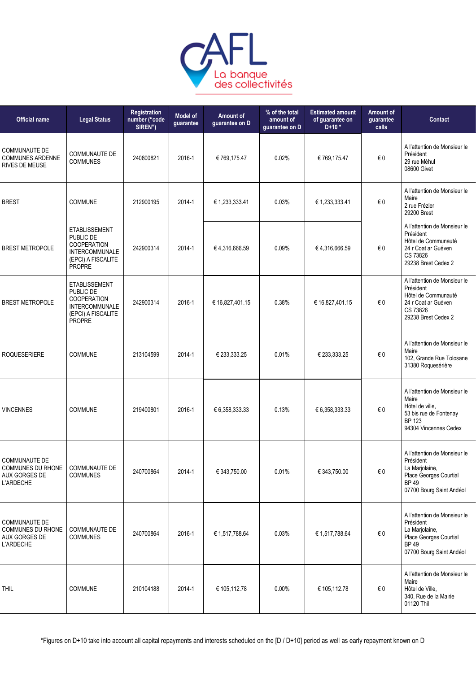

| <b>Official name</b>                                                     | <b>Legal Status</b>                                                                                                     | Registration<br>number ("code<br>SIREN") | <b>Model of</b><br>guarantee | Amount of<br>guarantee on D | % of the total<br>amount of<br>guarantee on D | <b>Estimated amount</b><br>of guarantee on<br>$D+10*$ | Amount of<br>guarantee<br>calls | Contact                                                                                                                          |
|--------------------------------------------------------------------------|-------------------------------------------------------------------------------------------------------------------------|------------------------------------------|------------------------------|-----------------------------|-----------------------------------------------|-------------------------------------------------------|---------------------------------|----------------------------------------------------------------------------------------------------------------------------------|
| <b>COMMUNAUTE DE</b><br><b>COMMUNES ARDENNE</b><br><b>RIVES DE MEUSE</b> | <b>COMMUNAUTE DE</b><br><b>COMMUNES</b>                                                                                 | 240800821                                | 2016-1                       | € 769,175.47                | 0.02%                                         | € 769,175.47                                          | €0                              | A l'attention de Monsieur le<br>Président<br>29 rue Méhul<br>08600 Givet                                                         |
| <b>BREST</b>                                                             | COMMUNE                                                                                                                 | 212900195                                | 2014-1                       | € 1,233,333.41              | 0.03%                                         | € 1,233,333.41                                        | $\in 0$                         | A l'attention de Monsieur le<br>Maire<br>2 rue Frézier<br>29200 Brest                                                            |
| <b>BREST METROPOLE</b>                                                   | <b>ETABLISSEMENT</b><br>PUBLIC DE<br><b>COOPERATION</b><br><b>INTERCOMMUNALE</b><br>(EPCI) A FISCALITE<br><b>PROPRE</b> | 242900314                                | 2014-1                       | €4,316,666.59               | 0.09%                                         | €4,316,666.59                                         | €0                              | A l'attention de Monsieur le<br>Président<br>Hôtel de Communauté<br>24 r Coat ar Guéven<br>CS 73826<br>29238 Brest Cedex 2       |
| <b>BREST METROPOLE</b>                                                   | <b>ETABLISSEMENT</b><br>PUBLIC DE<br><b>COOPERATION</b><br><b>INTERCOMMUNALE</b><br>(EPCI) A FISCALITE<br>PROPRE        | 242900314                                | 2016-1                       | € 16,827,401.15             | 0.38%                                         | € 16,827,401.15                                       | €0                              | A l'attention de Monsieur le<br>Président<br>Hôtel de Communauté<br>24 r Coat ar Guéven<br>CS 73826<br>29238 Brest Cedex 2       |
| <b>ROQUESERIERE</b>                                                      | <b>COMMUNE</b>                                                                                                          | 213104599                                | 2014-1                       | € 233,333.25                | 0.01%                                         | € 233,333.25                                          | €0                              | A l'attention de Monsieur le<br>Maire<br>102, Grande Rue Tolosane<br>31380 Roquesérière                                          |
| <b>VINCENNES</b>                                                         | <b>COMMUNE</b>                                                                                                          | 219400801                                | 2016-1                       | € 6,358,333.33              | 0.13%                                         | € 6,358,333.33                                        | $\in 0$                         | A l'attention de Monsieur le<br>Maire<br>Hötel de ville,<br>53 bis rue de Fontenay<br><b>BP 123</b><br>94304 Vincennes Cedex     |
| COMMUNAUTE DE<br>COMMUNES DU RHONE<br><b>AUX GORGES DE</b><br>L'ARDECHE  | COMMUNAUTE DE<br><b>COMMUNES</b>                                                                                        | 240700864                                | 2014-1                       | € 343,750.00                | 0.01%                                         | € 343,750.00                                          | $\in 0$                         | A l'attention de Monsieur le<br>Président<br>La Marjolaine,<br>Place Georges Courtial<br><b>BP49</b><br>07700 Bourg Saint Andéol |
| COMMUNAUTE DE<br>COMMUNES DU RHONE<br>AUX GORGES DE<br>L'ARDECHE         | <b>COMMUNAUTE DE</b><br><b>COMMUNES</b>                                                                                 | 240700864                                | 2016-1                       | € 1,517,788.64              | 0.03%                                         | € 1,517,788.64                                        | $\epsilon$ 0                    | A l'attention de Monsieur le<br>Président<br>La Marjolaine,<br>Place Georges Courtial<br><b>BP49</b><br>07700 Bourg Saint Andéol |
| <b>THIL</b>                                                              | COMMUNE                                                                                                                 | 210104188                                | 2014-1                       | € 105,112.78                | $0.00\%$                                      | € 105,112.78                                          | $\epsilon$ 0                    | A l'attention de Monsieur le<br>Maire<br>Hôtel de Ville,<br>340, Rue de la Mairie<br>01120 Thil                                  |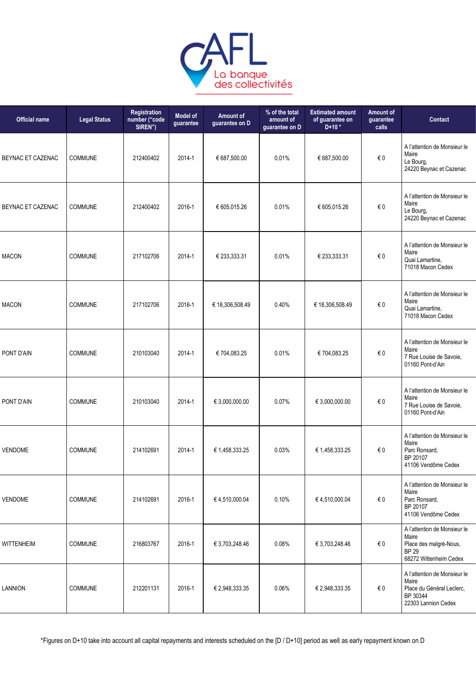

| <b>Official name</b> | <b>Legal Status</b> | Registration<br>number ("code<br>SIREN") | <b>Model of</b><br>guarantee | Amount of<br>guarantee on D | % of the total<br>amount of<br>guarantee on D | <b>Estimated amount</b><br>of guarantee on<br>$D+10*$ | <b>Amount of</b><br>guarantee<br>calls | Contact                                                                                                   |
|----------------------|---------------------|------------------------------------------|------------------------------|-----------------------------|-----------------------------------------------|-------------------------------------------------------|----------------------------------------|-----------------------------------------------------------------------------------------------------------|
| BEYNAC ET CAZENAC    | <b>COMMUNE</b>      | 212400402                                | 2014-1                       | € 687,500.00                | 0,01%                                         | € 687,500.00                                          | $\epsilon$ 0                           | A l'attention de Monsieur le<br>Maire<br>Le Bourg,<br>24220 Beynac et Cazenac                             |
| BEYNAC ET CAZENAC    | <b>COMMUNE</b>      | 212400402                                | 2016-1                       | € 605,015.26                | 0.01%                                         | € 605,015.26                                          | $\in 0$                                | A l'attention de Monsieur le<br>Maire<br>Le Bourg,<br>24220 Beynac et Cazenac                             |
| <b>MACON</b>         | <b>COMMUNE</b>      | 217102706                                | 2014-1                       | € 233,333.31                | 0.01%                                         | € 233,333.31                                          | $\in 0$                                | A l'attention de Monsieur le<br>Maire<br>Quai Lamartine,<br>71018 Macon Cedex                             |
| <b>MACON</b>         | <b>COMMUNE</b>      | 217102706                                | 2016-1                       | € 18,306,508.49             | 0.40%                                         | € 18,306,508.49                                       | $\in 0$                                | A l'attention de Monsieur le<br>Maire<br>Quai Lamartine,<br>71018 Macon Cedex                             |
| PONT D'AIN           | <b>COMMUNE</b>      | 210103040                                | 2014-1                       | €704,083.25                 | 0.01%                                         | € 704,083.25                                          | $\in 0$                                | A l'attention de Monsieur le<br>Maire<br>7 Rue Louise de Savoie,<br>01160 Pont-d'Ain                      |
| PONT D'AIN           | <b>COMMUNE</b>      | 210103040                                | 2014-1                       | € 3,000,000.00              | 0.07%                                         | € 3,000,000.00                                        | € 0                                    | A l'attention de Monsieur le<br>Maire<br>7 Rue Louise de Savoie,<br>01160 Pont-d'Ain                      |
| <b>VENDOME</b>       | <b>COMMUNE</b>      | 214102691                                | 2014-1                       | € 1,458,333.25              | 0.03%                                         | € 1,458,333.25                                        | €0                                     | A l'attention de Monsieur le<br>Maire<br>Parc Ronsard,<br>BP 20107<br>41106 Vendôme Cedex                 |
| <b>VENDOME</b>       | COMMUNE             | 214102691                                | 2016-1                       | €4,510,000.04               | 0.10%                                         | €4,510,000.04                                         | €0                                     | A l'attention de Monsieur le<br>Maire<br>Parc Ronsard,<br>BP 20107<br>41106 Vendôme Cedex                 |
| <b>WITTENHEIM</b>    | <b>COMMUNE</b>      | 216803767                                | 2016-1                       | € 3,703,248.46              | 0.08%                                         | € 3,703,248.46                                        | €0                                     | A l'attention de Monsieur le<br>Maire<br>Place des malgré-Nous,<br><b>BP 29</b><br>68272 Wittenheim Cedex |
| <b>LANNION</b>       | COMMUNE             | 212201131                                | 2016-1                       | € 2,948,333.35              | 0.06%                                         | € 2,948,333.35                                        | €0                                     | A l'attention de Monsieur le<br>Maire<br>Place du Général Leclerc,<br>BP 30344<br>22303 Lannion Cedex     |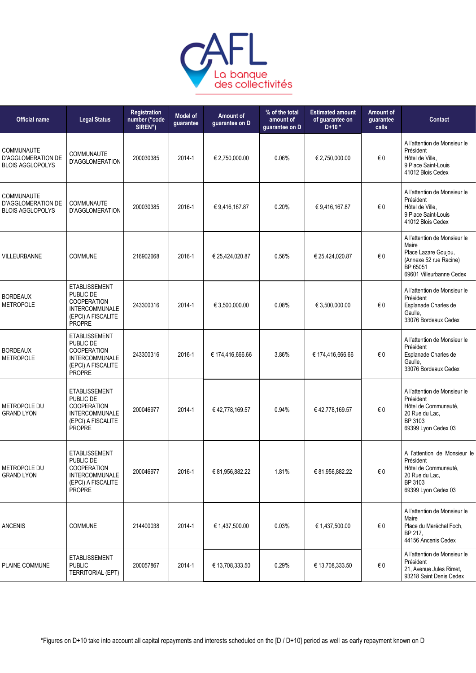

| <b>Official name</b>                                               | <b>Legal Status</b>                                                                                                     | Registration<br>number ("code<br>SIREN") | <b>Model of</b><br>guarantee | Amount of<br>guarantee on D | % of the total<br>amount of<br>guarantee on D | <b>Estimated amount</b><br>of guarantee on<br>$D+10*$ | Amount of<br>guarantee<br>calls | <b>Contact</b>                                                                                                                  |
|--------------------------------------------------------------------|-------------------------------------------------------------------------------------------------------------------------|------------------------------------------|------------------------------|-----------------------------|-----------------------------------------------|-------------------------------------------------------|---------------------------------|---------------------------------------------------------------------------------------------------------------------------------|
| <b>COMMUNAUTE</b><br>D'AGGLOMERATION DE<br><b>BLOIS AGGLOPOLYS</b> | <b>COMMUNAUTE</b><br>D'AGGLOMERATION                                                                                    | 200030385                                | 2014-1                       | € 2,750,000.00              | 0.06%                                         | € 2,750,000.00                                        | $\epsilon$ 0                    | A l'attention de Monsieur le<br>Président<br>Hôtel de Ville,<br>9 Place Saint-Louis<br>41012 Blois Cedex                        |
| <b>COMMUNAUTE</b><br>D'AGGLOMERATION DE<br><b>BLOIS AGGLOPOLYS</b> | COMMUNAUTE<br>D'AGGLOMERATION                                                                                           | 200030385                                | 2016-1                       | € 9,416,167.87              | 0.20%                                         | €9,416,167.87                                         | $\in 0$                         | A l'attention de Monsieur le<br>Président<br>Hôtel de Ville,<br>9 Place Saint-Louis<br>41012 Blois Cedex                        |
| <b>VILLEURBANNE</b>                                                | <b>COMMUNE</b>                                                                                                          | 216902668                                | 2016-1                       | € 25,424,020.87             | 0.56%                                         | € 25,424,020.87                                       | $\epsilon$ 0                    | A l'attention de Monsieur le<br>Maire<br>Place Lazare Goujou,<br>(Annexe 52 rue Racine)<br>BP 65051<br>69601 Villeurbanne Cedex |
| <b>BORDEAUX</b><br><b>METROPOLE</b>                                | <b>ETABLISSEMENT</b><br>PUBLIC DE<br><b>COOPERATION</b><br><b>INTERCOMMUNALE</b><br>(EPCI) A FISCALITE<br><b>PROPRE</b> | 243300316                                | 2014-1                       | € 3,500,000.00              | 0.08%                                         | € 3,500,000.00                                        | €0                              | A l'attention de Monsieur le<br>Président<br>Esplanade Charles de<br>Gaulle.<br>33076 Bordeaux Cedex                            |
| <b>BORDEAUX</b><br><b>METROPOLE</b>                                | <b>ETABLISSEMENT</b><br>PUBLIC DE<br><b>COOPERATION</b><br><b>INTERCOMMUNALE</b><br>(EPCI) A FISCALITE<br><b>PROPRE</b> | 243300316                                | 2016-1                       | € 174,416,666.66            | 3.86%                                         | € 174,416,666.66                                      | € 0                             | A l'attention de Monsieur le<br>Président<br>Esplanade Charles de<br>Gaulle.<br>33076 Bordeaux Cedex                            |
| METROPOLE DU<br><b>GRAND LYON</b>                                  | <b>ETABLISSEMENT</b><br>PUBLIC DE<br><b>COOPERATION</b><br><b>INTERCOMMUNALE</b><br>(EPCI) A FISCALITE<br><b>PROPRE</b> | 200046977                                | 2014-1                       | €42,778,169.57              | 0.94%                                         | €42,778,169.57                                        | $\epsilon$ 0                    | A l'attention de Monsieur le<br>Président<br>Hôtel de Communauté,<br>20 Rue du Lac.<br>BP 3103<br>69399 Lyon Cedex 03           |
| METROPOLE DU<br><b>GRAND LYON</b>                                  | <b>ETABLISSEMENT</b><br>PUBLIC DE<br><b>COOPERATION</b><br><b>INTERCOMMUNALE</b><br>(EPCI) A FISCALITE<br><b>PROPRE</b> | 200046977                                | 2016-1                       | € 81,956,882.22             | 1.81%                                         | € 81,956,882.22                                       | $\epsilon$ 0                    | A l'attention de Monsieur le<br>Président<br>Hôtel de Communauté,<br>20 Rue du Lac,<br>BP 3103<br>69399 Lyon Cedex 03           |
| <b>ANCENIS</b>                                                     | <b>COMMUNE</b>                                                                                                          | 214400038                                | 2014-1                       | € 1,437,500.00              | 0.03%                                         | € 1,437,500.00                                        | $\epsilon$ 0                    | A l'attention de Monsieur le<br>Maire<br>Place du Maréchal Foch,<br>BP 217,<br>44156 Ancenis Cedex                              |
| PLAINE COMMUNE                                                     | <b>ETABLISSEMENT</b><br><b>PUBLIC</b><br><b>TERRITORIAL (EPT)</b>                                                       | 200057867                                | 2014-1                       | € 13,708,333.50             | 0.29%                                         | € 13,708,333.50                                       | € 0                             | A l'attention de Monsieur le<br>Président<br>21, Avenue Jules Rimet,<br>93218 Saint Denis Cedex                                 |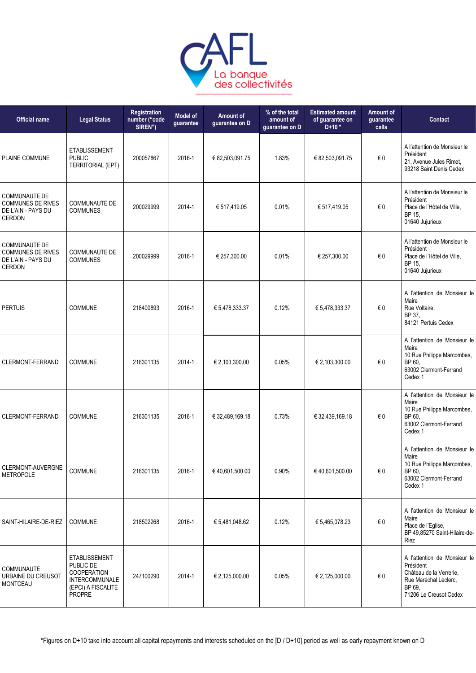

| <b>Official name</b>                                                             | <b>Legal Status</b>                                                                                              | Registration<br>number ("code<br>SIREN") | <b>Model of</b><br>guarantee | Amount of<br>guarantee on D | % of the total<br>amount of<br>guarantee on D | <b>Estimated amount</b><br>of guarantee on<br>$D+10*$ | Amount of<br>guarantee<br>calls | Contact                                                                                                                           |
|----------------------------------------------------------------------------------|------------------------------------------------------------------------------------------------------------------|------------------------------------------|------------------------------|-----------------------------|-----------------------------------------------|-------------------------------------------------------|---------------------------------|-----------------------------------------------------------------------------------------------------------------------------------|
| PLAINE COMMUNE                                                                   | <b>ETABLISSEMENT</b><br><b>PUBLIC</b><br><b>TERRITORIAL (EPT)</b>                                                | 200057867                                | 2016-1                       | € 82,503,091.75             | 1.83%                                         | € 82,503,091.75                                       | € 0                             | A l'attention de Monsieur le<br>Président<br>21, Avenue Jules Rimet,<br>93218 Saint Denis Cedex                                   |
| <b>COMMUNAUTE DE</b><br><b>COMMUNES DE RIVES</b><br>DE L'AIN - PAYS DU<br>CERDON | <b>COMMUNAUTE DE</b><br><b>COMMUNES</b>                                                                          | 200029999                                | 2014-1                       | € 517,419.05                | 0.01%                                         | € 517,419.05                                          | € 0                             | A l'attention de Monsieur le<br>Président<br>Place de l'Hôtel de Ville,<br>BP 15,<br>01640 Jujurieux                              |
| COMMUNAUTE DE<br><b>COMMUNES DE RIVES</b><br>DE L'AIN - PAYS DU<br>CERDON        | <b>COMMUNAUTE DE</b><br><b>COMMUNES</b>                                                                          | 200029999                                | 2016-1                       | € 257,300.00                | 0.01%                                         | € 257,300.00                                          | € 0                             | A l'attention de Monsieur le<br>Président<br>Place de l'Hôtel de Ville,<br>BP 15,<br>01640 Jujurieux                              |
| <b>PERTUIS</b>                                                                   | <b>COMMUNE</b>                                                                                                   | 218400893                                | 2016-1                       | € 5,478,333.37              | 0.12%                                         | € 5,478,333.37                                        | € 0                             | A l'attention de Monsieur le<br>Maire<br>Rue Voltaire,<br>BP 37,<br>84121 Pertuis Cedex                                           |
| CLERMONT-FERRAND                                                                 | <b>COMMUNE</b>                                                                                                   | 216301135                                | 2014-1                       | € 2,103,300.00              | 0.05%                                         | € 2,103,300.00                                        | €0                              | A l'attention de Monsieur le<br>Maire<br>10 Rue Philippe Marcombes,<br>BP 60,<br>63002 Clermont-Ferrand<br>Cedex 1                |
| CLERMONT-FERRAND                                                                 | <b>COMMUNE</b>                                                                                                   | 216301135                                | 2016-1                       | € 32,489,169.18             | 0.73%                                         | € 32,439,169.18                                       | $\in 0$                         | A l'attention de Monsieur le<br>Maire<br>10 Rue Philippe Marcombes,<br>BP 60,<br>63002 Clermont-Ferrand<br>Cedex 1                |
| CLERMONT-AUVERGNE<br><b>METROPOLE</b>                                            | COMMUNE                                                                                                          | 216301135                                | 2016-1                       | €40,601,500.00              | 0.90%                                         | €40,601,500.00                                        | € 0                             | A l'attention de Monsieur le<br>Maire<br>10 Rue Philippe Marcombes,<br>BP 60,<br>63002 Clermont-Ferrand<br>Cedex 1                |
| SAINT-HILAIRE-DE-RIEZ                                                            | <b>COMMUNE</b>                                                                                                   | 218502268                                | 2016-1                       | € 5,481,048.62              | 0.12%                                         | € 5,465,078.23                                        | $\epsilon$ 0                    | A l'attention de Monsieur le<br>Maire<br>Place de l'Eglise,<br>BP 49,85270 Saint-Hilaire-de-<br>Riez                              |
| COMMUNAUTE<br>URBAINE DU CREUSOT<br><b>MONTCEAU</b>                              | <b>ETABLISSEMENT</b><br>PUBLIC DE<br><b>COOPERATION</b><br><b>INTERCOMMUNALE</b><br>(EPCI) A FISCALITE<br>PROPRE | 247100290                                | 2014-1                       | € 2,125,000.00              | 0.05%                                         | € 2,125,000.00                                        | $\epsilon$ 0                    | A l'attention de Monsieur le<br>Président<br>Château de la Verrerie,<br>Rue Maréchal Leclerc,<br>BP 69,<br>71206 Le Creusot Cedex |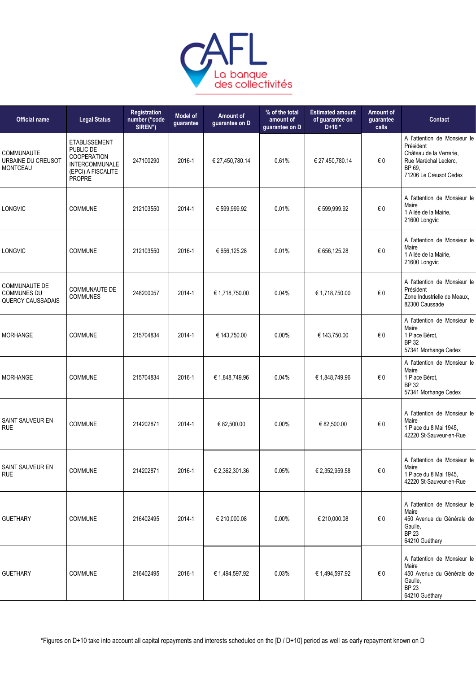

| <b>Official name</b>                                                   | <b>Legal Status</b>                                                                                              | Registration<br>number ("code<br>SIREN") | Model of<br>guarantee | Amount of<br>guarantee on D | % of the total<br>amount of<br>quarantee on D | <b>Estimated amount</b><br>of guarantee on<br>$D+10*$ | Amount of<br>guarantee<br>calls | Contact                                                                                                                          |
|------------------------------------------------------------------------|------------------------------------------------------------------------------------------------------------------|------------------------------------------|-----------------------|-----------------------------|-----------------------------------------------|-------------------------------------------------------|---------------------------------|----------------------------------------------------------------------------------------------------------------------------------|
| COMMUNAUTE<br>URBAINE DU CREUSOT<br><b>MONTCEAU</b>                    | <b>ETABLISSEMENT</b><br>PUBLIC DE<br><b>COOPERATION</b><br><b>INTERCOMMUNALE</b><br>(EPCI) A FISCALITE<br>PROPRE | 247100290                                | 2016-1                | € 27,450,780.14             | 0.61%                                         | € 27,450,780.14                                       | €0                              | A l'attention de Monsieur le<br>Président<br>Château de la Verrerie,<br>Rue Maréchal Leclerc,<br>BP 69<br>71206 Le Creusot Cedex |
| LONGVIC                                                                | COMMUNE                                                                                                          | 212103550                                | 2014-1                | € 599,999.92                | 0.01%                                         | € 599,999.92                                          | $\in 0$                         | A l'attention de Monsieur le<br>Maire<br>1 Allée de la Mairie,<br>21600 Longvic                                                  |
| LONGVIC                                                                | <b>COMMUNE</b>                                                                                                   | 212103550                                | 2016-1                | € 656,125.28                | 0.01%                                         | € 656,125.28                                          | € 0                             | A l'attention de Monsieur le<br>Maire<br>1 Allée de la Mairie,<br>21600 Longvic                                                  |
| <b>COMMUNAUTE DE</b><br><b>COMMUNES DU</b><br><b>QUERCY CAUSSADAIS</b> | <b>COMMUNAUTE DE</b><br><b>COMMUNES</b>                                                                          | 248200057                                | 2014-1                | € 1,718,750.00              | 0.04%                                         | € 1,718,750.00                                        | €0                              | A l'attention de Monsieur le<br>Président<br>Zone Industrielle de Meaux,<br>82300 Caussade                                       |
| <b>MORHANGE</b>                                                        | <b>COMMUNE</b>                                                                                                   | 215704834                                | 2014-1                | € 143,750.00                | 0.00%                                         | € 143,750.00                                          | € 0                             | A l'attention de Monsieur le<br>Maire<br>1 Place Bérot,<br><b>BP 32</b><br>57341 Morhange Cedex                                  |
| <b>MORHANGE</b>                                                        | <b>COMMUNE</b>                                                                                                   | 215704834                                | 2016-1                | € 1,848,749.96              | 0.04%                                         | € 1,848,749.96                                        | €0                              | A l'attention de Monsieur le<br>Maire<br>1 Place Bérot,<br><b>BP 32</b><br>57341 Morhange Cedex                                  |
| SAINT SAUVEUR EN<br><b>RUE</b>                                         | <b>COMMUNE</b>                                                                                                   | 214202871                                | 2014-1                | € 82.500.00                 | 0.00%                                         | € 82,500.00                                           | €0                              | A l'attention de Monsieur le<br>Maire<br>1 Place du 8 Mai 1945,<br>42220 St-Sauveur-en-Rue                                       |
| SAINT SAUVEUR EN<br><b>RUE</b>                                         | COMMUNE                                                                                                          | 214202871                                | 2016-1                | € 2,362,301.36              | 0.05%                                         | € 2,352,959.58                                        | $\epsilon$ 0                    | A l'attention de Monsieur le<br>Maire<br>1 Place du 8 Mai 1945,<br>42220 St-Sauveur-en-Rue                                       |
| <b>GUETHARY</b>                                                        | <b>COMMUNE</b>                                                                                                   | 216402495                                | 2014-1                | € 210,000.08                | 0.00%                                         | € 210,000.08                                          | $\epsilon$ 0                    | A l'attention de Monsieur le<br>Maire<br>450 Avenue du Générale de<br>Gaulle,<br><b>BP 23</b><br>64210 Guéthary                  |
| <b>GUETHARY</b>                                                        | COMMUNE                                                                                                          | 216402495                                | 2016-1                | € 1,494,597.92              | 0.03%                                         | € 1,494,597.92                                        | €0                              | A l'attention de Monsieur le<br>Maire<br>450 Avenue du Générale de<br>Gaulle,<br><b>BP 23</b><br>64210 Guéthary                  |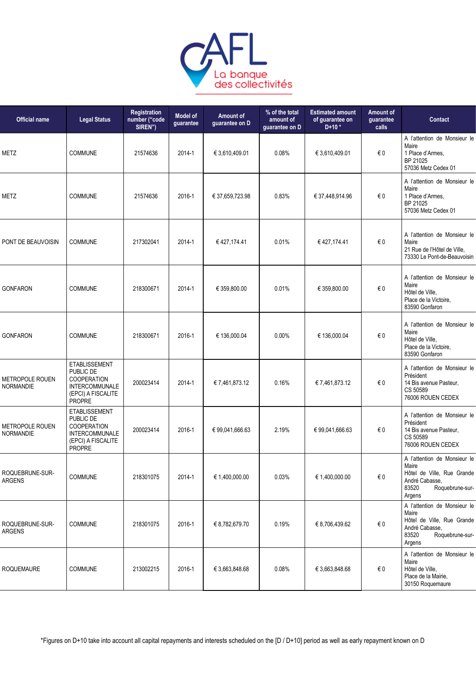

| <b>Official name</b>                       | <b>Legal Status</b>                                                                                              | Registration<br>number ("code<br>SIREN") | <b>Model of</b><br>guarantee | Amount of<br>guarantee on D | % of the total<br>amount of<br>guarantee on D | <b>Estimated amount</b><br>of guarantee on<br>$D+10*$ | <b>Amount of</b><br>guarantee<br>calls | <b>Contact</b>                                                                                                              |
|--------------------------------------------|------------------------------------------------------------------------------------------------------------------|------------------------------------------|------------------------------|-----------------------------|-----------------------------------------------|-------------------------------------------------------|----------------------------------------|-----------------------------------------------------------------------------------------------------------------------------|
| <b>METZ</b>                                | <b>COMMUNE</b>                                                                                                   | 21574636                                 | 2014-1                       | € 3,610,409.01              | 0.08%                                         | € 3,610,409.01                                        | € 0                                    | A l'attention de Monsieur le<br>Maire<br>1 Place d'Armes,<br>BP 21025<br>57036 Metz Cedex 01                                |
| METZ                                       | <b>COMMUNE</b>                                                                                                   | 21574636                                 | 2016-1                       | € 37,659,723.98             | 0.83%                                         | € 37,448,914.96                                       | $\in 0$                                | A l'attention de Monsieur le<br>Maire<br>1 Place d'Armes,<br>BP 21025<br>57036 Metz Cedex 01                                |
| PONT DE BEAUVOISIN                         | <b>COMMUNE</b>                                                                                                   | 217302041                                | 2014-1                       | €427,174.41                 | 0.01%                                         | €427,174.41                                           | € 0                                    | A l'attention de Monsieur le<br>Maire<br>21 Rue de l'Hôtel de Ville,<br>73330 Le Pont-de-Beauvoisin                         |
| <b>GONFARON</b>                            | <b>COMMUNE</b>                                                                                                   | 218300671                                | 2014-1                       | € 359,800.00                | 0.01%                                         | € 359,800.00                                          | € 0                                    | A l'attention de Monsieur le<br>Maire<br>Hôtel de Ville,<br>Place de la Victoire.<br>83590 Gonfaron                         |
| <b>GONFARON</b>                            | <b>COMMUNE</b>                                                                                                   | 218300671                                | 2016-1                       | € 136,000.04                | 0.00%                                         | € 136,000.04                                          | € 0                                    | A l'attention de Monsieur le<br>Maire<br>Hôtel de Ville.<br>Place de la Victoire,<br>83590 Gonfaron                         |
| <b>METROPOLE ROUEN</b><br><b>NORMANDIE</b> | <b>ETABLISSEMENT</b><br>PUBLIC DE<br>COOPERATION<br><b>INTERCOMMUNALE</b><br>(EPCI) A FISCALITE<br><b>PROPRE</b> | 200023414                                | 2014-1                       | €7,461,873.12               | 0.16%                                         | €7,461,873.12                                         | € 0                                    | A l'attention de Monsieur le<br>Président<br>14 Bis avenue Pasteur,<br>CS 50589<br>76006 ROUEN CEDEX                        |
| <b>METROPOLE ROUEN</b><br><b>NORMANDIE</b> | <b>ETABLISSEMENT</b><br>PUBLIC DE<br>COOPERATION<br><b>INTERCOMMUNALE</b><br>(EPCI) A FISCALITE<br><b>PROPRE</b> | 200023414                                | 2016-1                       | € 99,041,666.63             | 2.19%                                         | € 99,041,666.63                                       | € 0                                    | A l'attention de Monsieur le<br>Président<br>14 Bis avenue Pasteur,<br>CS 50589<br>76006 ROUEN CEDEX                        |
| ROQUEBRUNE-SUR-<br><b>ARGENS</b>           | COMMUNE                                                                                                          | 218301075                                | 2014-1                       | € 1,400,000.00              | 0.03%                                         | € 1,400,000.00                                        | $\in 0$                                | A l'attention de Monsieur le<br>Maire<br>Hôtel de Ville, Rue Grande<br>André Cabasse,<br>83520<br>Roquebrune-sur-<br>Argens |
| ROQUEBRUNE-SUR-<br><b>ARGENS</b>           | <b>COMMUNE</b>                                                                                                   | 218301075                                | 2016-1                       | € 8,782,679.70              | 0.19%                                         | € 8,706,439.62                                        | €0                                     | A l'attention de Monsieur le<br>Maire<br>Hôtel de Ville, Rue Grande<br>André Cabasse,<br>83520<br>Roquebrune-sur-<br>Argens |
| <b>ROQUEMAURE</b>                          | <b>COMMUNE</b>                                                                                                   | 213002215                                | 2016-1                       | € 3,663,848.68              | 0.08%                                         | € 3,663,848.68                                        | €0                                     | A l'attention de Monsieur le<br>Maire<br>Hôtel de Ville,<br>Place de la Mairie,<br>30150 Roquemaure                         |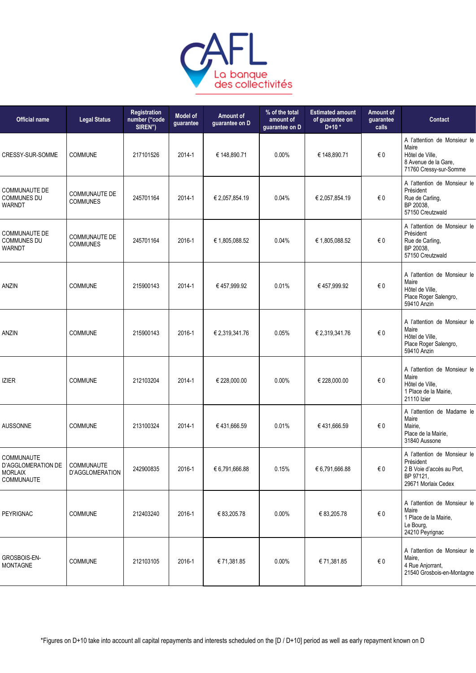

| <b>Official name</b>                                             | <b>Legal Status</b>                     | Registration<br>number ("code<br>SIREN") | <b>Model of</b><br>guarantee | Amount of<br>guarantee on D | % of the total<br>amount of<br>guarantee on D | <b>Estimated amount</b><br>of guarantee on<br>$D+10*$ | Amount of<br>guarantee<br>calls | Contact                                                                                                    |
|------------------------------------------------------------------|-----------------------------------------|------------------------------------------|------------------------------|-----------------------------|-----------------------------------------------|-------------------------------------------------------|---------------------------------|------------------------------------------------------------------------------------------------------------|
| CRESSY-SUR-SOMME                                                 | <b>COMMUNE</b>                          | 217101526                                | 2014-1                       | € 148,890.71                | 0.00%                                         | € 148,890.71                                          | €0                              | A l'attention de Monsieur le<br>Maire<br>Hôtel de Ville,<br>8 Avenue de la Gare,<br>71760 Cressy-sur-Somme |
| <b>COMMUNAUTE DE</b><br><b>COMMUNES DU</b><br><b>WARNDT</b>      | COMMUNAUTE DE<br><b>COMMUNES</b>        | 245701164                                | 2014-1                       | € 2,057,854.19              | 0.04%                                         | € 2,057,854.19                                        | €0                              | A l'attention de Monsieur le<br>Président<br>Rue de Carling,<br>BP 20038,<br>57150 Creutzwald              |
| <b>COMMUNAUTE DE</b><br><b>COMMUNES DU</b><br><b>WARNDT</b>      | <b>COMMUNAUTE DE</b><br><b>COMMUNES</b> | 245701164                                | 2016-1                       | € 1,805,088.52              | 0.04%                                         | € 1,805,088.52                                        | €0                              | A l'attention de Monsieur le<br>Président<br>Rue de Carling,<br>BP 20038,<br>57150 Creutzwald              |
| <b>ANZIN</b>                                                     | COMMUNE                                 | 215900143                                | 2014-1                       | € 457,999.92                | 0.01%                                         | € 457,999.92                                          | $\in 0$                         | A l'attention de Monsieur le<br>Maire<br>Hôtel de Ville,<br>Place Roger Salengro,<br>59410 Anzin           |
| <b>ANZIN</b>                                                     | <b>COMMUNE</b>                          | 215900143                                | 2016-1                       | € 2,319,341.76              | 0.05%                                         | € 2,319,341.76                                        | $\in 0$                         | A l'attention de Monsieur le<br>Maire<br>Hôtel de Ville,<br>Place Roger Salengro,<br>59410 Anzin           |
| <b>IZIER</b>                                                     | <b>COMMUNE</b>                          | 212103204                                | 2014-1                       | € 228,000.00                | 0.00%                                         | € 228,000.00                                          | $\epsilon$ 0                    | A l'attention de Monsieur le<br>Maire<br>Hôtel de Ville,<br>1 Place de la Mairie,<br>21110 Izier           |
| <b>AUSSONNE</b>                                                  | <b>COMMUNE</b>                          | 213100324                                | 2014-1                       | €431,666.59                 | 0.01%                                         | €431,666.59                                           | €0                              | A l'attention de Madame le<br>Maire<br>Mairie,<br>Place de la Mairie.<br>31840 Aussone                     |
| COMMUNAUTE<br>D'AGGLOMERATION DE<br><b>MORLAIX</b><br>COMMUNAUTE | COMMUNAUTE<br>D'AGGLOMERATION           | 242900835                                | 2016-1                       | € 6,791,666.88              | 0.15%                                         | € 6,791,666.88                                        | €0                              | A l'attention de Monsieur le<br>Président<br>2 B Voie d'accès au Port,<br>BP 97121,<br>29671 Morlaix Cedex |
| PEYRIGNAC                                                        | <b>COMMUNE</b>                          | 212403240                                | 2016-1                       | € 83,205.78                 | 0.00%                                         | € 83,205.78                                           | €0                              | A l'attention de Monsieur le<br>Maire<br>1 Place de la Mairie,<br>Le Bourg,<br>24210 Peyrignac             |
| <b>GROSBOIS-EN-</b><br><b>MONTAGNE</b>                           | <b>COMMUNE</b>                          | 212103105                                | 2016-1                       | € 71,381.85                 | 0.00%                                         | € 71,381.85                                           | €0                              | A l'attention de Monsieur le<br>Maire,<br>4 Rue Anjorrant,<br>21540 Grosbois-en-Montagne                   |
|                                                                  |                                         |                                          |                              |                             |                                               |                                                       |                                 |                                                                                                            |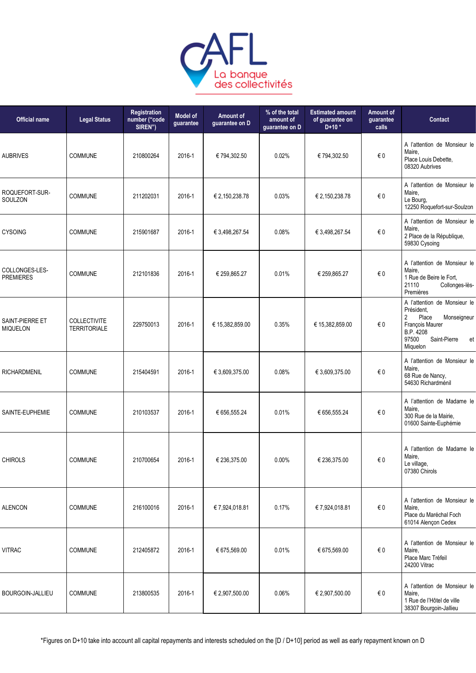

| <b>Official name</b>               | <b>Legal Status</b>                        | Registration<br>number ("code<br>SIREN") | <b>Model of</b><br>guarantee | Amount of<br>guarantee on D | % of the total<br>amount of<br>guarantee on D | <b>Estimated amount</b><br>of guarantee on<br>$D+10*$ | Amount of<br>guarantee<br>calls | Contact                                                                                                                                                         |
|------------------------------------|--------------------------------------------|------------------------------------------|------------------------------|-----------------------------|-----------------------------------------------|-------------------------------------------------------|---------------------------------|-----------------------------------------------------------------------------------------------------------------------------------------------------------------|
| <b>AUBRIVES</b>                    | <b>COMMUNE</b>                             | 210800264                                | 2016-1                       | € 794,302.50                | 0.02%                                         | € 794,302.50                                          | €0                              | A l'attention de Monsieur le<br>Maire,<br>Place Louis Debette,<br>08320 Aubrives                                                                                |
| ROQUEFORT-SUR-<br>SOULZON          | <b>COMMUNE</b>                             | 211202031                                | 2016-1                       | € 2,150,238.78              | 0.03%                                         | € 2,150,238.78                                        | €0                              | A l'attention de Monsieur le<br>Maire,<br>Le Bourg,<br>12250 Roquefort-sur-Soulzon                                                                              |
| <b>CYSOING</b>                     | <b>COMMUNE</b>                             | 215901687                                | 2016-1                       | € 3,498,267.54              | 0.08%                                         | € 3,498,267.54                                        | €0                              | A l'attention de Monsieur le<br>Maire,<br>2 Place de la République,<br>59830 Cysoing                                                                            |
| COLLONGES-LES-<br><b>PREMIERES</b> | <b>COMMUNE</b>                             | 212101836                                | 2016-1                       | € 259,865.27                | 0.01%                                         | € 259,865.27                                          | €0                              | A l'attention de Monsieur le<br>Maire,<br>1 Rue de Beire le Fort,<br>21110<br>Collonges-lès-<br>Premières                                                       |
| SAINT-PIERRE ET<br><b>MIQUELON</b> | <b>COLLECTIVITE</b><br><b>TERRITORIALE</b> | 229750013                                | 2016-1                       | € 15,382,859.00             | 0.35%                                         | € 15,382,859.00                                       | €0                              | A l'attention de Monsieur le<br>Président.<br>$\overline{2}$<br>Place<br>Monseigneur<br>François Maurer<br>B.P. 4208<br>97500<br>Saint-Pierre<br>et<br>Miquelon |
| RICHARDMENIL                       | COMMUNE                                    | 215404591                                | 2016-1                       | € 3,609,375.00              | 0.08%                                         | € 3,609,375.00                                        | $\in 0$                         | A l'attention de Monsieur le<br>Maire,<br>68 Rue de Nancy,<br>54630 Richardménil                                                                                |
| SAINTE-EUPHEMIE                    | COMMUNE                                    | 210103537                                | 2016-1                       | € 656,555.24                | 0.01%                                         | € 656,555.24                                          | €0                              | A l'attention de Madame le<br>Maire,<br>300 Rue de la Mairie,<br>01600 Sainte-Euphémie                                                                          |
| <b>CHIROLS</b>                     | <b>COMMUNE</b>                             | 210700654                                | 2016-1                       | € 236,375.00                | 0.00%                                         | € 236,375.00                                          | € 0                             | A l'attention de Madame le<br>Maire,<br>Le village,<br>07380 Chirols                                                                                            |
| <b>ALENCON</b>                     | COMMUNE                                    | 216100016                                | 2016-1                       | € 7,924,018.81              | 0.17%                                         | € 7,924,018.81                                        | €0                              | A l'attention de Monsieur le<br>Maire,<br>Place du Maréchal Foch<br>61014 Alençon Cedex                                                                         |
| <b>VITRAC</b>                      | COMMUNE                                    | 212405872                                | 2016-1                       | € 675,569.00                | 0.01%                                         | € 675,569.00                                          | €0                              | A l'attention de Monsieur le<br>Maire,<br>Place Marc Tréfeil<br>24200 Vitrac                                                                                    |
| BOURGOIN-JALLIEU                   | COMMUNE                                    | 213800535                                | 2016-1                       | € 2,907,500.00              | 0.06%                                         | € 2,907,500.00                                        | $\epsilon$ 0                    | A l'attention de Monsieur le<br>Maire,<br>1 Rue de l'Hôtel de ville<br>38307 Bourgoin-Jallieu                                                                   |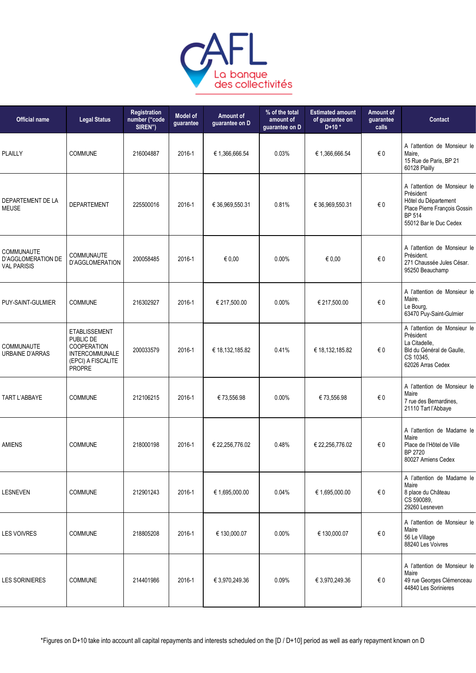

| <b>Official name</b>                                   | <b>Legal Status</b>                                                                                              | Registration<br>number ("code<br>SIREN") | Model of<br>guarantee | Amount of<br>guarantee on D | % of the total<br>amount of<br>guarantee on D | <b>Estimated amount</b><br>of guarantee on<br>$D+10*$ | Amount of<br>guarantee<br>calls | <b>Contact</b>                                                                                                                               |
|--------------------------------------------------------|------------------------------------------------------------------------------------------------------------------|------------------------------------------|-----------------------|-----------------------------|-----------------------------------------------|-------------------------------------------------------|---------------------------------|----------------------------------------------------------------------------------------------------------------------------------------------|
| <b>PLAILLY</b>                                         | <b>COMMUNE</b>                                                                                                   | 216004887                                | 2016-1                | € 1,366,666.54              | 0.03%                                         | € 1,366,666.54                                        | €0                              | A l'attention de Monsieur le<br>Maire,<br>15 Rue de Paris, BP 21<br>60128 Plailly                                                            |
| DEPARTEMENT DE LA<br><b>MEUSE</b>                      | <b>DEPARTEMENT</b>                                                                                               | 225500016                                | 2016-1                | € 36,969,550.31             | 0.81%                                         | € 36,969,550.31                                       | € 0                             | A l'attention de Monsieur le<br>Président<br>Hôtel du Département<br>Place Pierre François Gossin<br><b>BP 514</b><br>55012 Bar le Duc Cedex |
| COMMUNAUTE<br>D'AGGLOMERATION DE<br><b>VAL PARISIS</b> | COMMUNAUTE<br>D'AGGLOMERATION                                                                                    | 200058485                                | 2016-1                | € 0,00                      | 0.00%                                         | € 0,00                                                | €0                              | A l'attention de Monsieur le<br>Président.<br>271 Chaussée Jules César.<br>95250 Beauchamp                                                   |
| PUY-SAINT-GULMIER                                      | <b>COMMUNE</b>                                                                                                   | 216302927                                | 2016-1                | € 217,500.00                | $0.00\%$                                      | € 217,500.00                                          | $\in 0$                         | A l'attention de Monsieur le<br>Maire.<br>Le Bourg,<br>63470 Puy-Saint-Gulmier                                                               |
| COMMUNAUTE<br><b>URBAINE D'ARRAS</b>                   | <b>ETABLISSEMENT</b><br>PUBLIC DE<br><b>COOPERATION</b><br><b>INTERCOMMUNALE</b><br>(EPCI) A FISCALITE<br>PROPRE | 200033579                                | 2016-1                | € 18,132,185.82             | 0.41%                                         | € 18,132,185.82                                       | €0                              | A l'attention de Monsieur le<br>Président<br>La Citadelle,<br>Bld du Général de Gaulle,<br>CS 10345,<br>62026 Arras Cedex                    |
| TART L'ABBAYE                                          | <b>COMMUNE</b>                                                                                                   | 212106215                                | 2016-1                | €73,556.98                  | 0.00%                                         | €73,556.98                                            | € 0                             | A l'attention de Monsieur le<br>Maire<br>7 rue des Bernardines,<br>21110 Tart l'Abbaye                                                       |
| AMIENS                                                 | <b>COMMUNE</b>                                                                                                   | 218000198                                | 2016-1                | € 22,256,776.02             | 0.48%                                         | € 22,256,776.02                                       | € 0                             | A l'attention de Madame le<br>Maire<br>Place de l'Hôtel de Ville<br>BP 2720<br>80027 Amiens Cedex                                            |
| <b>LESNEVEN</b>                                        | <b>COMMUNE</b>                                                                                                   | 212901243                                | 2016-1                | € 1,695,000.00              | 0.04%                                         | € 1,695,000.00                                        | €0                              | A l'attention de Madame le<br>Maire<br>8 place du Château<br>CS 590089,<br>29260 Lesneven                                                    |
| <b>LES VOIVRES</b>                                     | <b>COMMUNE</b>                                                                                                   | 218805208                                | 2016-1                | € 130,000.07                | 0.00%                                         | € 130,000.07                                          | €0                              | A l'attention de Monsieur le<br>Maire<br>56 Le Village<br>88240 Les Voivres                                                                  |
| <b>LES SORINIERES</b>                                  | <b>COMMUNE</b>                                                                                                   | 214401986                                | 2016-1                | € 3,970,249.36              | 0.09%                                         | € 3,970,249.36                                        | €0                              | A l'attention de Monsieur le<br>Maire<br>49 rue Georges Clémenceau<br>44840 Les Sorinieres                                                   |
|                                                        |                                                                                                                  |                                          |                       |                             |                                               |                                                       |                                 |                                                                                                                                              |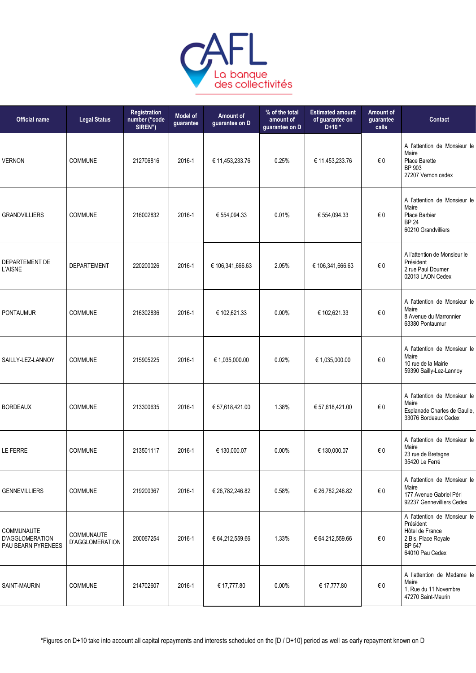

| <b>Official name</b>                                | <b>Legal Status</b>                  | Registration<br>number ("code<br>SIREN") | Model of<br>guarantee | Amount of<br>guarantee on D | % of the total<br>amount of<br>guarantee on D | <b>Estimated amount</b><br>of guarantee on<br>$D+10*$ | Amount of<br>guarantee<br>calls | Contact                                                                                                          |
|-----------------------------------------------------|--------------------------------------|------------------------------------------|-----------------------|-----------------------------|-----------------------------------------------|-------------------------------------------------------|---------------------------------|------------------------------------------------------------------------------------------------------------------|
| <b>VERNON</b>                                       | <b>COMMUNE</b>                       | 212706816                                | 2016-1                | € 11,453,233.76             | 0.25%                                         | € 11,453,233.76                                       | €0                              | A l'attention de Monsieur le<br>Maire<br>Place Barette<br>BP 903<br>27207 Vernon cedex                           |
| <b>GRANDVILLIERS</b>                                | <b>COMMUNE</b>                       | 216002832                                | 2016-1                | € 554,094.33                | 0.01%                                         | € 554,094.33                                          | $\in 0$                         | A l'attention de Monsieur le<br>Maire<br>Place Barbier<br><b>BP 24</b><br>60210 Grandvilliers                    |
| DEPARTEMENT DE<br>L'AISNE                           | <b>DEPARTEMENT</b>                   | 220200026                                | 2016-1                | € 106,341,666.63            | 2.05%                                         | € 106,341,666.63                                      | $\epsilon$ 0                    | A l'attention de Monsieur le<br>Président<br>2 rue Paul Doumer<br>02013 LAON Cedex                               |
| <b>PONTAUMUR</b>                                    | <b>COMMUNE</b>                       | 216302836                                | 2016-1                | € 102,621.33                | $0.00\%$                                      | € 102,621.33                                          | € 0                             | A l'attention de Monsieur le<br>Maire<br>8 Avenue du Marronnier<br>63380 Pontaumur                               |
| SAILLY-LEZ-LANNOY                                   | <b>COMMUNE</b>                       | 215905225                                | 2016-1                | € 1,035,000.00              | 0.02%                                         | € 1,035,000.00                                        | $\in 0$                         | A l'attention de Monsieur le<br>Maire<br>10 rue de la Mairie<br>59390 Sailly-Lez-Lannoy                          |
| <b>BORDEAUX</b>                                     | <b>COMMUNE</b>                       | 213300635                                | 2016-1                | € 57,618,421.00             | 1.38%                                         | € 57,618,421.00                                       | €0                              | A l'attention de Monsieur le<br>Maire<br>Esplanade Charles de Gaulle,<br>33076 Bordeaux Cedex                    |
| LE FERRE                                            | <b>COMMUNE</b>                       | 213501117                                | 2016-1                | € 130,000.07                | 0.00%                                         | € 130,000.07                                          | €0                              | A l'attention de Monsieur le<br>Maire<br>23 rue de Bretagne<br>35420 Le Ferré                                    |
| <b>GENNEVILLIERS</b>                                | <b>COMMUNE</b>                       | 219200367                                | 2016-1                | € 26,782,246.82             | 0.58%                                         | € 26,782,246.82                                       | $\in 0$                         | A l'attention de Monsieur le<br>Maire<br>177 Avenue Gabriel Péri<br>92237 Gennevilliers Cedex                    |
| COMMUNAUTE<br>D'AGGLOMERATION<br>PAU BEARN PYRENEES | <b>COMMUNAUTE</b><br>D'AGGLOMERATION | 200067254                                | 2016-1                | € 64,212,559.66             | 1.33%                                         | € 64,212,559.66                                       | € 0                             | A l'attention de Monsieur le<br>Président<br>Hôtel de France<br>2 Bis, Place Royale<br>BP 547<br>64010 Pau Cedex |
| SAINT-MAURIN                                        | <b>COMMUNE</b>                       | 214702607                                | 2016-1                | € 17,777.80                 | 0.00%                                         | € 17,777.80                                           | $\epsilon$ 0                    | A l'attention de Madame le<br>Maire<br>1, Rue du 11 Novembre<br>47270 Saint-Maurin                               |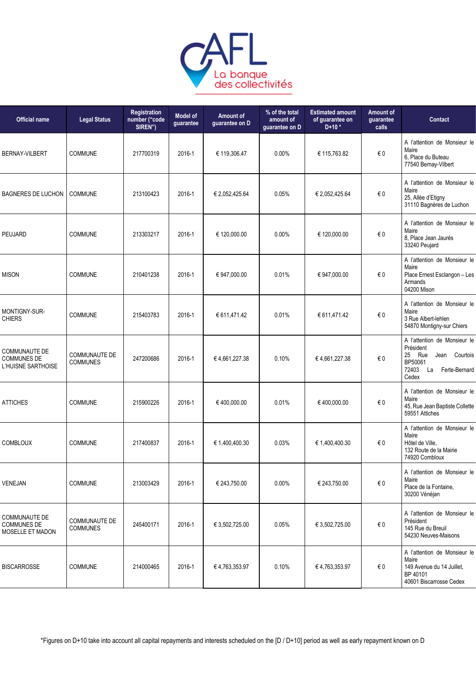

| <b>Official name</b>                                             | <b>Legal Status</b>                     | Registration<br>number ("code<br>SIREN") | Model of<br>guarantee | Amount of<br>guarantee on D | % of the total<br>amount of<br>guarantee on D | <b>Estimated amount</b><br>of guarantee on<br>$D+10*$ | Amount of<br>guarantee<br>calls | Contact                                                                                                                        |
|------------------------------------------------------------------|-----------------------------------------|------------------------------------------|-----------------------|-----------------------------|-----------------------------------------------|-------------------------------------------------------|---------------------------------|--------------------------------------------------------------------------------------------------------------------------------|
| <b>BERNAY-VILBERT</b>                                            | <b>COMMUNE</b>                          | 217700319                                | 2016-1                | € 119,306.47                | $0.00\%$                                      | € 115,763.82                                          | € 0                             | A l'attention de Monsieur le<br>Maire<br>6, Place du Buteau<br>77540 Bernay-Vilbert                                            |
| <b>BAGNERES DE LUCHON</b>                                        | <b>COMMUNE</b>                          | 213100423                                | 2016-1                | € 2,052,425.64              | 0.05%                                         | € 2,052,425.64                                        | $\epsilon$ 0                    | A l'attention de Monsieur le<br>Maire<br>25, Allée d'Etigny<br>31110 Bagnères de Luchon                                        |
| PEUJARD                                                          | COMMUNE                                 | 213303217                                | 2016-1                | € 120,000.00                | 0.00%                                         | € 120,000.00                                          | $\in 0$                         | A l'attention de Monsieur le<br>Maire<br>8, Place Jean Jaurès<br>33240 Peujard                                                 |
| <b>MISON</b>                                                     | <b>COMMUNE</b>                          | 210401238                                | 2016-1                | € 947,000.00                | 0.01%                                         | € 947.000.00                                          | €0                              | A l'attention de Monsieur le<br>Maire<br>Place Ernest Esclangon - Les<br>Armands<br>04200 Mison                                |
| MONTIGNY-SUR-<br><b>CHIERS</b>                                   | <b>COMMUNE</b>                          | 215403783                                | 2016-1                | € 611,471.42                | 0.01%                                         | € 611,471.42                                          | $\epsilon$ 0                    | A l'attention de Monsieur le<br>Maire<br>3 Rue Albert-lehlen<br>54870 Montigny-sur Chiers                                      |
| <b>COMMUNAUTE DE</b><br><b>COMMUNES DE</b><br>L'HUISNE SARTHOISE | <b>COMMUNAUTE DE</b><br><b>COMMUNES</b> | 247200686                                | 2016-1                | €4,661,227.38               | 0.10%                                         | €4,661,227.38                                         | €0                              | A l'attention de Monsieur le<br>Président<br>25<br>Rue<br>Courtois<br>Jean<br>BP50061<br>72403<br>Ferte-Bernard<br>La<br>Cedex |
| <b>ATTICHES</b>                                                  | <b>COMMUNE</b>                          | 215900226                                | 2016-1                | €400,000.00                 | 0.01%                                         | €400,000.00                                           | €0                              | A l'attention de Monsieur le<br>Maire<br>45, Rue Jean Baptiste Collette<br>59551 Attiches                                      |
| <b>COMBLOUX</b>                                                  | COMMUNE                                 | 217400837                                | 2016-1                | € 1,400,400.30              | 0.03%                                         | € 1,400,400.30                                        | €0                              | A l'attention de Monsieur le<br>Maire<br>Hôtel de Ville,<br>132 Route de la Mairie<br>74920 Combloux                           |
| VENEJAN                                                          | COMMUNE                                 | 213003429                                | 2016-1                | € 243,750.00                | 0.00%                                         | € 243,750.00                                          | $\in 0$                         | A l'attention de Monsieur le<br>Maire<br>Place de la Fontaine,<br>30200 Vénéjan                                                |
| COMMUNAUTE DE<br><b>COMMUNES DE</b><br>MOSELLE ET MADON          | <b>COMMUNAUTE DE</b><br><b>COMMUNES</b> | 245400171                                | 2016-1                | € 3,502,725.00              | 0.05%                                         | € 3,502,725.00                                        | $\in 0$                         | A l'attention de Monsieur le<br>Président<br>145 Rue du Breuil<br>54230 Neuves-Maisons                                         |
| <b>BISCARROSSE</b>                                               | <b>COMMUNE</b>                          | 214000465                                | 2016-1                | € 4,763,353.97              | 0.10%                                         | €4,763,353.97                                         | €0                              | A l'attention de Monsieur le<br>Maire<br>149 Avenue du 14 Juillet,<br>BP 40101<br>40601 Biscarrosse Cedex                      |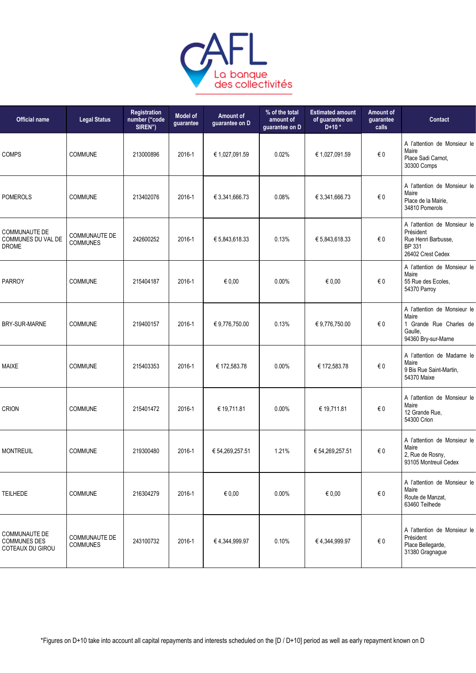

| <b>Official name</b>                                            | <b>Legal Status</b>                     | Registration<br>number ("code<br>SIREN") | <b>Model of</b><br>guarantee | Amount of<br>guarantee on D | % of the total<br>amount of<br>guarantee on D | <b>Estimated amount</b><br>of guarantee on<br>$D+10*$ | <b>Amount of</b><br>guarantee<br>calls | Contact                                                                                            |
|-----------------------------------------------------------------|-----------------------------------------|------------------------------------------|------------------------------|-----------------------------|-----------------------------------------------|-------------------------------------------------------|----------------------------------------|----------------------------------------------------------------------------------------------------|
| <b>COMPS</b>                                                    | <b>COMMUNE</b>                          | 213000896                                | 2016-1                       | € 1,027,091.59              | 0.02%                                         | € 1,027,091.59                                        | $\in 0$                                | A l'attention de Monsieur le<br>Maire<br>Place Sadi Carnot,<br>30300 Comps                         |
| <b>POMEROLS</b>                                                 | <b>COMMUNE</b>                          | 213402076                                | 2016-1                       | € 3,341,666.73              | 0.08%                                         | € 3,341,666.73                                        | €0                                     | A l'attention de Monsieur le<br>Maire<br>Place de la Mairie,<br>34810 Pomerols                     |
| <b>COMMUNAUTE DE</b><br>COMMUNES DU VAL DE<br><b>DROME</b>      | <b>COMMUNAUTE DE</b><br><b>COMMUNES</b> | 242600252                                | 2016-1                       | € 5,843,618.33              | 0.13%                                         | € 5,843,618.33                                        | €0                                     | A l'attention de Monsieur le<br>Président<br>Rue Henri Barbusse,<br>BP 331<br>26402 Crest Cedex    |
| <b>PARROY</b>                                                   | <b>COMMUNE</b>                          | 215404187                                | 2016-1                       | € 0.00                      | $0.00\%$                                      | € 0.00                                                | €0                                     | A l'attention de Monsieur le<br>Maire<br>55 Rue des Ecoles,<br>54370 Parroy                        |
| BRY-SUR-MARNE                                                   | <b>COMMUNE</b>                          | 219400157                                | 2016-1                       | € 9,776,750.00              | 0.13%                                         | € 9,776,750.00                                        | €0                                     | A l'attention de Monsieur le<br>Maire<br>1 Grande Rue Charles de<br>Gaulle,<br>94360 Bry-sur-Marne |
| <b>MAIXE</b>                                                    | <b>COMMUNE</b>                          | 215403353                                | 2016-1                       | € 172,583.78                | 0.00%                                         | € 172,583.78                                          | $\in 0$                                | A l'attention de Madame le<br>Maire<br>9 Bis Rue Saint-Martin,<br>54370 Maixe                      |
| <b>CRION</b>                                                    | <b>COMMUNE</b>                          | 215401472                                | 2016-1                       | € 19,711.81                 | $0.00\%$                                      | € 19,711.81                                           | €0                                     | A l'attention de Monsieur le<br>Maire<br>12 Grande Rue,<br>54300 Crion                             |
| <b>MONTREUIL</b>                                                | <b>COMMUNE</b>                          | 219300480                                | 2016-1                       | € 54,269,257.51             | 1.21%                                         | € 54,269,257.51                                       | €0                                     | A l'attention de Monsieur le<br>Maire<br>2, Rue de Rosny,<br>93105 Montreuil Cedex                 |
| <b>TEILHEDE</b>                                                 | <b>COMMUNE</b>                          | 216304279                                | 2016-1                       | € 0,00                      | 0.00%                                         | € 0,00                                                | $\in 0$                                | A l'attention de Monsieur le<br>Maire<br>Route de Manzat,<br>63460 Teilhede                        |
| <b>COMMUNAUTE DE</b><br><b>COMMUNES DES</b><br>COTEAUX DU GIROU | <b>COMMUNAUTE DE</b><br><b>COMMUNES</b> | 243100732                                | 2016-1                       | €4,344,999.97               | 0.10%                                         | €4,344,999.97                                         | $\epsilon$ 0                           | A l'attention de Monsieur le<br>Président<br>Place Bellegarde,<br>31380 Gragnague                  |
|                                                                 |                                         |                                          |                              |                             |                                               |                                                       |                                        |                                                                                                    |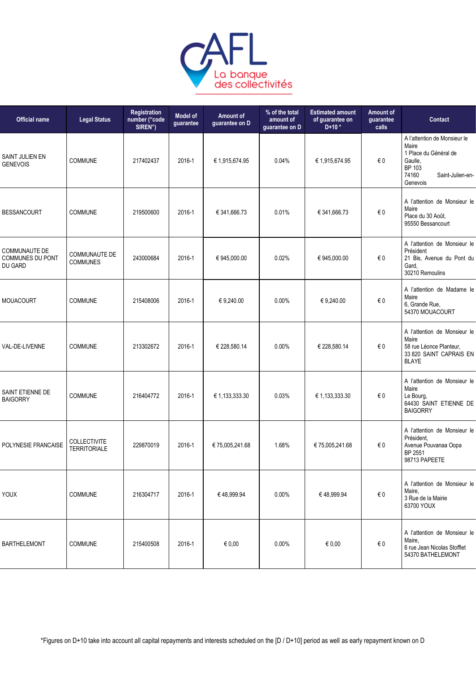

| <b>Official name</b>                                | <b>Legal Status</b>                     | Registration<br>number ("code<br>SIREN") | Model of<br>guarantee | Amount of<br>guarantee on D | % of the total<br>amount of<br>guarantee on D | <b>Estimated amount</b><br>of guarantee on<br>$D+10*$ | Amount of<br>guarantee<br>calls | Contact                                                                                                                      |
|-----------------------------------------------------|-----------------------------------------|------------------------------------------|-----------------------|-----------------------------|-----------------------------------------------|-------------------------------------------------------|---------------------------------|------------------------------------------------------------------------------------------------------------------------------|
| SAINT JULIEN EN<br><b>GENEVOIS</b>                  | <b>COMMUNE</b>                          | 217402437                                | 2016-1                | € 1,915,674.95              | 0.04%                                         | € 1,915,674.95                                        | € 0                             | A l'attention de Monsieur le<br>Maire<br>1 Place du Général de<br>Gaulle,<br>BP 103<br>74160<br>Saint-Julien-en-<br>Genevois |
| <b>BESSANCOURT</b>                                  | <b>COMMUNE</b>                          | 219500600                                | 2016-1                | € 341,666.73                | 0.01%                                         | € 341,666.73                                          | €0                              | A l'attention de Monsieur le<br>Maire<br>Place du 30 Août,<br>95550 Bessancourt                                              |
| <b>COMMUNAUTE DE</b><br>COMMUNES DU PONT<br>DU GARD | <b>COMMUNAUTE DE</b><br><b>COMMUNES</b> | 243000684                                | 2016-1                | € 945,000.00                | 0.02%                                         | € 945,000.00                                          | € 0                             | A l'attention de Monsieur le<br>Président<br>21 Bis, Avenue du Pont du<br>Gard.<br>30210 Remoulins                           |
| <b>MOUACOURT</b>                                    | <b>COMMUNE</b>                          | 215408006                                | 2016-1                | € 9,240.00                  | 0.00%                                         | € 9.240.00                                            | € 0                             | A l'attention de Madame le<br>Maire<br>6, Grande Rue,<br>54370 MOUACOURT                                                     |
| VAL-DE-LIVENNE                                      | <b>COMMUNE</b>                          | 213302672                                | 2016-1                | € 228,580.14                | 0.00%                                         | € 228,580.14                                          | € 0                             | A l'attention de Monsieur le<br>Maire<br>58 rue Léonce Planteur,<br>33 820 SAINT CAPRAIS EN<br><b>BLAYE</b>                  |
| SAINT ETIENNE DE<br><b>BAIGORRY</b>                 | <b>COMMUNE</b>                          | 216404772                                | 2016-1                | € 1,133,333.30              | 0.03%                                         | € 1,133,333.30                                        | €0                              | A l'attention de Monsieur le<br>Maire<br>Le Bourg,<br>64430 SAINT ETIENNE DE<br><b>BAIGORRY</b>                              |
| POLYNESIE FRANCAISE                                 | COLLECTIVITE<br><b>TERRITORIALE</b>     | 229870019                                | 2016-1                | € 75,005,241.68             | 1.68%                                         | € 75,005,241.68                                       | € 0                             | A l'attention de Monsieur le<br>Président.<br>Avenue Pouvanaa Oopa<br>BP 2551<br>98713 PAPEETE                               |
| YOUX                                                | <b>COMMUNE</b>                          | 216304717                                | 2016-1                | €48,999.94                  | $0.00\%$                                      | €48,999.94                                            | €0                              | A l'attention de Monsieur le<br>Maire,<br>3 Rue de la Mairie<br>63700 YOUX                                                   |
| <b>BARTHELEMONT</b>                                 | <b>COMMUNE</b>                          | 215400508                                | 2016-1                | € 0,00                      | 0.00%                                         | € 0,00                                                | €0                              | A l'attention de Monsieur le<br>Maire,<br>6 rue Jean Nicolas Stofflet<br>54370 BATHELEMONT                                   |
|                                                     |                                         |                                          |                       |                             |                                               |                                                       |                                 |                                                                                                                              |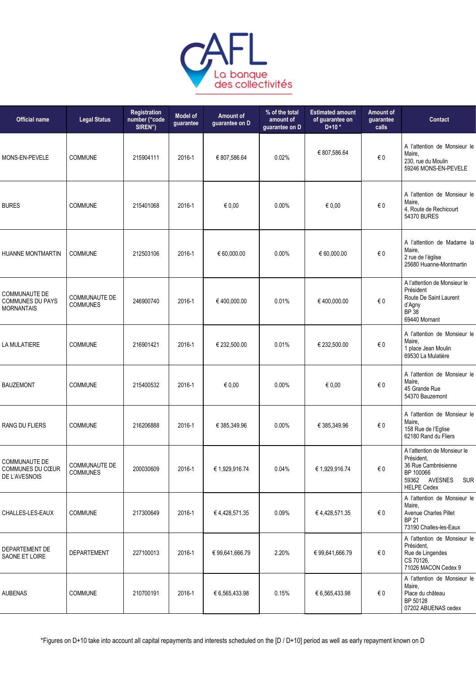

| <b>Official name</b>                                                 | <b>Legal Status</b>                     | Registration<br>number ("code<br>SIREN") | <b>Model of</b><br>guarantee | Amount of<br>guarantee on D | % of the total<br>amount of<br>guarantee on D | <b>Estimated amount</b><br>of guarantee on<br>$D+10*$ | <b>Amount of</b><br>guarantee<br>calls | Contact                                                                                                                             |
|----------------------------------------------------------------------|-----------------------------------------|------------------------------------------|------------------------------|-----------------------------|-----------------------------------------------|-------------------------------------------------------|----------------------------------------|-------------------------------------------------------------------------------------------------------------------------------------|
| MONS-EN-PEVELE                                                       | <b>COMMUNE</b>                          | 215904111                                | 2016-1                       | € 807,586.64                | 0.02%                                         | € 807,586.64                                          | $\epsilon$ 0                           | A l'attention de Monsieur le<br>Maire,<br>230, rue du Moulin<br>59246 MONS-EN-PEVELE                                                |
| <b>BURES</b>                                                         | <b>COMMUNE</b>                          | 215401068                                | 2016-1                       | $\epsilon$ 0,00             | 0.00%                                         | € 0.00                                                | $\in 0$                                | A l'attention de Monsieur le<br>Maire,<br>4. Route de Rechicourt<br>54370 BURES                                                     |
| <b>HUANNE MONTMARTIN</b>                                             | COMMUNE                                 | 212503106                                | 2016-1                       | € 60,000.00                 | 0.00%                                         | € 60,000.00                                           | $\in 0$                                | A l'attention de Madame la<br>Maire,<br>2 rue de l'église<br>25680 Huanne-Montmartin                                                |
| <b>COMMUNAUTE DE</b><br><b>COMMUNES DU PAYS</b><br><b>MORNANTAIS</b> | <b>COMMUNAUTE DE</b><br><b>COMMUNES</b> | 246900740                                | 2016-1                       | €400,000.00                 | 0.01%                                         | €400,000.00                                           | $\in 0$                                | A l'attention de Monsieur le<br>Président<br>Route De Saint Laurent<br>d'Agny<br><b>BP</b> 38<br>69440 Mornant                      |
| LA MULATIERE                                                         | COMMUNE                                 | 216901421                                | 2016-1                       | € 232,500.00                | 0.01%                                         | € 232,500.00                                          | €0                                     | A l'attention de Monsieur le<br>Maire,<br>1 place Jean Moulin<br>69530 La Mulatière                                                 |
| <b>BAUZEMONT</b>                                                     | <b>COMMUNE</b>                          | 215400532                                | 2016-1                       | € 0,00                      | 0.00%                                         | € 0.00                                                | € 0                                    | A l'attention de Monsieur le<br>Maire,<br>45 Grande Rue<br>54370 Bauzemont                                                          |
| RANG DU FLIERS                                                       | <b>COMMUNE</b>                          | 216206888                                | 2016-1                       | € 385,349.96                | $0.00\%$                                      | € 385,349.96                                          | €0                                     | A l'attention de Monsieur le<br>Maire,<br>158 Rue de l'Eglise<br>62180 Rand du Fliers                                               |
| <b>COMMUNAUTE DE</b><br>COMMUNES DU CŒUR<br>DE L'AVESNOIS            | COMMUNAUTE DE<br><b>COMMUNES</b>        | 200030609                                | 2016-1                       | € 1,929,916.74              | 0.04%                                         | € 1,929,916.74                                        | €0                                     | A l'attention de Monsieur le<br>Président.<br>36 Rue Cambrésienne<br>BP 100066<br>59362 AVESNES<br><b>SUR</b><br><b>HELPE Cedex</b> |
| CHALLES-LES-EAUX                                                     | <b>COMMUNE</b>                          | 217300649                                | 2016-1                       | €4,428,571.35               | 0.09%                                         | €4,428,571.35                                         | € 0                                    | A l'attention de Monsieur le<br>Maire,<br><b>Avenue Charles Pillet</b><br><b>BP 21</b><br>73190 Challes-les-Eaux                    |
| DEPARTEMENT DE<br>SAONE ET LOIRE                                     | DEPARTEMENT                             | 227100013                                | 2016-1                       | € 99,641,666.79             | 2.20%                                         | € 99,641,666.79                                       | € 0                                    | A l'attention de Monsieur le<br>Président.<br>Rue de Lingendes<br>CS 70126,<br>71026 MACON Cedex 9                                  |
| <b>AUBENAS</b>                                                       | <b>COMMUNE</b>                          | 210700191                                | 2016-1                       | € 6,565,433.98              | 0.15%                                         | € 6,565,433.98                                        | € 0                                    | A l'attention de Monsieur le<br>Maire,<br>Place du château<br>BP 50128<br>07202 ABUENAS cedex                                       |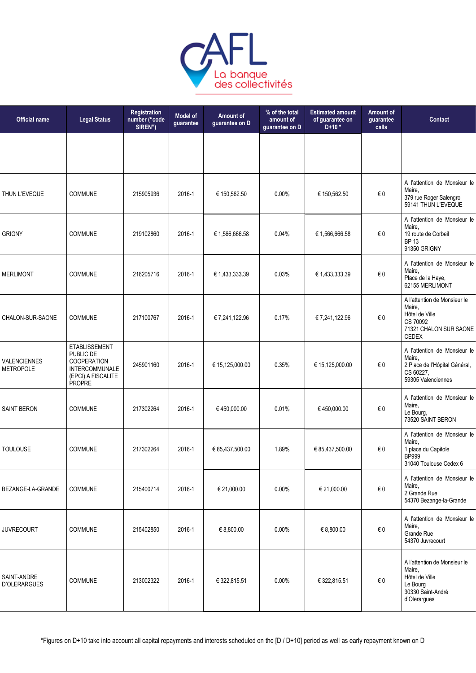

| <b>Legal Status</b>                                                                                              | <b>Registration</b><br>number ("code<br>SIREN") | <b>Model of</b><br>guarantee | Amount of<br>guarantee on D | % of the total<br>amount of<br>guarantee on D | <b>Estimated amount</b><br>of guarantee on<br>$D+10*$ | Amount of<br>guarantee<br>calls | Contact                                                                                                        |
|------------------------------------------------------------------------------------------------------------------|-------------------------------------------------|------------------------------|-----------------------------|-----------------------------------------------|-------------------------------------------------------|---------------------------------|----------------------------------------------------------------------------------------------------------------|
|                                                                                                                  |                                                 |                              |                             |                                               |                                                       |                                 |                                                                                                                |
| <b>COMMUNE</b>                                                                                                   | 215905936                                       | 2016-1                       | € 150,562.50                | $0.00\%$                                      | € 150,562.50                                          | €0                              | A l'attention de Monsieur le<br>Maire,<br>379 rue Roger Salengro<br>59141 THUN L'EVEQUE                        |
| <b>COMMUNE</b>                                                                                                   | 219102860                                       | 2016-1                       | € 1,566,666.58              | 0.04%                                         | € 1,566,666.58                                        | €0                              | A l'attention de Monsieur le<br>Maire,<br>19 route de Corbeil<br><b>BP 13</b><br>91350 GRIGNY                  |
| <b>COMMUNE</b>                                                                                                   | 216205716                                       | 2016-1                       | € 1,433,333.39              | 0.03%                                         | € 1,433,333.39                                        | €0                              | A l'attention de Monsieur le<br>Maire,<br>Place de la Haye,<br>62155 MERLIMONT                                 |
| <b>COMMUNE</b>                                                                                                   | 217100767                                       | 2016-1                       | € 7,241,122.96              | 0.17%                                         | € 7,241,122.96                                        | $\in 0$                         | A l'attention de Monsieur le<br>Maire,<br>Hôtel de Ville<br>CS 70092<br>71321 CHALON SUR SAONE<br><b>CEDEX</b> |
| <b>ETABLISSEMENT</b><br>PUBLIC DE<br><b>COOPERATION</b><br><b>INTERCOMMUNALE</b><br>(EPCI) A FISCALITE<br>PROPRE | 245901160                                       | 2016-1                       | € 15,125,000.00             | 0.35%                                         | € 15,125,000.00                                       | €0                              | A l'attention de Monsieur le<br>Maire,<br>2 Place de l'Hôpital Général,<br>CS 60227,<br>59305 Valenciennes     |
| <b>COMMUNE</b>                                                                                                   | 217302264                                       | 2016-1                       | €450,000.00                 | 0.01%                                         | €450,000.00                                           | $\in 0$                         | A l'attention de Monsieur le<br>Maire,<br>Le Bourg,<br>73520 SAINT BERON                                       |
| <b>COMMUNE</b>                                                                                                   | 217302264                                       | 2016-1                       | € 85,437,500.00             | 1.89%                                         | € 85,437,500.00                                       | € 0                             | A l'attention de Monsieur le<br>Maire,<br>1 place du Capitole<br><b>BP999</b><br>31040 Toulouse Cedex 6        |
| <b>COMMUNE</b>                                                                                                   | 215400714                                       | 2016-1                       | € 21,000.00                 | 0.00%                                         | € 21,000.00                                           | $\in 0$                         | A l'attention de Monsieur le<br>Maire,<br>2 Grande Rue<br>54370 Bezange-la-Grande                              |
| <b>COMMUNE</b>                                                                                                   | 215402850                                       | 2016-1                       | € 8,800.00                  | 0.00%                                         | € 8,800.00                                            | $\in 0$                         | A l'attention de Monsieur le<br>Maire,<br>Grande Rue<br>54370 Juvrecourt                                       |
| <b>COMMUNE</b>                                                                                                   | 213002322                                       | 2016-1                       | € 322,815.51                | 0.00%                                         | € 322,815.51                                          | €0                              | A l'attention de Monsieur le<br>Maire,<br>Hôtel de Ville<br>Le Bourg<br>30330 Saint-André<br>d'Olerargues      |
|                                                                                                                  |                                                 |                              |                             |                                               |                                                       |                                 |                                                                                                                |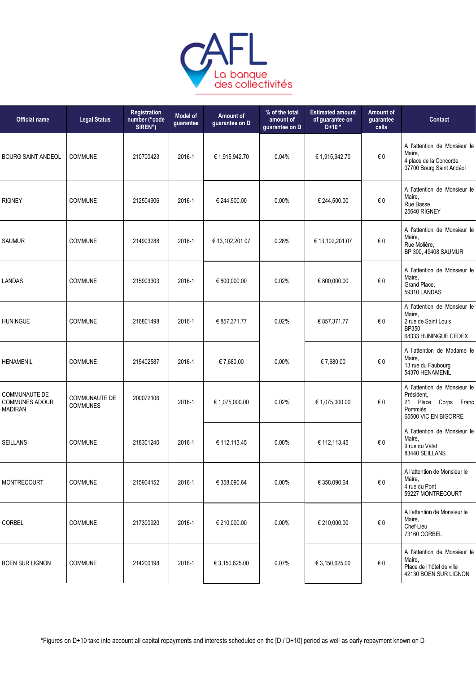

| <b>Official name</b>                                            | <b>Legal Status</b>                     | Registration<br>number ("code<br>SIREN") | <b>Model of</b><br>guarantee | Amount of<br>guarantee on D | % of the total<br>amount of<br>guarantee on D | <b>Estimated amount</b><br>of guarantee on<br>$D+10*$ | Amount of<br>guarantee<br>calls | Contact                                                                                                  |
|-----------------------------------------------------------------|-----------------------------------------|------------------------------------------|------------------------------|-----------------------------|-----------------------------------------------|-------------------------------------------------------|---------------------------------|----------------------------------------------------------------------------------------------------------|
| <b>BOURG SAINT ANDEOL</b>                                       | COMMUNE                                 | 210700423                                | 2016-1                       | € 1,915,942.70              | 0.04%                                         | € 1,915,942.70                                        | $\epsilon$ 0                    | A l'attention de Monsieur le<br>Maire,<br>4 place de la Concorde<br>07700 Bourg Saint Andéol             |
| <b>RIGNEY</b>                                                   | <b>COMMUNE</b>                          | 212504906                                | 2016-1                       | € 244,500.00                | 0.00%                                         | € 244,500.00                                          | € 0                             | A l'attention de Monsieur le<br>Maire,<br>Rue Basse,<br>25640 RIGNEY                                     |
| <b>SAUMUR</b>                                                   | <b>COMMUNE</b>                          | 214903288                                | 2016-1                       | € 13,102,201.07             | 0.28%                                         | € 13,102,201.07                                       | $\epsilon$ 0                    | A l'attention de Monsieur le<br>Maire,<br>Rue Molière,<br>BP 300, 49408 SAUMUR                           |
| <b>LANDAS</b>                                                   | <b>COMMUNE</b>                          | 215903303                                | 2016-1                       | € 800,000.00                | 0.02%                                         | € 800,000.00                                          | $\epsilon$ 0                    | A l'attention de Monsieur le<br>Maire,<br>Grand Place,<br>59310 LANDAS                                   |
| <b>HUNINGUE</b>                                                 | <b>COMMUNE</b>                          | 216801498                                | 2016-1                       | € 857,371.77                | 0.02%                                         | € 857,371.77                                          | €0                              | A l'attention de Monsieur le<br>Maire,<br>2 rue de Saint Louis<br>BP350<br>68333 HUNINGUE CEDEX          |
| <b>HENAMENIL</b>                                                | COMMUNE                                 | 215402587                                | 2016-1                       | € 7,680.00                  | 0.00%                                         | €7,680.00                                             | $\in 0$                         | A l'attention de Madame le<br>Maire,<br>13 rue du Faubourg<br>54370 HENAMENIL                            |
| <b>COMMUNAUTE DE</b><br><b>COMMUNES ADOUR</b><br><b>MADIRAN</b> | <b>COMMUNAUTE DE</b><br><b>COMMUNES</b> | 200072106                                | 2016-1                       | € 1,075,000.00              | 0.02%                                         | € 1,075,000.00                                        | € 0                             | A l'attention de Monsieur le<br>Président,<br>21 Place<br>Corps Franc<br>Pommiès<br>65500 VIC EN BIGORRE |
| <b>SEILLANS</b>                                                 | <b>COMMUNE</b>                          | 218301240                                | 2016-1                       | € 112,113.45                | $0.00\%$                                      | € 112,113.45                                          | € 0                             | A l'attention de Monsieur le<br>Maire,<br>9 rue du Valat<br>83440 SEILLANS                               |
| <b>MONTRECOURT</b>                                              | COMMUNE                                 | 215904152                                | 2016-1                       | € 358,090.64                | 0.00%                                         | € 358,090.64                                          | $\in 0$                         | A l'attention de Monsieur le<br>Maire,<br>4 rue du Pont<br>59227 MONTRECOURT                             |
| <b>CORBEL</b>                                                   | <b>COMMUNE</b>                          | 217300920                                | 2016-1                       | € 210,000.00                | 0.00%                                         | € 210,000.00                                          | € 0                             | A l'attention de Monsieur le<br>Maire,<br>Chef-Lieu<br>73160 CORBEL                                      |
| <b>BOEN SUR LIGNON</b>                                          | <b>COMMUNE</b>                          | 214200198                                | 2016-1                       | € 3,150,625.00              | 0.07%                                         | € 3,150,625.00                                        | $\in 0$                         | A l'attention de Monsieur le<br>Maire,<br>Place de l'hôtel de ville<br>42130 BOEN SUR LIGNON             |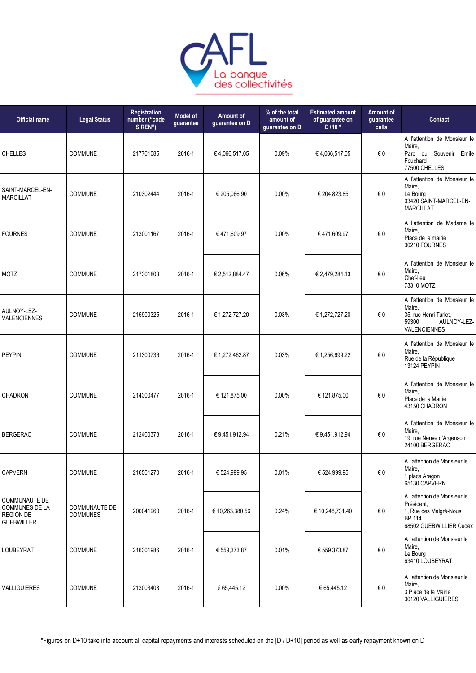

| <b>Legal Status</b>                     | Registration<br>number ("code<br>SIREN") | <b>Model of</b><br>guarantee | <b>Amount of</b><br>guarantee on D | % of the total<br>amount of<br>guarantee on D | <b>Estimated amount</b><br>of guarantee on<br>$D+10*$ | Amount of<br>guarantee<br>calls | Contact                                                                                                          |
|-----------------------------------------|------------------------------------------|------------------------------|------------------------------------|-----------------------------------------------|-------------------------------------------------------|---------------------------------|------------------------------------------------------------------------------------------------------------------|
| <b>COMMUNE</b>                          | 217701085                                | 2016-1                       | €4,066,517.05                      | 0.09%                                         | €4,066,517.05                                         | € 0                             | A l'attention de Monsieur le<br>Maire,<br>Parc du Souvenir Emile<br>Fouchard<br>77500 CHELLES                    |
| COMMUNE                                 | 210302444                                | 2016-1                       | € 205,066.90                       | 0.00%                                         | € 204,823.85                                          | €0                              | A l'attention de Monsieur le<br>Maire,<br>Le Bourg<br>03420 SAINT-MARCEL-EN-<br><b>MARCILLAT</b>                 |
| <b>COMMUNE</b>                          | 213001167                                | 2016-1                       | €471,609.97                        | 0.00%                                         | €471,609.97                                           | €0                              | A l'attention de Madame le<br>Maire,<br>Place de la mairie<br>30210 FOURNES                                      |
| <b>COMMUNE</b>                          | 217301803                                | 2016-1                       | € 2,512,884.47                     | 0.06%                                         | € 2,479,284.13                                        | $\in 0$                         | A l'attention de Monsieur le<br>Maire,<br>Chef-lieu<br>73310 MOTZ                                                |
| COMMUNE                                 | 215900325                                | 2016-1                       | € 1,272,727.20                     | 0.03%                                         | € 1,272,727.20                                        | €0                              | A l'attention de Monsieur le<br>Maire,<br>35, rue Henri Turlet,<br>59300<br>AULNOY-LEZ-<br><b>VALENCIENNES</b>   |
| <b>COMMUNE</b>                          | 211300736                                | 2016-1                       | € 1,272,462.87                     | 0.03%                                         | € 1,256,699.22                                        | € 0                             | A l'attention de Monsieur le<br>Maire,<br>Rue de la République<br>13124 PEYPIN                                   |
| <b>COMMUNE</b>                          | 214300477                                | 2016-1                       | € 121,875.00                       | 0.00%                                         | € 121,875.00                                          | €0                              | A l'attention de Monsieur le<br>Maire,<br>Place de la Mairie<br>43150 CHADRON                                    |
| <b>COMMUNE</b>                          | 212400378                                | 2016-1                       | € 9,451,912.94                     | 0.21%                                         | €9,451,912.94                                         | $\in 0$                         | A l'attention de Monsieur le<br>Maire,<br>19, rue Neuve d'Argenson<br>24100 BERGERAC                             |
| <b>COMMUNE</b>                          | 216501270                                | 2016-1                       | € 524,999.95                       | 0.01%                                         | € 524,999.95                                          | $\in 0$                         | A l'attention de Monsieur le<br>Maire,<br>1 place Aragon<br>65130 CAPVERN                                        |
| <b>COMMUNAUTE DE</b><br><b>COMMUNES</b> | 200041960                                | 2016-1                       | € 10,263,380.56                    | 0.24%                                         | € 10,248,731.40                                       | $\in 0$                         | A l'attention de Monsieur le<br>Président,<br>1, Rue des Malgré-Nous<br><b>BP 114</b><br>68502 GUEBWILLIER Cedex |
| COMMUNE                                 | 216301986                                | 2016-1                       | € 559,373.87                       | 0.01%                                         | € 559,373.87                                          | $\in 0$                         | A l'attention de Monsieur le<br>Maire,<br>Le Bourg<br>63410 LOUBEYRAT                                            |
| COMMUNE                                 | 213003403                                | 2016-1                       | € 65,445.12                        | 0.00%                                         | € 65,445.12                                           | $\in 0$                         | A l'attention de Monsieur le<br>Maire,<br>3 Place de la Mairie<br>30120 VALLIGUIERES                             |
|                                         |                                          |                              |                                    |                                               |                                                       |                                 |                                                                                                                  |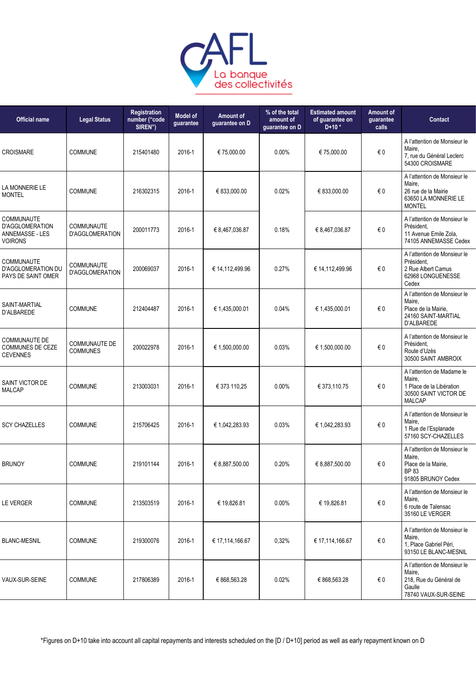

| <b>Official name</b>                                                             | <b>Legal Status</b>                     | <b>Registration</b><br>number ("code<br>SIREN") | <b>Model of</b><br>guarantee | Amount of<br>guarantee on D | % of the total<br>amount of<br>quarantee on D | <b>Estimated amount</b><br>of guarantee on<br>$D+10*$ | Amount of<br>guarantee<br>calls | <b>Contact</b>                                                                                             |
|----------------------------------------------------------------------------------|-----------------------------------------|-------------------------------------------------|------------------------------|-----------------------------|-----------------------------------------------|-------------------------------------------------------|---------------------------------|------------------------------------------------------------------------------------------------------------|
| <b>CROISMARE</b>                                                                 | <b>COMMUNE</b>                          | 215401480                                       | 2016-1                       | € 75,000.00                 | $0.00\%$                                      | € 75,000.00                                           | €0                              | A l'attention de Monsieur le<br>Maire.<br>7, rue du Général Leclerc<br>54300 CROISMARE                     |
| LA MONNERIE LE<br><b>MONTEL</b>                                                  | <b>COMMUNE</b>                          | 216302315                                       | 2016-1                       | € 833,000.00                | 0.02%                                         | € 833,000.00                                          | € 0                             | A l'attention de Monsieur le<br>Maire,<br>26 rue de la Mairie<br>63650 LA MONNERIE LE<br><b>MONTEL</b>     |
| <b>COMMUNAUTE</b><br><b>D'AGGLOMERATION</b><br>ANNEMASSE - LES<br><b>VOIRONS</b> | COMMUNAUTE<br>D'AGGLOMERATION           | 200011773                                       | 2016-1                       | € 8,467,036.87              | 0.18%                                         | € 8,467,036.87                                        | € 0                             | A l'attention de Monsieur le<br>Président.<br>11 Avenue Emile Zola,<br>74105 ANNEMASSE Cedex               |
| COMMUNAUTE<br>D'AGGLOMERATION DU<br>PAYS DE SAINT OMER                           | COMMUNAUTE<br><b>D'AGGLOMERATION</b>    | 200069037                                       | 2016-1                       | € 14,112,499.96             | 0.27%                                         | € 14,112,499.96                                       | €0                              | A l'attention de Monsieur le<br>Président.<br>2 Rue Albert Camus<br>62968 LONGUENESSE<br>Cedex             |
| SAINT-MARTIAL<br>D'ALBAREDE                                                      | <b>COMMUNE</b>                          | 212404487                                       | 2016-1                       | € 1,435,000.01              | 0.04%                                         | € 1,435,000.01                                        | €0                              | A l'attention de Monsieur le<br>Maire,<br>Place de la Mairie,<br>24160 SAINT-MARTIAL<br>D'ALBAREDE         |
| <b>COMMUNAUTE DE</b><br>COMMUNES DE CEZE<br><b>CEVENNES</b>                      | <b>COMMUNAUTE DE</b><br><b>COMMUNES</b> | 200022978                                       | 2016-1                       | € 1,500,000.00              | 0.03%                                         | € 1,500,000.00                                        | €0                              | A l'attention de Monsieur le<br>Président.<br>Route d'Uzès<br>30500 SAINT AMBROIX                          |
| SAINT VICTOR DE<br><b>MALCAP</b>                                                 | <b>COMMUNE</b>                          | 213003031                                       | 2016-1                       | € 373 110,25                | 0.00%                                         | € 373,110.75                                          | €0                              | A l'attention de Madame le<br>Maire,<br>1 Place de la Libération<br>30500 SAINT VICTOR DE<br><b>MALCAP</b> |
| <b>SCY CHAZELLES</b>                                                             | <b>COMMUNE</b>                          | 215706425                                       | 2016-1                       | € 1,042,283.93              | 0.03%                                         | € 1,042,283.93                                        | €0                              | A l'attention de Monsieur le<br>Maire,<br>1 Rue de l'Esplanade<br>57160 SCY-CHAZELLES                      |
| <b>BRUNOY</b>                                                                    | COMMUNE                                 | 219101144                                       | 2016-1                       | € 8,887,500.00              | 0.20%                                         | € 8,887,500.00                                        | €0                              | A l'attention de Monsieur le<br>Maire,<br>Place de la Mairie,<br>BP 83<br>91805 BRUNOY Cedex               |
| <b>LE VERGER</b>                                                                 | <b>COMMUNE</b>                          | 213503519                                       | 2016-1                       | € 19,826.81                 | 0.00%                                         | € 19,826.81                                           | € 0                             | A l'attention de Monsieur le<br>Maire,<br>6 route de Talensac<br>35160 LE VERGER                           |
| <b>BLANC-MESNIL</b>                                                              | <b>COMMUNE</b>                          | 219300076                                       | 2016-1                       | € 17,114,166.67             | 0,32%                                         | € 17,114,166.67                                       | € 0                             | A l'attention de Monsieur le<br>Maire,<br>1, Place Gabriel Péri,<br>93150 LE BLANC-MESNIL                  |
| VAUX-SUR-SEINE                                                                   | <b>COMMUNE</b>                          | 217806389                                       | 2016-1                       | € 868,563.28                | $0.02\%$                                      | € 868,563.28                                          | € 0                             | A l'attention de Monsieur le<br>Maire,<br>218, Rue du Général de<br>Gaulle<br>78740 VAUX-SUR-SEINE         |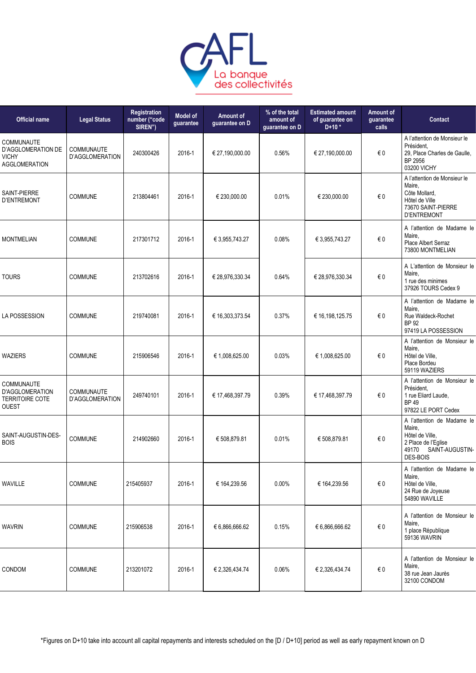

| <b>Official name</b>                                                           | <b>Legal Status</b>                  | Registration<br>number ("code<br>SIREN") | <b>Model of</b><br>guarantee | Amount of<br>guarantee on D | % of the total<br>amount of<br>guarantee on D | <b>Estimated amount</b><br>of guarantee on<br>$D+10*$ | Amount of<br>guarantee<br>calls | Contact                                                                                                                       |
|--------------------------------------------------------------------------------|--------------------------------------|------------------------------------------|------------------------------|-----------------------------|-----------------------------------------------|-------------------------------------------------------|---------------------------------|-------------------------------------------------------------------------------------------------------------------------------|
| <b>COMMUNAUTE</b><br>D'AGGLOMERATION DE<br>VICHY<br><b>AGGLOMERATION</b>       | <b>COMMUNAUTE</b><br>D'AGGLOMERATION | 240300426                                | 2016-1                       | € 27,190,000.00             | 0.56%                                         | € 27,190,000.00                                       | € 0                             | A l'attention de Monsieur le<br>Président.<br>29, Place Charles de Gaulle,<br>BP 2956<br>03200 VICHY                          |
| SAINT-PIERRE<br><b>D'ENTREMONT</b>                                             | COMMUNE                              | 213804461                                | 2016-1                       | € 230,000.00                | 0.01%                                         | € 230,000.00                                          | $\in 0$                         | A l'attention de Monsieur le<br>Maire,<br>Côte Mollard,<br>Hôtel de Ville<br>73670 SAINT-PIERRE<br><b>D'ENTREMONT</b>         |
| <b>MONTMELIAN</b>                                                              | <b>COMMUNE</b>                       | 217301712                                | 2016-1                       | € 3,955,743.27              | 0.08%                                         | € 3,955,743.27                                        | € 0                             | A l'attention de Madame le<br>Maire.<br>Place Albert Serraz<br>73800 MONTMELIAN                                               |
| <b>TOURS</b>                                                                   | <b>COMMUNE</b>                       | 213702616                                | 2016-1                       | € 28,976,330.34             | 0.64%                                         | € 28,976,330.34                                       | €0                              | A L'attention de Monsieur le<br>Maire,<br>1 rue des minimes<br>37926 TOURS Cedex 9                                            |
| <b>LA POSSESSION</b>                                                           | <b>COMMUNE</b>                       | 219740081                                | 2016-1                       | € 16,303,373.54             | 0.37%                                         | € 16,198,125.75                                       | € 0                             | A l'attention de Madame le<br>Maire.<br>Rue Waldeck-Rochet<br><b>BP 92</b><br>97419 LA POSSESSION                             |
| <b>WAZIERS</b>                                                                 | <b>COMMUNE</b>                       | 215906546                                | 2016-1                       | € 1,008,625.00              | 0.03%                                         | € 1,008,625.00                                        | €0                              | A l'attention de Monsieur le<br>Maire,<br>Hôtel de Ville,<br>Place Bordeu<br>59119 WAZIERS                                    |
| COMMUNAUTE<br><b>D'AGGLOMERATION</b><br><b>TERRITOIRE COTE</b><br><b>OUEST</b> | COMMUNAUTE<br>D'AGGLOMERATION        | 249740101                                | 2016-1                       | € 17,468,397.79             | 0.39%                                         | € 17,468,397.79                                       | € 0                             | A l'attention de Monsieur le<br>Président.<br>1 rue Eliard Laude,<br><b>BP49</b><br>97822 LE PORT Cedex                       |
| SAINT-AUGUSTIN-DES-<br><b>BOIS</b>                                             | COMMUNE                              | 214902660                                | 2016-1                       | € 508,879.81                | 0.01%                                         | € 508,879.81                                          | $\in 0$                         | A l'attention de Madame le<br>Maire,<br>Hôtel de Ville,<br>2 Place de l'Eglise<br>49170<br>SAINT-AUGUSTIN-<br><b>DES-BOIS</b> |
| WAVILLE                                                                        | <b>COMMUNE</b>                       | 215405937                                | 2016-1                       | € 164,239.56                | 0.00%                                         | € 164,239.56                                          | $\epsilon$ 0                    | A l'attention de Madame le<br>Maire,<br>Hôtel de Ville,<br>24 Rue de Joyeuse<br>54890 WAVILLE                                 |
| <b>WAVRIN</b>                                                                  | <b>COMMUNE</b>                       | 215906538                                | 2016-1                       | € 6,866,666.62              | 0.15%                                         | € 6,866,666.62                                        | € 0                             | A l'attention de Monsieur le<br>Maire,<br>1 place République<br>59136 WAVRIN                                                  |
| <b>CONDOM</b>                                                                  | <b>COMMUNE</b>                       | 213201072                                | 2016-1                       | € 2,326,434.74              | 0.06%                                         | € 2,326,434.74                                        | €0                              | A l'attention de Monsieur le<br>Maire,<br>38 rue Jean Jaurès<br>32100 CONDOM                                                  |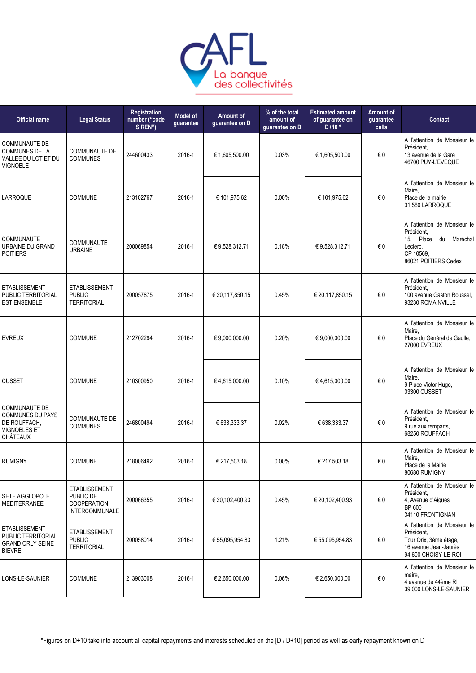

| <b>Official name</b>                                                                               | <b>Legal Status</b>                                                              | Registration<br>number ("code<br>SIREN") | <b>Model of</b><br>guarantee | Amount of<br>guarantee on D | % of the total<br>amount of<br>guarantee on D | <b>Estimated amount</b><br>of guarantee on<br>$D+10*$ | <b>Amount of</b><br>guarantee<br>calls | <b>Contact</b>                                                                                                        |
|----------------------------------------------------------------------------------------------------|----------------------------------------------------------------------------------|------------------------------------------|------------------------------|-----------------------------|-----------------------------------------------|-------------------------------------------------------|----------------------------------------|-----------------------------------------------------------------------------------------------------------------------|
| <b>COMMUNAUTE DE</b><br><b>COMMUNES DE LA</b><br>VALLEE DU LOT ET DU<br><b>VIGNOBLE</b>            | <b>COMMUNAUTE DE</b><br><b>COMMUNES</b>                                          | 244600433                                | 2016-1                       | € 1,605,500.00              | 0.03%                                         | € 1,605,500.00                                        | €0                                     | A l'attention de Monsieur le<br>Président.<br>13 avenue de la Gare<br>46700 PUY-L'EVEQUE                              |
| LARROQUE                                                                                           | COMMUNE                                                                          | 213102767                                | 2016-1                       | € 101,975.62                | 0.00%                                         | € 101,975.62                                          | €0                                     | A l'attention de Monsieur le<br>Maire,<br>Place de la mairie<br>31 580 LARROQUE                                       |
| COMMUNAUTE<br>URBAINE DU GRAND<br><b>POITIERS</b>                                                  | COMMUNAUTE<br><b>URBAINE</b>                                                     | 200069854                                | 2016-1                       | € 9,528,312.71              | 0.18%                                         | € 9,528,312.71                                        | €0                                     | A l'attention de Monsieur le<br>Président,<br>15, Place du Maréchal<br>Leclerc,<br>CP 10569,<br>86021 POITIERS Cedex  |
| <b>ETABLISSEMENT</b><br>PUBLIC TERRITORIAL<br><b>EST ENSEMBLE</b>                                  | <b>ETABLISSEMENT</b><br><b>PUBLIC</b><br><b>TERRITORIAL</b>                      | 200057875                                | 2016-1                       | € 20,117,850.15             | 0.45%                                         | € 20,117,850.15                                       | € 0                                    | A l'attention de Monsieur le<br>Président.<br>100 avenue Gaston Roussel.<br>93230 ROMAINVILLE                         |
| <b>EVREUX</b>                                                                                      | <b>COMMUNE</b>                                                                   | 212702294                                | 2016-1                       | € 9,000,000.00              | 0.20%                                         | € 9,000,000.00                                        | €0                                     | A l'attention de Monsieur le<br>Maire,<br>Place du Général de Gaulle,<br><b>27000 EVREUX</b>                          |
| <b>CUSSET</b>                                                                                      | <b>COMMUNE</b>                                                                   | 210300950                                | 2016-1                       | €4,615,000.00               | 0.10%                                         | €4,615,000.00                                         | € 0                                    | A l'attention de Monsieur le<br>Maire,<br>9 Place Victor Hugo,<br>03300 CUSSET                                        |
| <b>COMMUNAUTE DE</b><br><b>COMMUNES DU PAYS</b><br>DE ROUFFACH,<br><b>VIGNOBLES ET</b><br>CHÂTEAUX | <b>COMMUNAUTE DE</b><br><b>COMMUNES</b>                                          | 246800494                                | 2016-1                       | € 638,333.37                | 0.02%                                         | € 638,333.37                                          | €0                                     | A l'attention de Monsieur le<br>Président,<br>9 rue aux remparts,<br>68250 ROUFFACH                                   |
| <b>RUMIGNY</b>                                                                                     | <b>COMMUNE</b>                                                                   | 218006492                                | 2016-1                       | € 217,503.18                | 0.00%                                         | € 217,503.18                                          | €0                                     | A l'attention de Monsieur le<br>Maire,<br>Place de la Mairie<br>80680 RUMIGNY                                         |
| SETE AGGLOPOLE<br><b>MEDITERRANEE</b>                                                              | <b>ETABLISSEMENT</b><br>PUBLIC DE<br><b>COOPERATION</b><br><b>INTERCOMMUNALE</b> | 200066355                                | 2016-1                       | € 20,102,400.93             | 0.45%                                         | € 20,102,400.93                                       | €0                                     | A l'attention de Monsieur le<br>Président,<br>4, Avenue d'Aigues<br>BP 600<br>34110 FRONTIGNAN                        |
| <b>ETABLISSEMENT</b><br>PUBLIC TERRITORIAL<br><b>GRAND ORLY SEINE</b><br><b>BIEVRE</b>             | <b>ETABLISSEMENT</b><br><b>PUBLIC</b><br><b>TERRITORIAL</b>                      | 200058014                                | 2016-1                       | € 55,095,954.83             | 1.21%                                         | € 55,095,954.83                                       | €0                                     | A l'attention de Monsieur le<br>Président,<br>Tour Orix, 3ème étage,<br>16 avenue Jean-Jaurès<br>94 600 CHOISY-LE-ROI |
| LONS-LE-SAUNIER                                                                                    | <b>COMMUNE</b>                                                                   | 213903008                                | 2016-1                       | € 2,650,000.00              | 0.06%                                         | € 2,650,000.00                                        | $\epsilon$ 0                           | A l'attention de Monsieur le<br>maire,<br>4 avenue de 44ème RI<br>39 000 LONS-LE-SAUNIER                              |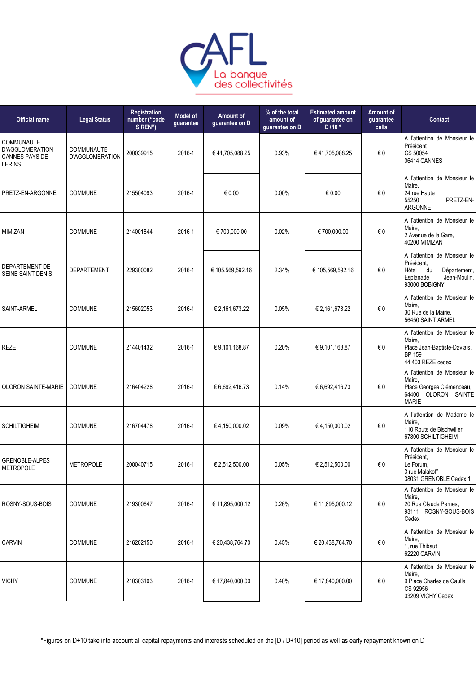

| <b>Official name</b>                                                    | <b>Legal Status</b>           | Registration<br>number ("code<br>SIREN") | <b>Model of</b><br>guarantee | Amount of<br>guarantee on D | % of the total<br>amount of<br>quarantee on D | <b>Estimated amount</b><br>of quarantee on<br>$D+10*$ | <b>Amount of</b><br>guarantee<br>calls | <b>Contact</b>                                                                                                          |
|-------------------------------------------------------------------------|-------------------------------|------------------------------------------|------------------------------|-----------------------------|-----------------------------------------------|-------------------------------------------------------|----------------------------------------|-------------------------------------------------------------------------------------------------------------------------|
| COMMUNAUTE<br><b>D'AGGLOMERATION</b><br>CANNES PAYS DE<br><b>LERINS</b> | COMMUNAUTE<br>D'AGGLOMERATION | 200039915                                | 2016-1                       | €41,705,088.25              | 0.93%                                         | €41,705,088.25                                        | € 0                                    | A l'attention de Monsieur le<br>Président<br>CS 50054<br>06414 CANNES                                                   |
| PRETZ-EN-ARGONNE                                                        | <b>COMMUNE</b>                | 215504093                                | 2016-1                       | € 0,00                      | 0.00%                                         | € 0,00                                                | €0                                     | A l'attention de Monsieur le<br>Maire,<br>24 rue Haute<br>55250<br>PRETZ-EN-<br><b>ARGONNE</b>                          |
| MIMIZAN                                                                 | <b>COMMUNE</b>                | 214001844                                | 2016-1                       | € 700,000.00                | 0.02%                                         | € 700,000.00                                          | €0                                     | A l'attention de Monsieur le<br>Maire,<br>2 Avenue de la Gare,<br>40200 MIMIZAN                                         |
| DEPARTEMENT DE<br>SEINE SAINT DENIS                                     | <b>DEPARTEMENT</b>            | 229300082                                | 2016-1                       | € 105,569,592.16            | 2.34%                                         | € 105,569,592.16                                      | €0                                     | A l'attention de Monsieur le<br>Président,<br>Hôtel<br>du<br>Département,<br>Jean-Moulin,<br>Esplanade<br>93000 BOBIGNY |
| SAINT-ARMEL                                                             | COMMUNE                       | 215602053                                | 2016-1                       | € 2,161,673.22              | 0.05%                                         | € 2,161,673.22                                        | €0                                     | A l'attention de Monsieur le<br>Maire,<br>30 Rue de la Mairie,<br>56450 SAINT ARMEL                                     |
| <b>REZE</b>                                                             | <b>COMMUNE</b>                | 214401432                                | 2016-1                       | € 9,101,168.87              | 0.20%                                         | €9,101,168.87                                         | € 0                                    | A l'attention de Monsieur le<br>Maire,<br>Place Jean-Baptiste-Daviais,<br><b>BP 159</b><br>44 403 REZE cedex            |
| OLORON SAINTE-MARIE                                                     | <b>COMMUNE</b>                | 216404228                                | 2016-1                       | € 6,692,416.73              | 0.14%                                         | € 6,692,416.73                                        | €0                                     | A l'attention de Monsieur le<br>Maire,<br>Place Georges Clémenceau,<br>64400 OLORON SAINTE<br><b>MARIE</b>              |
| <b>SCHILTIGHEIM</b>                                                     | <b>COMMUNE</b>                | 216704478                                | 2016-1                       | €4,150,000.02               | 0.09%                                         | €4,150,000.02                                         | €0                                     | A l'attention de Madame le<br>Maire,<br>110 Route de Bischwiller<br>67300 SCHILTIGHEIM                                  |
| GRENOBLE-ALPES<br><b>METROPOLE</b>                                      | <b>METROPOLE</b>              | 200040715                                | 2016-1                       | € 2,512,500.00              | 0.05%                                         | € 2,512,500.00                                        | $\epsilon$ 0                           | A l'attention de Monsieur le<br>Président,<br>Le Forum,<br>3 rue Malakoff<br>38031 GRENOBLE Cedex 1                     |
| ROSNY-SOUS-BOIS                                                         | <b>COMMUNE</b>                | 219300647                                | 2016-1                       | € 11,895,000.12             | 0.26%                                         | € 11,895,000.12                                       | €0                                     | A l'attention de Monsieur le<br>Maire,<br>20 Rue Claude Pernes,<br>93111 ROSNY-SOUS-BOIS<br>Cedex                       |
| <b>CARVIN</b>                                                           | <b>COMMUNE</b>                | 216202150                                | 2016-1                       | € 20,438,764.70             | 0.45%                                         | € 20,438,764.70                                       | €0                                     | A l'attention de Monsieur le<br>Maire,<br>1, rue Thibaut<br>62220 CARVIN                                                |
| <b>VICHY</b>                                                            | <b>COMMUNE</b>                | 210303103                                | 2016-1                       | € 17,840,000.00             | 0.40%                                         | € 17,840,000.00                                       | $\epsilon$ 0                           | A l'attention de Monsieur le<br>Maire,<br>9 Place Charles de Gaulle<br>CS 92956<br>03209 VICHY Cedex                    |
|                                                                         |                               |                                          |                              |                             |                                               |                                                       |                                        |                                                                                                                         |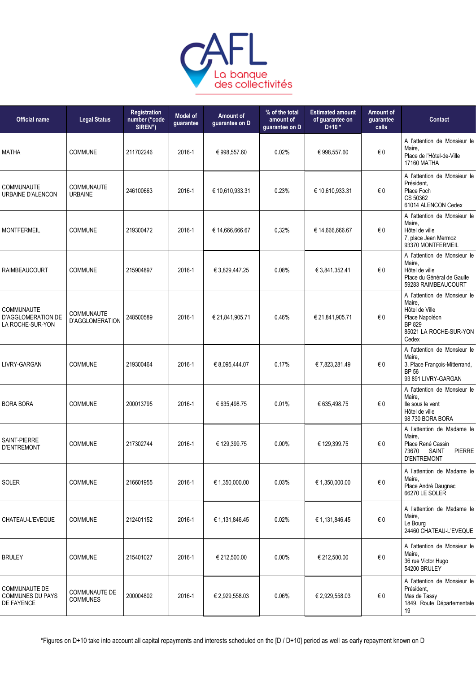

| <b>Official name</b>                                          | <b>Legal Status</b>                  | Registration<br>number ("code<br>SIREN") | <b>Model of</b><br>guarantee | Amount of<br>guarantee on D | % of the total<br>amount of<br>guarantee on D | <b>Estimated amount</b><br>of guarantee on<br>$D+10*$ | <b>Amount of</b><br>quarantee<br>calls | <b>Contact</b>                                                                                                          |
|---------------------------------------------------------------|--------------------------------------|------------------------------------------|------------------------------|-----------------------------|-----------------------------------------------|-------------------------------------------------------|----------------------------------------|-------------------------------------------------------------------------------------------------------------------------|
| <b>MATHA</b>                                                  | <b>COMMUNE</b>                       | 211702246                                | 2016-1                       | € 998,557.60                | 0.02%                                         | € 998,557.60                                          | € 0                                    | A l'attention de Monsieur le<br>Maire.<br>Place de l'Hôtel-de-Ville<br>17160 MATHA                                      |
| <b>COMMUNAUTE</b><br>URBAINE D'ALENCON                        | <b>COMMUNAUTE</b><br><b>URBAINE</b>  | 246100663                                | 2016-1                       | € 10,610,933.31             | 0.23%                                         | € 10,610,933.31                                       | € 0                                    | A l'attention de Monsieur le<br>Président,<br>Place Foch<br>CS 50362<br>61014 ALENCON Cedex                             |
| <b>MONTFERMEIL</b>                                            | <b>COMMUNE</b>                       | 219300472                                | 2016-1                       | € 14,666,666.67             | 0,32%                                         | € 14,666,666.67                                       | €0                                     | A l'attention de Monsieur le<br>Maire.<br>Hôtel de ville<br>7, place Jean Mermoz<br>93370 MONTFERMEIL                   |
| <b>RAIMBEAUCOURT</b>                                          | <b>COMMUNE</b>                       | 215904897                                | 2016-1                       | € 3,829,447.25              | 0.08%                                         | € 3,841,352.41                                        | € 0                                    | A l'attention de Monsieur le<br>Maire,<br>Hôtel de ville<br>Place du Général de Gaulle<br>59283 RAIMBEAUCOURT           |
| COMMUNAUTE<br>D'AGGLOMERATION DE<br>LA ROCHE-SUR-YON          | <b>COMMUNAUTE</b><br>D'AGGLOMERATION | 248500589                                | 2016-1                       | € 21,841,905.71             | 0.46%                                         | € 21,841,905.71                                       | € 0                                    | A l'attention de Monsieur le<br>Maire,<br>Hôtel de Ville<br>Place Napoléon<br>BP 829<br>85021 LA ROCHE-SUR-YON<br>Cedex |
| LIVRY-GARGAN                                                  | <b>COMMUNE</b>                       | 219300464                                | 2016-1                       | € 8,095,444.07              | 0.17%                                         | € 7,823,281.49                                        | € 0                                    | A l'attention de Monsieur le<br>Maire.<br>3, Place François-Mitterrand,<br><b>BP 56</b><br>93 891 LIVRY-GARGAN          |
| <b>BORA BORA</b>                                              | <b>COMMUNE</b>                       | 200013795                                | 2016-1                       | € 635,498.75                | 0.01%                                         | € 635,498.75                                          | €0                                     | A l'attention de Monsieur le<br>Maire,<br>lle sous le vent<br>Hôtel de ville<br>98 730 BORA BORA                        |
| SAINT-PIERRE<br><b>D'ENTREMONT</b>                            | COMMUNE                              | 217302744                                | 2016-1                       | € 129,399.75                | 0.00%                                         | € 129,399.75                                          | €0                                     | A l'attention de Madame le<br>Maire,<br>Place René Cassin<br><b>PIERRE</b><br>73670<br>SAINT<br><b>D'ENTREMONT</b>      |
| SOLER                                                         | <b>COMMUNE</b>                       | 216601955                                | 2016-1                       | € 1,350,000.00              | 0.03%                                         | € 1,350,000.00                                        | $\in 0$                                | A l'attention de Madame le<br>Maire,<br>Place André Daugnac<br>66270 LE SOLER                                           |
| CHATEAU-L'EVEQUE                                              | <b>COMMUNE</b>                       | 212401152                                | 2016-1                       | € 1,131,846.45              | 0.02%                                         | € 1,131,846.45                                        | $\epsilon$ 0                           | A l'attention de Madame le<br>Maire,<br>Le Bourg<br>24460 CHATEAU-L'EVEQUE                                              |
| <b>BRULEY</b>                                                 | <b>COMMUNE</b>                       | 215401027                                | 2016-1                       | € 212,500.00                | 0.00%                                         | € 212,500.00                                          | $\in 0$                                | A l'attention de Monsieur le<br>Maire,<br>36 rue Victor Hugo<br>54200 BRULEY                                            |
| <b>COMMUNAUTE DE</b><br><b>COMMUNES DU PAYS</b><br>DE FAYENCE | COMMUNAUTE DE<br><b>COMMUNES</b>     | 200004802                                | 2016-1                       | € 2,929,558.03              | 0.06%                                         | € 2,929,558.03                                        | $\in 0$                                | A l'attention de Monsieur le<br>Président,<br>Mas de Tassy<br>1849, Route Départementale<br>19                          |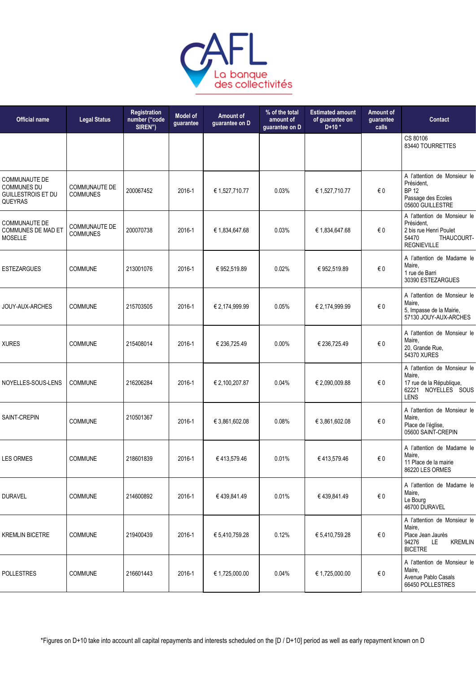

| <b>Official name</b>                                                               | <b>Legal Status</b>                     | Registration<br>number ("code<br>SIREN") | <b>Model of</b><br>guarantee | Amount of<br>guarantee on D | % of the total<br>amount of<br>quarantee on D | <b>Estimated amount</b><br>of guarantee on<br>$D+10*$ | Amount of<br>guarantee<br>calls | <b>Contact</b>                                                                                                    |
|------------------------------------------------------------------------------------|-----------------------------------------|------------------------------------------|------------------------------|-----------------------------|-----------------------------------------------|-------------------------------------------------------|---------------------------------|-------------------------------------------------------------------------------------------------------------------|
|                                                                                    |                                         |                                          |                              |                             |                                               |                                                       |                                 | CS 80106<br>83440 TOURRETTES                                                                                      |
| <b>COMMUNAUTE DE</b><br><b>COMMUNES DU</b><br><b>GUILLESTROIS ET DU</b><br>QUEYRAS | <b>COMMUNAUTE DE</b><br><b>COMMUNES</b> | 200067452                                | 2016-1                       | € 1,527,710.77              | 0.03%                                         | € 1,527,710.77                                        | €0                              | A l'attention de Monsieur le<br>Président.<br><b>BP 12</b><br>Passage des Ecoles<br>05600 GUILLESTRE              |
| <b>COMMUNAUTE DE</b><br>COMMUNES DE MAD ET<br><b>MOSELLE</b>                       | <b>COMMUNAUTE DE</b><br><b>COMMUNES</b> | 200070738                                | 2016-1                       | € 1,834,647.68              | 0.03%                                         | € 1,834,647.68                                        | €0                              | A l'attention de Monsieur le<br>Président,<br>2 bis rue Henri Poulet<br>54470<br>THAUCOURT-<br><b>REGNIEVILLE</b> |
| <b>ESTEZARGUES</b>                                                                 | COMMUNE                                 | 213001076                                | 2016-1                       | €952,519.89                 | 0.02%                                         | € 952,519.89                                          | €0                              | A l'attention de Madame le<br>Maire,<br>1 rue de Barri<br>30390 ESTEZARGUES                                       |
| JOUY-AUX-ARCHES                                                                    | <b>COMMUNE</b>                          | 215703505                                | 2016-1                       | € 2,174,999.99              | 0.05%                                         | € 2,174,999.99                                        | €0                              | A l'attention de Monsieur le<br>Maire,<br>5, Impasse de la Mairie,<br>57130 JOUY-AUX-ARCHES                       |
| <b>XURES</b>                                                                       | <b>COMMUNE</b>                          | 215408014                                | 2016-1                       | € 236,725.49                | 0.00%                                         | € 236,725.49                                          | €0                              | A l'attention de Monsieur le<br>Maire,<br>20, Grande Rue,<br>54370 XURES                                          |
| NOYELLES-SOUS-LENS                                                                 | <b>COMMUNE</b>                          | 216206284                                | 2016-1                       | € 2,100,207.87              | 0.04%                                         | € 2,090,009.88                                        | €0                              | A l'attention de Monsieur le<br>Maire,<br>17 rue de la République,<br>62221<br>NOYELLES SOUS<br><b>LENS</b>       |
| SAINT-CREPIN                                                                       | COMMUNE                                 | 210501367                                | 2016-1                       | € 3,861,602.08              | 0.08%                                         | € 3,861,602.08                                        | €0                              | A l'attention de Monsieur le<br>Maire,<br>Place de l'église,<br>05600 SAINT-CREPIN                                |
| <b>LES ORMES</b>                                                                   | COMMUNE                                 | 218601839                                | 2016-1                       | €413,579.46                 | 0.01%                                         | €413,579.46                                           | €0                              | A l'attention de Madame le<br>Maire,<br>11 Place de la mairie<br>86220 LES ORMES                                  |
| <b>DURAVEL</b>                                                                     | <b>COMMUNE</b>                          | 214600892                                | 2016-1                       | € 439,841.49                | 0.01%                                         | €439,841.49                                           | $\epsilon$ 0                    | A l'attention de Madame le<br>Maire,<br>Le Bourg<br>46700 DURAVEL                                                 |
| <b>KREMLIN BICETRE</b>                                                             | <b>COMMUNE</b>                          | 219400439                                | 2016-1                       | € 5,410,759.28              | 0.12%                                         | € 5,410,759.28                                        | €0                              | A l'attention de Monsieur le<br>Maire,<br>Place Jean Jaurès<br>94276<br>LE<br><b>KREMLIN</b><br><b>BICETRE</b>    |
| <b>POLLESTRES</b>                                                                  | COMMUNE                                 | 216601443                                | 2016-1                       | € 1,725,000.00              | 0.04%                                         | € 1,725,000.00                                        | $\epsilon$ 0                    | A l'attention de Monsieur le<br>Maire,<br>Avenue Pablo Casals<br>66450 POLLESTRES                                 |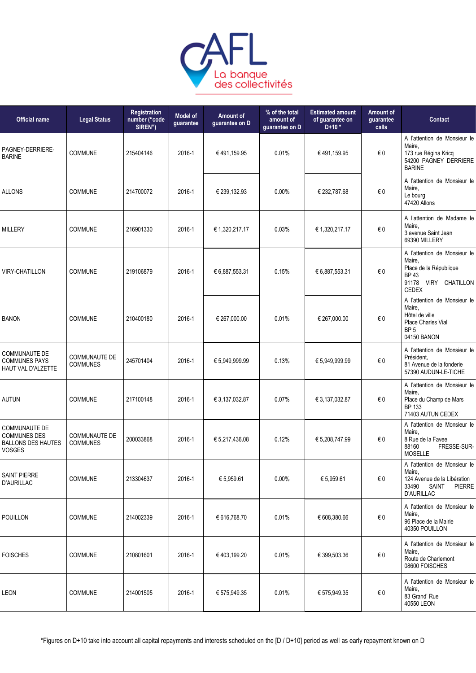

| <b>Official name</b>                                                                      | <b>Legal Status</b>                     | Registration<br>number ("code<br>SIREN") | <b>Model of</b><br>guarantee | Amount of<br>guarantee on D | % of the total<br>amount of<br>guarantee on D | <b>Estimated amount</b><br>of guarantee on<br>$D+10*$ | Amount of<br>guarantee<br>calls | Contact                                                                                                                    |
|-------------------------------------------------------------------------------------------|-----------------------------------------|------------------------------------------|------------------------------|-----------------------------|-----------------------------------------------|-------------------------------------------------------|---------------------------------|----------------------------------------------------------------------------------------------------------------------------|
| PAGNEY-DERRIERE-<br><b>BARINE</b>                                                         | <b>COMMUNE</b>                          | 215404146                                | 2016-1                       | €491.159.95                 | 0.01%                                         | € 491,159.95                                          | € 0                             | A l'attention de Monsieur le<br>Maire,<br>173 rue Régina Kricq<br>54200 PAGNEY DERRIERE<br><b>BARINE</b>                   |
| <b>ALLONS</b>                                                                             | COMMUNE                                 | 214700072                                | 2016-1                       | € 239,132.93                | 0.00%                                         | € 232,787.68                                          | $\in 0$                         | A l'attention de Monsieur le<br>Maire,<br>Le bourg<br>47420 Allons                                                         |
| <b>MILLERY</b>                                                                            | COMMUNE                                 | 216901330                                | 2016-1                       | € 1,320,217.17              | 0.03%                                         | € 1,320,217.17                                        | €0                              | A l'attention de Madame le<br>Maire,<br>3 avenue Saint Jean<br>69390 MILLERY                                               |
| <b>VIRY-CHATILLON</b>                                                                     | <b>COMMUNE</b>                          | 219106879                                | 2016-1                       | € 6,887,553.31              | 0.15%                                         | € 6,887,553.31                                        | €0                              | A l'attention de Monsieur le<br>Maire,<br>Place de la République<br><b>BP43</b><br>91178<br>VIRY CHATILLON<br><b>CEDEX</b> |
| <b>BANON</b>                                                                              | <b>COMMUNE</b>                          | 210400180                                | 2016-1                       | € 267,000.00                | 0.01%                                         | € 267,000.00                                          | €0                              | A l'attention de Monsieur le<br>Maire,<br>Hôtel de ville<br>Place Charles Vial<br>BP <sub>5</sub><br>04150 BANON           |
| <b>COMMUNAUTE DE</b><br><b>COMMUNES PAYS</b><br>HAUT VAL D'ALZETTE                        | COMMUNAUTE DE<br><b>COMMUNES</b>        | 245701404                                | 2016-1                       | € 5,949,999.99              | 0.13%                                         | € 5,949,999.99                                        | $\in 0$                         | A l'attention de Monsieur le<br>Président.<br>81 Avenue de la fonderie<br>57390 AUDUN-LE-TICHE                             |
| <b>AUTUN</b>                                                                              | COMMUNE                                 | 217100148                                | 2016-1                       | € 3,137,032.87              | 0.07%                                         | € 3,137,032.87                                        | €0                              | A l'attention de Monsieur le<br>Maire,<br>Place du Champ de Mars<br><b>BP 133</b><br>71403 AUTUN CEDEX                     |
| <b>COMMUNAUTE DE</b><br><b>COMMUNES DES</b><br><b>BALLONS DES HAUTES</b><br><b>VOSGES</b> | <b>COMMUNAUTE DE</b><br><b>COMMUNES</b> | 200033868                                | 2016-1                       | € 5,217,436.08              | 0.12%                                         | € 5,208,747.99                                        | € 0                             | A l'attention de Monsieur le<br>Maire,<br>8 Rue de la Favee<br>FRESSE-SUR-<br>88160<br><b>MOSELLE</b>                      |
| <b>SAINT PIERRE</b><br>D'AURILLAC                                                         | <b>COMMUNE</b>                          | 213304637                                | 2016-1                       | € 5,959.61                  | 0.00%                                         | € 5,959.61                                            | €0                              | A l'attention de Monsieur le<br>Maire,<br>124 Avenue de la Libération<br>33490<br>SAINT<br><b>PIERRE</b><br>D'AURILLAC     |
| POUILLON                                                                                  | <b>COMMUNE</b>                          | 214002339                                | 2016-1                       | € 616,768.70                | 0.01%                                         | € 608,380.66                                          | $\epsilon$ 0                    | A l'attention de Monsieur le<br>Maire,<br>96 Place de la Mairie<br>40350 POUILLON                                          |
| <b>FOISCHES</b>                                                                           | <b>COMMUNE</b>                          | 210801601                                | 2016-1                       | €403,199.20                 | 0.01%                                         | € 399,503.36                                          | $\epsilon$ 0                    | A l'attention de Monsieur le<br>Maire,<br>Route de Charlemont<br>08600 FOISCHES                                            |
| LEON                                                                                      | COMMUNE                                 | 214001505                                | 2016-1                       | € 575,949.35                | 0.01%                                         | € 575,949.35                                          | $\epsilon$ 0                    | A l'attention de Monsieur le<br>Maire,<br>83 Grand' Rue<br>40550 LEON                                                      |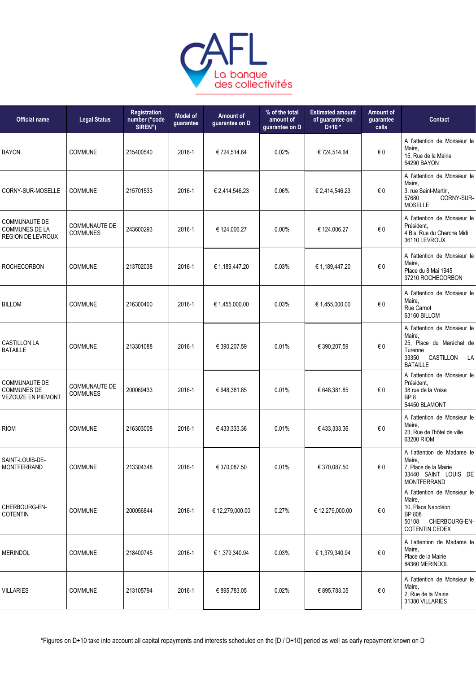

| <b>Official name</b>                                                      | <b>Legal Status</b>                     | Registration<br>number ("code<br>SIREN") | <b>Model of</b><br>guarantee | Amount of<br>guarantee on D | % of the total<br>amount of<br>guarantee on D | <b>Estimated amount</b><br>of guarantee on<br>$D+10*$ | Amount of<br>guarantee<br>calls | Contact                                                                                                                   |
|---------------------------------------------------------------------------|-----------------------------------------|------------------------------------------|------------------------------|-----------------------------|-----------------------------------------------|-------------------------------------------------------|---------------------------------|---------------------------------------------------------------------------------------------------------------------------|
| <b>BAYON</b>                                                              | <b>COMMUNE</b>                          | 215400540                                | 2016-1                       | € 724,514.64                | 0.02%                                         | € 724,514.64                                          | $\in 0$                         | A l'attention de Monsieur le<br>Maire.<br>15, Rue de la Mairie<br>54290 BAYON                                             |
| CORNY-SUR-MOSELLE                                                         | <b>COMMUNE</b>                          | 215701533                                | 2016-1                       | € 2,414,546.23              | 0.06%                                         | € 2,414,546.23                                        | €0                              | A l'attention de Monsieur le<br>Maire,<br>3, rue Saint-Martin,<br>57680<br>CORNY-SUR-<br>MOSELLE                          |
| <b>COMMUNAUTE DE</b><br><b>COMMUNES DE LA</b><br><b>REGION DE LEVROUX</b> | <b>COMMUNAUTE DE</b><br><b>COMMUNES</b> | 243600293                                | 2016-1                       | € 124,006.27                | 0.00%                                         | € 124,006.27                                          | €0                              | A l'attention de Monsieur le<br>Président.<br>4 Bis, Rue du Cherche Midi<br>36110 LEVROUX                                 |
| <b>ROCHECORBON</b>                                                        | <b>COMMUNE</b>                          | 213702038                                | 2016-1                       | € 1,189,447.20              | 0.03%                                         | € 1,189,447.20                                        | $\in 0$                         | A l'attention de Monsieur le<br>Maire,<br>Place du 8 Mai 1945<br>37210 ROCHECORBON                                        |
| <b>BILLOM</b>                                                             | <b>COMMUNE</b>                          | 216300400                                | 2016-1                       | € 1,455,000.00              | 0.03%                                         | € 1,455,000.00                                        | $\epsilon$ 0                    | A l'attention de Monsieur le<br>Maire.<br>Rue Carnot<br>63160 BILLOM                                                      |
| <b>CASTILLON LA</b><br><b>BATAILLE</b>                                    | <b>COMMUNE</b>                          | 213301088                                | 2016-1                       | € 390,207.59                | 0.01%                                         | € 390,207.59                                          | €0                              | A l'attention de Monsieur le<br>Maire,<br>25, Place du Maréchal de<br>Turenne<br>33350<br>CASTILLON LA<br><b>BATAILLE</b> |
| COMMUNAUTE DE<br><b>COMMUNES DE</b><br><b>VEZOUZE EN PIEMONT</b>          | <b>COMMUNAUTE DE</b><br><b>COMMUNES</b> | 200069433                                | 2016-1                       | € 648,381.85                | 0.01%                                         | € 648,381.85                                          | €0                              | A l'attention de Monsieur le<br>Président.<br>38 rue de la Voise<br>BP <sub>8</sub><br>54450 BLAMONT                      |
| <b>RIOM</b>                                                               | <b>COMMUNE</b>                          | 216303008                                | 2016-1                       | € 433,333.36                | 0.01%                                         | € 433,333.36                                          | €0                              | A l'attention de Monsieur le<br>Maire.<br>23, Rue de l'hôtel de ville<br>63200 RIOM                                       |
| SAINT-LOUIS-DE-<br><b>MONTFERRAND</b>                                     | <b>COMMUNE</b>                          | 213304348                                | 2016-1                       | € 370,087.50                | 0.01%                                         | € 370,087.50                                          | €0                              | A l'attention de Madame le<br>Maire,<br>7, Place de la Mairie<br>33440 SAINT LOUIS DE<br><b>MONTFERRAND</b>               |
| CHERBOURG-EN-<br><b>COTENTIN</b>                                          | <b>COMMUNE</b>                          | 200056844                                | 2016-1                       | € 12,279,000.00             | 0.27%                                         | € 12,279,000.00                                       | $\in 0$                         | A l'attention de Monsieur le<br>Maire,<br>10, Place Napoléon<br>BP 808<br>50108<br>CHERBOURG-EN-<br>COTENTIN CEDEX        |
| <b>MERINDOL</b>                                                           | <b>COMMUNE</b>                          | 218400745                                | 2016-1                       | € 1,379,340.94              | 0.03%                                         | € 1,379,340.94                                        | €0                              | A l'attention de Madame le<br>Maire,<br>Place de la Mairie<br>84360 MERINDOL                                              |
| <b>VILLARIES</b>                                                          | <b>COMMUNE</b>                          | 213105794                                | 2016-1                       | € 895,783.05                | 0.02%                                         | € 895,783.05                                          | €0                              | A l'attention de Monsieur le<br>Maire,<br>2, Rue de la Mairie<br>31380 VILLARIES                                          |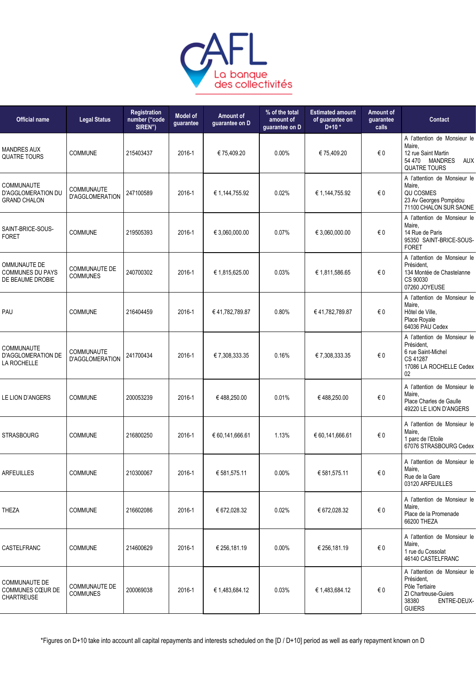

| <b>Official name</b>                                          | <b>Legal Status</b>                         | Registration<br>number ("code<br>SIREN") | <b>Model of</b><br>guarantee | Amount of<br>guarantee on D | % of the total<br>amount of<br>quarantee on D | <b>Estimated amount</b><br>of guarantee on<br>$D+10*$ | <b>Amount of</b><br>guarantee<br>calls | <b>Contact</b>                                                                                                                |
|---------------------------------------------------------------|---------------------------------------------|------------------------------------------|------------------------------|-----------------------------|-----------------------------------------------|-------------------------------------------------------|----------------------------------------|-------------------------------------------------------------------------------------------------------------------------------|
| <b>MANDRES AUX</b><br><b>QUATRE TOURS</b>                     | <b>COMMUNE</b>                              | 215403437                                | 2016-1                       | € 75,409.20                 | $0.00\%$                                      | € 75,409.20                                           | € 0                                    | A l'attention de Monsieur le<br>Maire,<br>12 rue Saint Martin<br>54 470<br><b>MANDRES</b><br>AUX<br><b>QUATRE TOURS</b>       |
| COMMUNAUTE<br>D'AGGLOMERATION DU<br><b>GRAND CHALON</b>       | <b>COMMUNAUTE</b><br><b>D'AGGLOMERATION</b> | 247100589                                | 2016-1                       | € 1,144,755.92              | 0.02%                                         | € 1,144,755.92                                        | €0                                     | A l'attention de Monsieur le<br>Maire,<br>QU COSMES<br>23 Av Georges Pompidou<br>71100 CHALON SUR SAONE                       |
| SAINT-BRICE-SOUS-<br><b>FORET</b>                             | <b>COMMUNE</b>                              | 219505393                                | 2016-1                       | € 3,060,000.00              | 0.07%                                         | € 3,060,000.00                                        | € 0                                    | A l'attention de Monsieur le<br>Maire,<br>14 Rue de Paris<br>95350 SAINT-BRICE-SOUS-<br><b>FORET</b>                          |
| OMMUNAUTE DE<br><b>COMMUNES DU PAYS</b><br>DE BEAUME DROBIE   | <b>COMMUNAUTE DE</b><br><b>COMMUNES</b>     | 240700302                                | 2016-1                       | € 1,815,625.00              | 0.03%                                         | € 1,811,586.65                                        | €0                                     | A l'attention de Monsieur le<br>Président,<br>134 Montée de Chastelanne<br>CS 90030<br>07260 JOYEUSE                          |
| PAU                                                           | COMMUNE                                     | 216404459                                | 2016-1                       | €41,782,789.87              | 0.80%                                         | €41,782,789.87                                        | €0                                     | A l'attention de Monsieur le<br>Maire,<br>Hôtel de Ville,<br>Place Royale<br>64036 PAU Cedex                                  |
| COMMUNAUTE<br><b>D'AGGLOMERATION DE</b><br>LA ROCHELLE        | <b>COMMUNAUTE</b><br><b>D'AGGLOMERATION</b> | 241700434                                | 2016-1                       | € 7,308,333.35              | 0.16%                                         | € 7,308,333.35                                        | €0                                     | A l'attention de Monsieur le<br>Président,<br>6 rue Saint-Michel<br>CS 41287<br>17086 LA ROCHELLE Cedex<br>02                 |
| LE LION D'ANGERS                                              | COMMUNE                                     | 200053239                                | 2016-1                       | €488,250.00                 | 0.01%                                         | €488,250.00                                           | €0                                     | A l'attention de Monsieur le<br>Maire,<br>Place Charles de Gaulle<br>49220 LE LION D'ANGERS                                   |
| <b>STRASBOURG</b>                                             | <b>COMMUNE</b>                              | 216800250                                | 2016-1                       | € 60,141,666.61             | 1.13%                                         | € 60,141,666.61                                       | €0                                     | A l'attention de Monsieur le<br>Maire,<br>1 parc de l'Etoile<br>67076 STRASBOURG Cedex                                        |
| <b>ARFEUILLES</b>                                             | <b>COMMUNE</b>                              | 210300067                                | 2016-1                       | € 581,575.11                | 0.00%                                         | € 581,575.11                                          | $\in 0$                                | A l'attention de Monsieur le<br>Maire,<br>Rue de la Gare<br>03120 ARFEUILLES                                                  |
| THEZA                                                         | <b>COMMUNE</b>                              | 216602086                                | 2016-1                       | € 672,028.32                | 0.02%                                         | € 672,028.32                                          | $\epsilon$ 0                           | A l'attention de Monsieur le<br>Maire,<br>Place de la Promenade<br>66200 THEZA                                                |
| CASTELFRANC                                                   | <b>COMMUNE</b>                              | 214600629                                | 2016-1                       | € 256,181.19                | 0.00%                                         | € 256,181.19                                          | $\epsilon$ 0                           | A l'attention de Monsieur le<br>Maire,<br>1 rue du Cossolat<br>46140 CASTELFRANC                                              |
| <b>COMMUNAUTE DE</b><br>COMMUNES CŒUR DE<br><b>CHARTREUSE</b> | COMMUNAUTE DE<br><b>COMMUNES</b>            | 200069038                                | 2016-1                       | € 1,483,684.12              | 0.03%                                         | € 1,483,684.12                                        | $\epsilon$ 0                           | A l'attention de Monsieur le<br>Président,<br>Pôle Tertiaire<br>ZI Chartreuse-Guiers<br>38380<br>ENTRE-DEUX-<br><b>GUIERS</b> |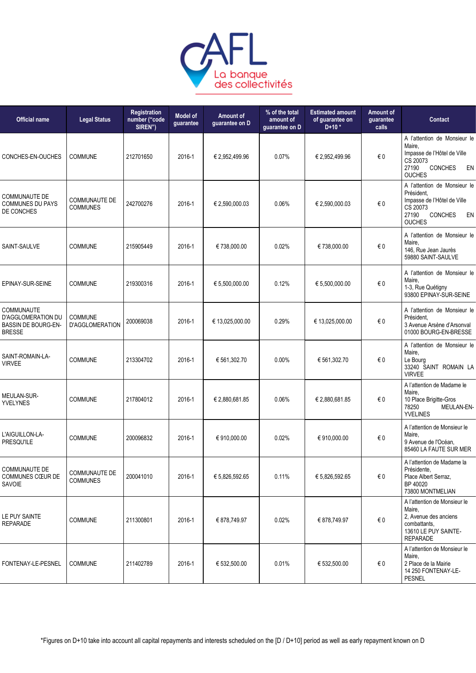

| <b>Official name</b>                                                     | <b>Legal Status</b>                     | <b>Registration</b><br>number ("code<br>SIREN") | <b>Model of</b><br>guarantee | Amount of<br>guarantee on D | % of the total<br>amount of<br>quarantee on D | <b>Estimated amount</b><br>of guarantee on<br>$D+10*$ | <b>Amount of</b><br>guarantee<br>calls | Contact                                                                                                                                 |
|--------------------------------------------------------------------------|-----------------------------------------|-------------------------------------------------|------------------------------|-----------------------------|-----------------------------------------------|-------------------------------------------------------|----------------------------------------|-----------------------------------------------------------------------------------------------------------------------------------------|
| CONCHES-EN-OUCHES                                                        | <b>COMMUNE</b>                          | 212701650                                       | 2016-1                       | € 2,952,499.96              | 0.07%                                         | € 2,952,499.96                                        | €0                                     | A l'attention de Monsieur le<br>Maire.<br>Impasse de l'Hôtel de Ville<br>CS 20073<br>27190<br><b>CONCHES</b><br>EN<br><b>OUCHES</b>     |
| <b>COMMUNAUTE DE</b><br><b>COMMUNES DU PAYS</b><br>DE CONCHES            | <b>COMMUNAUTE DE</b><br><b>COMMUNES</b> | 242700276                                       | 2016-1                       | € 2,590,000.03              | 0.06%                                         | € 2,590,000.03                                        | €0                                     | A l'attention de Monsieur le<br>Président,<br>Impasse de l'Hôtel de Ville<br>CS 20073<br>27190<br><b>CONCHES</b><br>EN<br><b>OUCHES</b> |
| SAINT-SAULVE                                                             | COMMUNE                                 | 215905449                                       | 2016-1                       | €738,000.00                 | 0.02%                                         | €738,000.00                                           | €0                                     | A l'attention de Monsieur le<br>Maire,<br>146, Rue Jean Jaurès<br>59880 SAINT-SAULVE                                                    |
| EPINAY-SUR-SEINE                                                         | <b>COMMUNE</b>                          | 219300316                                       | 2016-1                       | € 5,500,000.00              | 0.12%                                         | € 5,500,000.00                                        | €0                                     | A l'attention de Monsieur le<br>Maire,<br>1-3, Rue Quétigny<br>93800 EPINAY-SUR-SEINE                                                   |
| COMMUNAUTE<br>D'AGGLOMERATION DU<br>BASSIN DE BOURG-EN-<br><b>BRESSE</b> | <b>COMMUNE</b><br>D'AGGLOMERATION       | 200069038                                       | 2016-1                       | € 13,025,000.00             | 0.29%                                         | € 13,025,000.00                                       | €0                                     | A l'attention de Monsieur le<br>Président.<br>3 Avenue Arsène d'Arsonval<br>01000 BOURG-EN-BRESSE                                       |
| SAINT-ROMAIN-LA-<br><b>VIRVEE</b>                                        | COMMUNE                                 | 213304702                                       | 2016-1                       | € 561,302.70                | 0.00%                                         | € 561,302.70                                          | €0                                     | A l'attention de Monsieur le<br>Maire,<br>Le Bourg<br>33240 SAINT ROMAIN LA<br><b>VIRVEE</b>                                            |
| MEULAN-SUR-<br><b>YVELYNES</b>                                           | <b>COMMUNE</b>                          | 217804012                                       | 2016-1                       | € 2,880,681.85              | 0.06%                                         | € 2,880,681.85                                        | €0                                     | A l'attention de Madame le<br>Maire,<br>10 Place Brigitte-Gros<br>78250<br>MEULAN-EN-<br><b>YVELINES</b>                                |
| L'AIGUILLON-LA-<br><b>PRESQU'ILE</b>                                     | COMMUNE                                 | 200096832                                       | 2016-1                       | €910,000.00                 | 0.02%                                         | € 910,000.00                                          | €0                                     | A l'attention de Monsieur le<br>Maire,<br>9 Avenue de l'Océan,<br>85460 LA FAUTE SUR MER                                                |
| <b>COMMUNAUTE DE</b><br>COMMUNES CŒUR DE<br>SAVOIE                       | <b>COMMUNAUTE DE</b><br><b>COMMUNES</b> | 200041010                                       | 2016-1                       | € 5,826,592.65              | 0.11%                                         | € 5,826,592.65                                        | €0                                     | A l'attention de Madame la<br>Présidente,<br>Place Albert Serraz,<br>BP 40020<br>73800 MONTMELIAN                                       |
| LE PUY SAINTE<br><b>REPARADE</b>                                         | <b>COMMUNE</b>                          | 211300801                                       | 2016-1                       | € 878,749.97                | 0.02%                                         | € 878,749.97                                          | €0                                     | A l'attention de Monsieur le<br>Maire,<br>2, Avenue des anciens<br>combattants,<br>13610 LE PUY SAINTE-<br><b>REPARADE</b>              |
| FONTENAY-LE-PESNEL                                                       | <b>COMMUNE</b>                          | 211402789                                       | 2016-1                       | € 532,500.00                | 0.01%                                         | € 532,500.00                                          | €0                                     | A l'attention de Monsieur le<br>Maire,<br>2 Place de la Mairie<br>14 250 FONTENAY-LE-<br><b>PESNEL</b>                                  |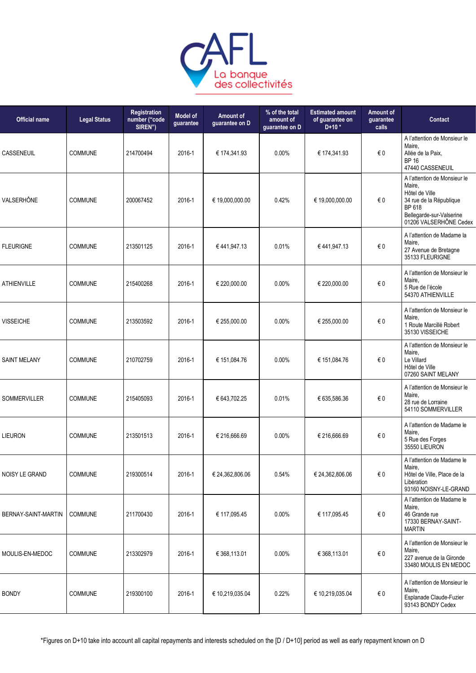

| <b>Official name</b> | <b>Legal Status</b> | Registration<br>number ("code<br>SIREN") | <b>Model of</b><br>guarantee | Amount of<br>guarantee on D | % of the total<br>amount of<br>guarantee on D | <b>Estimated amount</b><br>of quarantee on<br>$D+10*$ | Amount of<br>guarantee<br>calls | Contact                                                                                                                                             |
|----------------------|---------------------|------------------------------------------|------------------------------|-----------------------------|-----------------------------------------------|-------------------------------------------------------|---------------------------------|-----------------------------------------------------------------------------------------------------------------------------------------------------|
| CASSENEUIL           | <b>COMMUNE</b>      | 214700494                                | 2016-1                       | € 174,341.93                | 0.00%                                         | € 174,341.93                                          | €0                              | A l'attention de Monsieur le<br>Maire,<br>Allée de la Paix,<br><b>BP 16</b><br>47440 CASSENEUIL                                                     |
| VALSERHÔNE           | <b>COMMUNE</b>      | 200067452                                | 2016-1                       | € 19,000,000.00             | 0.42%                                         | € 19,000,000.00                                       | €0                              | A l'attention de Monsieur le<br>Maire,<br>Hôtel de Ville<br>34 rue de la République<br>BP 618<br>Bellegarde-sur-Valserine<br>01206 VALSERHÔNE Cedex |
| <b>FLEURIGNE</b>     | <b>COMMUNE</b>      | 213501125                                | 2016-1                       | €441,947.13                 | 0.01%                                         | €441,947.13                                           | $\in 0$                         | A l'attention de Madame la<br>Maire,<br>27 Avenue de Bretagne<br>35133 FLEURIGNE                                                                    |
| <b>ATHIENVILLE</b>   | COMMUNE             | 215400268                                | 2016-1                       | € 220,000.00                | 0.00%                                         | € 220,000.00                                          | $\in 0$                         | A l'attention de Monsieur le<br>Maire,<br>5 Rue de l'école<br>54370 ATHIENVILLE                                                                     |
| <b>VISSEICHE</b>     | COMMUNE             | 213503592                                | 2016-1                       | € 255,000.00                | 0.00%                                         | € 255,000.00                                          | €0                              | A l'attention de Monsieur le<br>Maire,<br>1 Route Marcillé Robert<br>35130 VISSEICHE                                                                |
| <b>SAINT MELANY</b>  | <b>COMMUNE</b>      | 210702759                                | 2016-1                       | € 151,084.76                | $0.00\%$                                      | € 151,084.76                                          | €0                              | A l'attention de Monsieur le<br>Maire,<br>Le Villard<br>Hôtel de Ville<br>07260 SAINT MELANY                                                        |
| SOMMERVILLER         | <b>COMMUNE</b>      | 215405093                                | 2016-1                       | € 643,702.25                | 0.01%                                         | € 635,586.36                                          | €0                              | A l'attention de Monsieur le<br>Maire,<br>28 rue de Lorraine<br>54110 SOMMERVILLER                                                                  |
| <b>LIEURON</b>       | <b>COMMUNE</b>      | 213501513                                | 2016-1                       | € 216,666.69                | 0.00%                                         | € 216,666.69                                          | €0                              | A l'attention de Madame le<br>Maire,<br>5 Rue des Forges<br>35550 LIEURON                                                                           |
| NOISY LE GRAND       | <b>COMMUNE</b>      | 219300514                                | 2016-1                       | € 24,362,806.06             | 0.54%                                         | € 24,362,806.06                                       | $\in 0$                         | A l'attention de Madame le<br>Maire,<br>Hôtel de Ville, Place de la<br>Libération<br>93160 NOISNY-LE-GRAND                                          |
| BERNAY-SAINT-MARTIN  | <b>COMMUNE</b>      | 211700430                                | 2016-1                       | € 117,095.45                | $0.00\%$                                      | € 117,095.45                                          | €0                              | A l'attention de Madame le<br>Maire,<br>46 Grande rue<br>17330 BERNAY-SAINT-<br><b>MARTIN</b>                                                       |
| MOULIS-EN-MEDOC      | <b>COMMUNE</b>      | 213302979                                | 2016-1                       | € 368,113.01                | $0.00\%$                                      | € 368,113.01                                          | $\epsilon$ 0                    | A l'attention de Monsieur le<br>Maire,<br>227 avenue de la Gironde<br>33480 MOULIS EN MEDOC                                                         |
| <b>BONDY</b>         | COMMUNE             | 219300100                                | 2016-1                       | € 10,219,035.04             | 0.22%                                         | € 10,219,035.04                                       | €0                              | A l'attention de Monsieur le<br>Maire,<br>Esplanade Claude-Fuzier<br>93143 BONDY Cedex                                                              |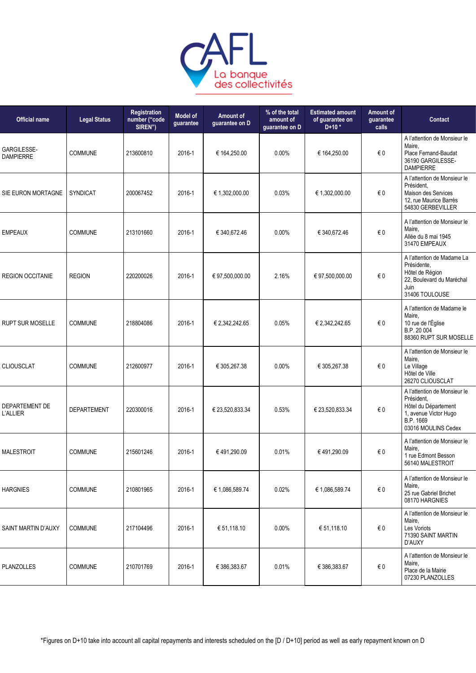

| <b>Legal Status</b> | Registration<br>number ("code<br>SIREN") | <b>Model of</b><br>guarantee | Amount of<br>guarantee on D | % of the total<br>amount of<br>quarantee on D | <b>Estimated amount</b><br>of guarantee on<br>$D+10*$ | Amount of<br>guarantee<br>calls | Contact                                                                                                                         |
|---------------------|------------------------------------------|------------------------------|-----------------------------|-----------------------------------------------|-------------------------------------------------------|---------------------------------|---------------------------------------------------------------------------------------------------------------------------------|
| <b>COMMUNE</b>      | 213600810                                | 2016-1                       | € 164,250.00                | 0.00%                                         | € 164,250.00                                          | € 0                             | A l'attention de Monsieur le<br>Maire,<br>Place Fernand-Baudat<br>36190 GARGILESSE-<br><b>DAMPIERRE</b>                         |
| <b>SYNDICAT</b>     | 200067452                                | 2016-1                       | € 1,302,000.00              | 0.03%                                         | € 1,302,000.00                                        | €0                              | A l'attention de Monsieur le<br>Président.<br>Maison des Services<br>12, rue Maurice Barrès<br>54830 GERBEVILLER                |
| <b>COMMUNE</b>      | 213101660                                | 2016-1                       | € 340,672.46                | 0.00%                                         | € 340,672.46                                          | $\epsilon$ 0                    | A l'attention de Monsieur le<br>Maire,<br>Allée du 8 mai 1945<br>31470 EMPEAUX                                                  |
| <b>REGION</b>       | 220200026                                | 2016-1                       | € 97,500,000.00             | 2.16%                                         | € 97,500,000.00                                       | $\in 0$                         | A l'attention de Madame La<br>Présidente,<br>Hôtel de Région<br>22, Boulevard du Maréchal<br>Juin<br>31406 TOULOUSE             |
| <b>COMMUNE</b>      | 218804086                                | 2016-1                       | € 2,342,242.65              | 0.05%                                         | € 2,342,242.65                                        | €0                              | A l'attention de Madame le<br>Maire,<br>10 rue de l'Église<br>B.P. 20 004<br>88360 RUPT SUR MOSELLE                             |
| <b>COMMUNE</b>      | 212600977                                | 2016-1                       | € 305,267.38                | 0.00%                                         | € 305,267.38                                          | €0                              | A l'attention de Monsieur le<br>Maire,<br>Le Village<br>Hôtel de Ville<br>26270 CLIOUSCLAT                                      |
| <b>DEPARTEMENT</b>  | 220300016                                | 2016-1                       | € 23,520,833.34             | 0.53%                                         | € 23,520,833.34                                       | $\in 0$                         | A l'attention de Monsieur le<br>Président,<br>Hôtel du Département<br>1, avenue Victor Hugo<br>B.P. 1669<br>03016 MOULINS Cedex |
| <b>COMMUNE</b>      | 215601246                                | 2016-1                       | €491,290.09                 | 0.01%                                         | €491,290.09                                           | €0                              | A l'attention de Monsieur le<br>Maire,<br>1 rue Edmont Besson<br>56140 MALESTROIT                                               |
| <b>COMMUNE</b>      | 210801965                                | 2016-1                       | € 1,086,589.74              | 0.02%                                         | € 1,086,589.74                                        | $\in 0$                         | A l'attention de Monsieur le<br>Maire,<br>25 rue Gabriel Brichet<br>08170 HARGNIES                                              |
| <b>COMMUNE</b>      | 217104496                                | 2016-1                       | € 51,118.10                 | 0.00%                                         | € 51,118.10                                           | $\epsilon$ 0                    | A l'attention de Monsieur le<br>Maire,<br>Les Voriots<br>71390 SAINT MARTIN<br>D'AUXY                                           |
| COMMUNE             | 210701769                                | 2016-1                       | € 386,383.67                | 0.01%                                         | € 386,383.67                                          | $\epsilon$ 0                    | A l'attention de Monsieur le<br>Maire,<br>Place de la Mairie<br>07230 PLANZOLLES                                                |
|                     |                                          |                              |                             |                                               |                                                       |                                 |                                                                                                                                 |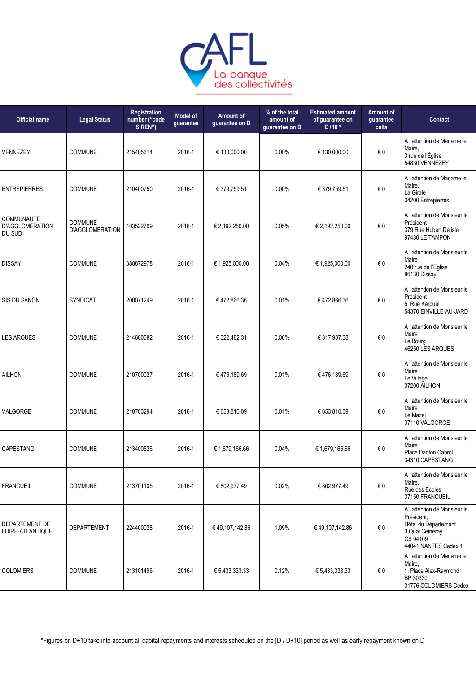

| <b>Official name</b>                           | <b>Legal Status</b>               | <b>Registration</b><br>number ("code<br>SIREN") | <b>Model of</b><br>guarantee | Amount of<br>guarantee on D | % of the total<br>amount of<br>guarantee on D | <b>Estimated amount</b><br>of guarantee on<br>$D+10*$ | Amount of<br>quarantee<br>calls | <b>Contact</b>                                                                                                            |
|------------------------------------------------|-----------------------------------|-------------------------------------------------|------------------------------|-----------------------------|-----------------------------------------------|-------------------------------------------------------|---------------------------------|---------------------------------------------------------------------------------------------------------------------------|
| VENNEZEY                                       | <b>COMMUNE</b>                    | 215405614                                       | 2016-1                       | € 130,000.00                | 0.00%                                         | € 130,000.00                                          | $\epsilon$ 0                    | A l'attention de Madame le<br>Maire,<br>3 rue de l'Église<br>54830 VENNEZEY                                               |
| <b>ENTREPIERRES</b>                            | COMMUNE                           | 210400750                                       | 2016-1                       | € 379,759.51                | 0.00%                                         | € 379,759.51                                          | $\epsilon$ 0                    | A l'attention de Madame le<br>Maire,<br>La Girale<br>04200 Entrepierres                                                   |
| <b>COMMUNAUTE</b><br>D'AGGLOMERATION<br>DU SUD | COMMUNE<br><b>D'AGGLOMERATION</b> | 403522709                                       | 2016-1                       | € 2,192,250.00              | 0.05%                                         | € 2,192,250.00                                        | $\epsilon$ 0                    | A l'attention de Monsieur le<br>Président<br>379 Rue Hubert Delisle<br>97430 LE TAMPON                                    |
| <b>DISSAY</b>                                  | <b>COMMUNE</b>                    | 380872978                                       | 2016-1                       | € 1,925,000.00              | 0.04%                                         | € 1,925,000.00                                        | $\epsilon$ 0                    | A l'attention de Monsieur le<br>Maire<br>240 rue de l'Eglise<br>86130 Dissay                                              |
| SIS DU SANON                                   | <b>SYNDICAT</b>                   | 200071249                                       | 2016-1                       | €472,866.36                 | 0.01%                                         | €472,866.36                                           | $\epsilon$ 0                    | A l'attention de Monsieur le<br>Président<br>5, Rue Karquel<br>54370 EINVILLE-AU-JARD                                     |
| <b>LES ARQUES</b>                              | COMMUNE                           | 214600082                                       | 2016-1                       | € 322,482.31                | 0.00%                                         | € 317,987.38                                          | $\epsilon$ 0                    | A l'attention de Monsieur le<br>Maire<br>Le Bourg<br>46250 LES ARQUES                                                     |
| <b>AILHON</b>                                  | COMMUNE                           | 210700027                                       | 2016-1                       | €476,189.69                 | 0.01%                                         | €476,189.69                                           | €0                              | A l'attention de Monsieur le<br>Maire<br>Le Village<br>07200 AILHON                                                       |
| VALGORGE                                       | <b>COMMUNE</b>                    | 210703294                                       | 2016-1                       | € 653,810.09                | 0.01%                                         | € 653,810.09                                          | $\in 0$                         | A l'attention de Monsieur le<br>Maire<br>Le Mazel<br>07110 VALGORGE                                                       |
| CAPESTANG                                      | <b>COMMUNE</b>                    | 213400526                                       | 2016-1                       | € 1,679,166.66              | 0.04%                                         | € 1,679,166.66                                        | $\in 0$                         | A l'attention de Monsieur le<br>Maire<br>Place Danton Cabrol<br>34310 CAPESTANG                                           |
| <b>FRANCUEIL</b>                               | <b>COMMUNE</b>                    | 213701105                                       | 2016-1                       | € 802,977.49                | 0.02%                                         | € 802,977.49                                          | € 0                             | A l'attention de Monsieur le<br>Maire,<br>Rue des Ecoles<br>37150 FRANCUEIL                                               |
| DEPARTEMENT DE<br>LOIRE-ATLANTIQUE             | <b>DEPARTEMENT</b>                | 224400028                                       | 2016-1                       | € 49,107,142.86             | 1.09%                                         | € 49,107,142.86                                       | $\epsilon$ 0                    | A l'attention de Monsieur le<br>Président.<br>Hôtel du Département<br>3 Quai Ceineray<br>CS 94109<br>44041 NANTES Cedex 1 |
| <b>COLOMIERS</b>                               | <b>COMMUNE</b>                    | 213101496                                       | 2016-1                       | € 5,433,333.33              | 0.12%                                         | € 5,433,333.33                                        | $\epsilon$ 0                    | A l'attention de Madame le<br>Maire,<br>1, Place Alex-Raymond<br>BP 30330<br>31776 COLOMIERS Cedex                        |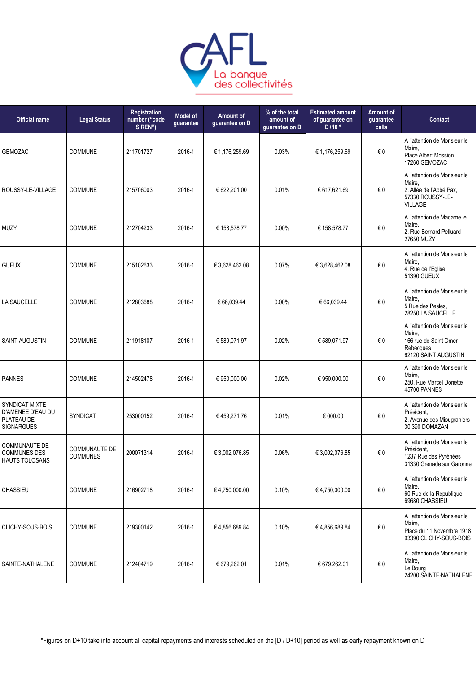

| <b>Official name</b>                                                          | <b>Legal Status</b>                     | <b>Registration</b><br>number ("code<br>SIREN") | <b>Model of</b><br>guarantee | Amount of<br>guarantee on D | % of the total<br>amount of<br>guarantee on D | <b>Estimated amount</b><br>of guarantee on<br>$D+10*$ | Amount of<br>quarantee<br>calls | Contact                                                                                                 |
|-------------------------------------------------------------------------------|-----------------------------------------|-------------------------------------------------|------------------------------|-----------------------------|-----------------------------------------------|-------------------------------------------------------|---------------------------------|---------------------------------------------------------------------------------------------------------|
| <b>GEMOZAC</b>                                                                | <b>COMMUNE</b>                          | 211701727                                       | 2016-1                       | € 1,176,259.69              | 0.03%                                         | € 1,176,259.69                                        | $\epsilon$ 0                    | A l'attention de Monsieur le<br>Maire,<br>Place Albert Mossion<br>17260 GEMOZAC                         |
| ROUSSY-LE-VILLAGE                                                             | COMMUNE                                 | 215706003                                       | 2016-1                       | € 622,201.00                | 0.01%                                         | € 617,621.69                                          | €0                              | A l'attention de Monsieur le<br>Maire,<br>2, Allée de l'Abbé Pax,<br>57330 ROUSSY-LE-<br><b>VILLAGE</b> |
| <b>MUZY</b>                                                                   | <b>COMMUNE</b>                          | 212704233                                       | 2016-1                       | € 158,578.77                | 0.00%                                         | € 158,578.77                                          | $\epsilon$ 0                    | A l'attention de Madame le<br>Maire,<br>2, Rue Bernard Pelluard<br>27650 MUZY                           |
| <b>GUEUX</b>                                                                  | <b>COMMUNE</b>                          | 215102633                                       | 2016-1                       | € 3,628,462.08              | 0.07%                                         | € 3,628,462.08                                        | $\epsilon$ 0                    | A l'attention de Monsieur le<br>Maire,<br>4, Rue de l'Eglise<br>51390 GUEUX                             |
| <b>LA SAUCELLE</b>                                                            | COMMUNE                                 | 212803688                                       | 2016-1                       | € 66,039.44                 | 0.00%                                         | € 66,039.44                                           | €0                              | A l'attention de Monsieur le<br>Maire,<br>5 Rue des Pesles.<br>28250 LA SAUCELLE                        |
| <b>SAINT AUGUSTIN</b>                                                         | <b>COMMUNE</b>                          | 211918107                                       | 2016-1                       | € 589,071.97                | 0.02%                                         | € 589,071.97                                          | €0                              | A l'attention de Monsieur le<br>Maire,<br>166 rue de Saint Omer<br>Rebecques<br>62120 SAINT AUGUSTIN    |
| <b>PANNES</b>                                                                 | <b>COMMUNE</b>                          | 214502478                                       | 2016-1                       | € 950,000.00                | 0.02%                                         | € 950,000.00                                          | €0                              | A l'attention de Monsieur le<br>Maire.<br>250, Rue Marcel Donette<br>45700 PANNES                       |
| <b>SYNDICAT MIXTE</b><br>D'AMENEE D'EAU DU<br>PLATEAU DE<br><b>SIGNARGUES</b> | <b>SYNDICAT</b>                         | 253000152                                       | 2016-1                       | €459,271.76                 | 0.01%                                         | € 000.00                                              | €0                              | A l'attention de Monsieur le<br>Président.<br>2, Avenue des Miougraniers<br>30 390 DOMAZAN              |
| <b>COMMUNAUTE DE</b><br><b>COMMUNES DES</b><br>HAUTS TOLOSANS                 | <b>COMMUNAUTE DE</b><br><b>COMMUNES</b> | 200071314                                       | 2016-1                       | € 3.002.076.85              | 0.06%                                         | € 3,002,076.85                                        | € 0                             | A l'attention de Monsieur le<br>Président.<br>1237 Rue des Pyrénées<br>31330 Grenade sur Garonne        |
| CHASSIEU                                                                      | <b>COMMUNE</b>                          | 216902718                                       | 2016-1                       | €4,750,000.00               | 0.10%                                         | €4,750,000.00                                         | $\epsilon$ 0                    | A l'attention de Monsieur le<br>Maire,<br>60 Rue de la République<br>69680 CHASSIEU                     |
| CLICHY-SOUS-BOIS                                                              | COMMUNE                                 | 219300142                                       | 2016-1                       | €4,856,689.84               | 0.10%                                         | €4,856,689.84                                         | € 0                             | A l'attention de Monsieur le<br>Maire,<br>Place du 11 Novembre 1918<br>93390 CLICHY-SOUS-BOIS           |
| SAINTE-NATHALENE                                                              | COMMUNE                                 | 212404719                                       | 2016-1                       | € 679,262.01                | 0.01%                                         | € 679,262.01                                          | € 0                             | A l'attention de Monsieur le<br>Maire,<br>Le Bourg<br>24200 SAINTE-NATHALENE                            |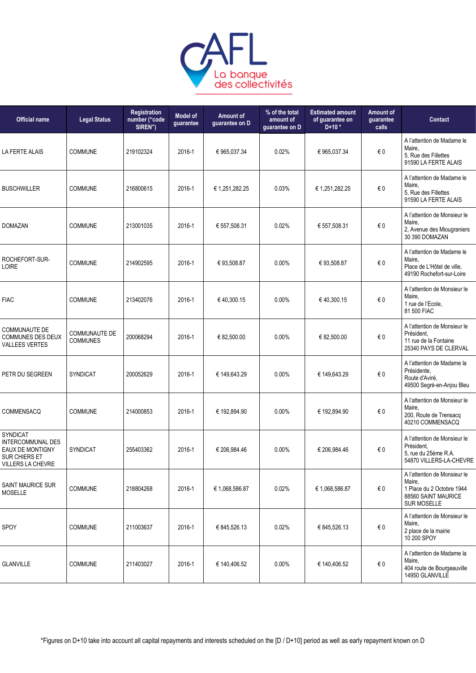

| <b>Official name</b>                                                                           | <b>Legal Status</b>                     | Registration<br>number ("code<br>SIREN") | <b>Model of</b><br>guarantee | Amount of<br>guarantee on D | % of the total<br>amount of<br>guarantee on D | <b>Estimated amount</b><br>of guarantee on<br>$D+10*$ | Amount of<br>guarantee<br>calls | Contact                                                                                                          |
|------------------------------------------------------------------------------------------------|-----------------------------------------|------------------------------------------|------------------------------|-----------------------------|-----------------------------------------------|-------------------------------------------------------|---------------------------------|------------------------------------------------------------------------------------------------------------------|
| <b>LA FERTE ALAIS</b>                                                                          | COMMUNE                                 | 219102324                                | 2016-1                       | € 965,037.34                | 0.02%                                         | € 965,037.34                                          | $\epsilon$ 0                    | A l'attention de Madame le<br>Maire,<br>5, Rue des Fillettes<br>91590 LA FERTE ALAIS                             |
| <b>BUSCHWILLER</b>                                                                             | <b>COMMUNE</b>                          | 216800615                                | 2016-1                       | €1,251,282.25               | 0.03%                                         | €1,251,282.25                                         | $\epsilon$ 0                    | A l'attention de Madame le<br>Maire,<br>5, Rue des Fillettes<br>91590 LA FERTE ALAIS                             |
| <b>DOMAZAN</b>                                                                                 | COMMUNE                                 | 213001035                                | 2016-1                       | € 557,508.31                | 0.02%                                         | € 557,508.31                                          | $\epsilon$ 0                    | A l'attention de Monsieur le<br>Maire,<br>2, Avenue des Miougraniers<br>30 390 DOMAZAN                           |
| ROCHEFORT-SUR-<br><b>LOIRE</b>                                                                 | COMMUNE                                 | 214902595                                | 2016-1                       | €93,508.87                  | 0.00%                                         | €93,508.87                                            | $\epsilon$ 0                    | A l'attention de Madame le<br>Maire,<br>Place de L'Hôtel de ville.<br>49190 Rochefort-sur-Loire                  |
| <b>FIAC</b>                                                                                    | <b>COMMUNE</b>                          | 213402076                                | 2016-1                       | €40,300.15                  | 0.00%                                         | €40,300.15                                            | $\epsilon$ 0                    | A l'attention de Monsieur le<br>Maire,<br>1 rue de l'Ecole,<br>81 500 FIAC                                       |
| <b>COMMUNAUTE DE</b><br><b>COMMUNES DES DEUX</b><br>VALLEES VERTES                             | <b>COMMUNAUTE DE</b><br><b>COMMUNES</b> | 200068294                                | 2016-1                       | € 82,500.00                 | 0.00%                                         | € 82,500.00                                           | $\epsilon$ 0                    | A l'attention de Monsieur le<br>Président.<br>11 rue de la Fontaine<br>25340 PAYS DE CLERVAL                     |
| PETR DU SEGREEN                                                                                | SYNDICAT                                | 200052629                                | 2016-1                       | € 149,643.29                | 0.00%                                         | € 149,643.29                                          | €0                              | A l'attention de Madame la<br>Présidente,<br>Route d'Aviré,<br>49500 Segré-en-Anjou Bleu                         |
| COMMENSACQ                                                                                     | COMMUNE                                 | 214000853                                | 2016-1                       | € 192,894.90                | 0.00%                                         | € 192,894.90                                          | $\epsilon$ 0                    | A l'attention de Monsieur le<br>Maire,<br>200, Route de Trensacq<br>40210 COMMENSACQ                             |
| SYNDICAT<br>INTERCOMMUNAL DES<br>EAUX DE MONTIGNY<br><b>SUR CHIERS ET</b><br>VILLERS LA CHEVRE | <b>SYNDICAT</b>                         | 255403362                                | 2016-1                       | € 206.984.46                | $0.00\%$                                      | € 206.984.46                                          | € 0                             | A l'attention de Monsieur le<br>Président.<br>5, rue du 25ème R.A.<br>54870 VILLERS-LA-CHEVRE                    |
| <b>SAINT MAURICE SUR</b><br><b>MOSELLE</b>                                                     | COMMUNE                                 | 218804268                                | 2016-1                       | € 1,068,586.87              | 0.02%                                         | € 1,068,586.87                                        | $\epsilon$ 0                    | A l'attention de Monsieur le<br>Maire,<br>1 Place du 2 Octobre 1944<br>88560 SAINT MAURICE<br><b>SUR MOSELLE</b> |
| SPOY                                                                                           | <b>COMMUNE</b>                          | 211003637                                | 2016-1                       | € 845,526.13                | 0.02%                                         | € 845,526.13                                          | € 0                             | A l'attention de Monsieur le<br>Maire,<br>2 place de la mairie<br>10 200 SPOY                                    |
| <b>GLANVILLE</b>                                                                               | <b>COMMUNE</b>                          | 211403027                                | 2016-1                       | € 140,406.52                | 0.00%                                         | € 140,406.52                                          | € 0                             | A l'attention de Madame la<br>Maire,<br>404 route de Bourgeauville<br>14950 GLANVILLE                            |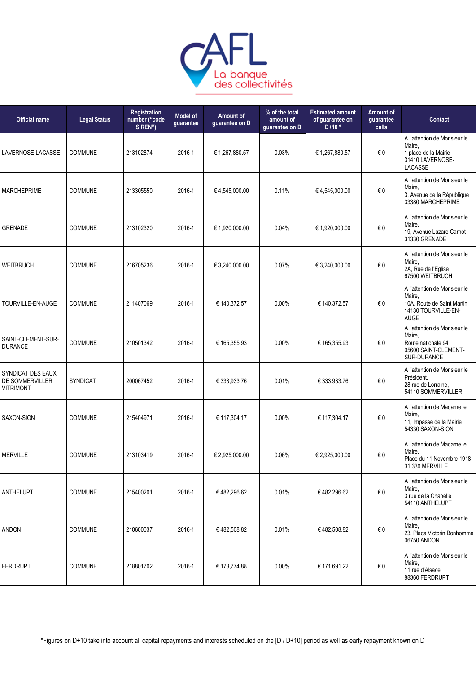

| <b>Legal Status</b> | <b>Registration</b><br>number ("code<br>SIREN") | <b>Model of</b><br>guarantee | <b>Amount of</b><br>guarantee on D | % of the total<br>amount of<br>guarantee on D | <b>Estimated amount</b><br>of guarantee on<br>$D+10*$ | Amount of<br>guarantee<br>calls | Contact                                                                                                    |
|---------------------|-------------------------------------------------|------------------------------|------------------------------------|-----------------------------------------------|-------------------------------------------------------|---------------------------------|------------------------------------------------------------------------------------------------------------|
| <b>COMMUNE</b>      | 213102874                                       | 2016-1                       | € 1,267,880.57                     | 0.03%                                         | € 1,267,880.57                                        | $\in 0$                         | A l'attention de Monsieur le<br>Maire,<br>1 place de la Mairie<br>31410 LAVERNOSE-<br><b>LACASSE</b>       |
| COMMUNE             | 213305550                                       | 2016-1                       | €4,545,000.00                      | 0.11%                                         | €4,545,000.00                                         | $\in 0$                         | A l'attention de Monsieur le<br>Maire,<br>3, Avenue de la République<br>33380 MARCHEPRIME                  |
| <b>COMMUNE</b>      | 213102320                                       | 2016-1                       | € 1,920,000.00                     | 0.04%                                         | € 1,920,000.00                                        | $\in 0$                         | A l'attention de Monsieur le<br>Maire,<br>19, Avenue Lazare Carnot<br>31330 GRENADE                        |
| <b>COMMUNE</b>      | 216705236                                       | 2016-1                       | € 3,240,000.00                     | 0.07%                                         | € 3,240,000.00                                        | $\in 0$                         | A l'attention de Monsieur le<br>Maire,<br>2A, Rue de l'Eglise<br>67500 WEITBRUCH                           |
| <b>COMMUNE</b>      | 211407069                                       | 2016-1                       | € 140,372.57                       | 0.00%                                         | € 140,372.57                                          | €0                              | A l'attention de Monsieur le<br>Maire,<br>10A, Route de Saint Martin<br>14130 TOURVILLE-EN-<br><b>AUGE</b> |
| <b>COMMUNE</b>      | 210501342                                       | 2016-1                       | € 165,355.93                       | 0.00%                                         | € 165,355.93                                          | €0                              | A l'attention de Monsieur le<br>Maire,<br>Route nationale 94<br>05600 SAINT-CLEMENT-<br>SUR-DURANCE        |
| <b>SYNDICAT</b>     | 200067452                                       | 2016-1                       | € 333,933.76                       | 0.01%                                         | € 333,933.76                                          | $\in 0$                         | A l'attention de Monsieur le<br>Président.<br>28 rue de Lorraine,<br>54110 SOMMERVILLER                    |
| <b>COMMUNE</b>      | 215404971                                       | 2016-1                       | € 117,304.17                       | $0.00\%$                                      | € 117,304.17                                          | € 0                             | A l'attention de Madame le<br>Maire.<br>11, Impasse de la Mairie<br>54330 SAXON-SION                       |
| <b>COMMUNE</b>      | 213103419                                       | 2016-1                       | € 2,925,000.00                     | 0.06%                                         | € 2,925,000.00                                        | €0                              | A l'attention de Madame le<br>Maire,<br>Place du 11 Novembre 1918<br>31 330 MERVILLE                       |
| COMMUNE             | 215400201                                       | 2016-1                       | € 482,296.62                       | 0.01%                                         | € 482,296.62                                          | $\in 0$                         | A l'attention de Monsieur le<br>Maire,<br>3 rue de la Chapelle<br>54110 ANTHELUPT                          |
| <b>COMMUNE</b>      | 210600037                                       | 2016-1                       | €482,508.82                        | 0.01%                                         | €482,508.82                                           | $\in 0$                         | A l'attention de Monsieur le<br>Maire,<br>23, Place Victorin Bonhomme<br>06750 ANDON                       |
| COMMUNE             | 218801702                                       | 2016-1                       | € 173,774.88                       | 0.00%                                         | € 171,691.22                                          | $\epsilon$ 0                    | A l'attention de Monsieur le<br>Maire,<br>11 rue d'Alsace<br>88360 FERDRUPT                                |
|                     |                                                 |                              |                                    |                                               |                                                       |                                 |                                                                                                            |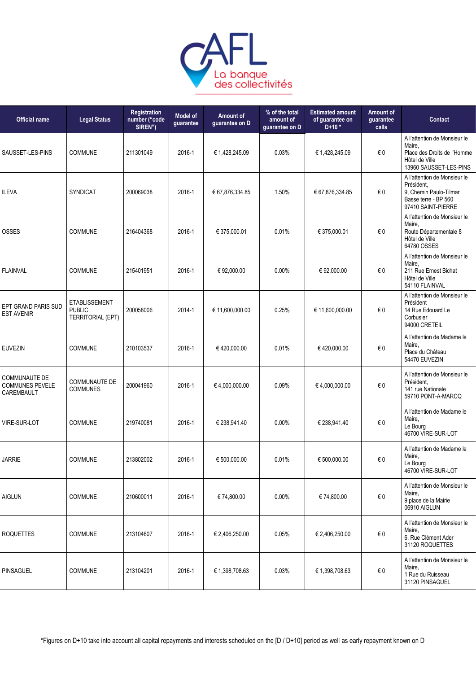

| <b>Official name</b>                                         | <b>Legal Status</b>                                               | Registration<br>number ("code<br>SIREN") | <b>Model of</b><br>guarantee | Amount of<br>guarantee on D | % of the total<br>amount of<br>guarantee on D | <b>Estimated amount</b><br>of guarantee on<br>$D+10*$ | Amount of<br>quarantee<br>calls | Contact                                                                                                            |
|--------------------------------------------------------------|-------------------------------------------------------------------|------------------------------------------|------------------------------|-----------------------------|-----------------------------------------------|-------------------------------------------------------|---------------------------------|--------------------------------------------------------------------------------------------------------------------|
| SAUSSET-LES-PINS                                             | COMMUNE                                                           | 211301049                                | 2016-1                       | € 1,428,245.09              | 0.03%                                         | € 1,428,245.09                                        | €0                              | A l'attention de Monsieur le<br>Maire,<br>Place des Droits de l'Homme<br>Hôtel de Ville<br>13960 SAUSSET-LES-PINS  |
| <b>ILEVA</b>                                                 | <b>SYNDICAT</b>                                                   | 200069038                                | 2016-1                       | € 67,876,334.85             | 1.50%                                         | € 67,876,334.85                                       | €0                              | A l'attention de Monsieur le<br>Président.<br>9, Chemin Paulo-Tilmar<br>Basse terre - BP 560<br>97410 SAINT-PIERRE |
| <b>OSSES</b>                                                 | <b>COMMUNE</b>                                                    | 216404368                                | 2016-1                       | € 375,000.01                | 0.01%                                         | € 375,000.01                                          | €0                              | A l'attention de Monsieur le<br>Maire,<br>Route Départementale 8<br>Hôtel de Ville<br>64780 OSSES                  |
| <b>FLAINVAL</b>                                              | <b>COMMUNE</b>                                                    | 215401951                                | 2016-1                       | € 92,000.00                 | 0.00%                                         | € 92,000.00                                           | €0                              | A l'attention de Monsieur le<br>Maire,<br>211 Rue Ernest Bichat<br>Hôtel de Ville<br>54110 FLAINVAL                |
| EPT GRAND PARIS SUD<br><b>EST AVENIR</b>                     | <b>ETABLISSEMENT</b><br><b>PUBLIC</b><br><b>TERRITORIAL (EPT)</b> | 200058006                                | 2014-1                       | € 11,600,000.00             | 0.25%                                         | € 11,600,000.00                                       | €0                              | A l'attention de Monsieur le<br>Président<br>14 Rue Edouard Le<br>Corbusier<br>94000 CRETEIL                       |
| <b>EUVEZIN</b>                                               | COMMUNE                                                           | 210103537                                | 2016-1                       | €420,000.00                 | 0.01%                                         | €420,000.00                                           | €0                              | A l'attention de Madame le<br>Maire,<br>Place du Château<br>54470 EUVEZIN                                          |
| <b>COMMUNAUTE DE</b><br><b>COMMUNES PEVELE</b><br>CAREMBAULT | <b>COMMUNAUTE DE</b><br><b>COMMUNES</b>                           | 200041960                                | 2016-1                       | €4,000,000.00               | 0.09%                                         | €4,000,000.00                                         | €0                              | A l'attention de Monsieur le<br>Président.<br>141 rue Nationale<br>59710 PONT-A-MARCQ                              |
| <b>VIRE-SUR-LOT</b>                                          | COMMUNE                                                           | 219740081                                | 2016-1                       | € 238,941.40                | $0.00\%$                                      | € 238,941.40                                          | €0                              | A l'attention de Madame le<br>Maire,<br>Le Bourg<br>46700 VIRE-SUR-LOT                                             |
| <b>JARRIE</b>                                                | <b>COMMUNE</b>                                                    | 213802002                                | 2016-1                       | € 500.000.00                | 0.01%                                         | € 500.000.00                                          | €0                              | A l'attention de Madame le<br>Maire,<br>Le Bourg<br>46700 VIRE-SUR-LOT                                             |
| <b>AIGLUN</b>                                                | COMMUNE                                                           | 210600011                                | 2016-1                       | € 74,800.00                 | 0.00%                                         | € 74,800.00                                           | $\epsilon$ 0                    | A l'attention de Monsieur le<br>Maire,<br>9 place de la Mairie<br>06910 AIGLUN                                     |
| <b>ROQUETTES</b>                                             | <b>COMMUNE</b>                                                    | 213104607                                | 2016-1                       | € 2,406,250.00              | 0.05%                                         | € 2,406,250.00                                        | $\epsilon$ 0                    | A l'attention de Monsieur le<br>Maire,<br>6, Rue Clément Ader<br>31120 ROQUETTES                                   |
| PINSAGUEL                                                    | <b>COMMUNE</b>                                                    | 213104201                                | 2016-1                       | € 1,398,708.63              | 0.03%                                         | € 1,398,708.63                                        | $\epsilon$ 0                    | A l'attention de Monsieur le<br>Maire,<br>1 Rue du Ruisseau<br>31120 PINSAGUEL                                     |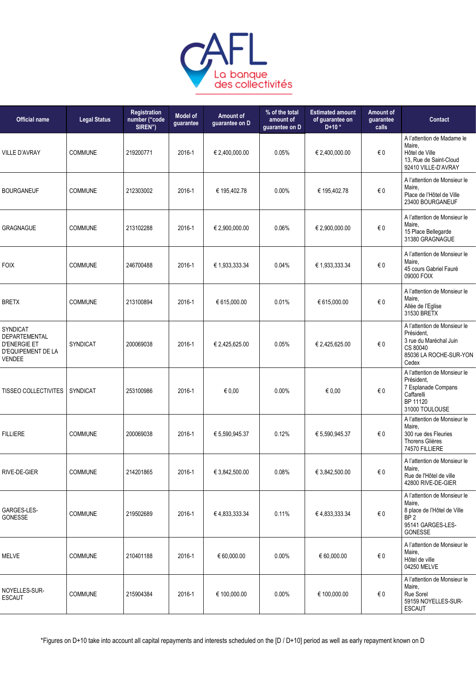

| <b>Official name</b>                                                                           | <b>Legal Status</b> | <b>Registration</b><br>number ("code<br>SIREN") | <b>Model of</b><br>guarantee | Amount of<br>guarantee on D | % of the total<br>amount of<br>guarantee on D | <b>Estimated amount</b><br>of guarantee on<br>$D+10*$ | Amount of<br>guarantee<br>calls | Contact                                                                                                                  |
|------------------------------------------------------------------------------------------------|---------------------|-------------------------------------------------|------------------------------|-----------------------------|-----------------------------------------------|-------------------------------------------------------|---------------------------------|--------------------------------------------------------------------------------------------------------------------------|
| <b>VILLE D'AVRAY</b>                                                                           | COMMUNE             | 219200771                                       | 2016-1                       | € 2,400,000.00              | 0.05%                                         | € 2,400,000.00                                        | € 0                             | A l'attention de Madame le<br>Maire,<br>Hôtel de Ville<br>13, Rue de Saint-Cloud<br>92410 VILLE-D'AVRAY                  |
| <b>BOURGANEUF</b>                                                                              | COMMUNE             | 212303002                                       | 2016-1                       | € 195,402.78                | 0.00%                                         | € 195,402.78                                          | $\epsilon$ 0                    | A l'attention de Monsieur le<br>Maire,<br>Place de l'Hôtel de Ville<br>23400 BOURGANEUF                                  |
| <b>GRAGNAGUE</b>                                                                               | <b>COMMUNE</b>      | 213102288                                       | 2016-1                       | € 2,900,000.00              | 0.06%                                         | € 2,900,000.00                                        | $\epsilon$ 0                    | A l'attention de Monsieur le<br>Maire,<br>15 Place Bellegarde<br>31380 GRAGNAGUE                                         |
| <b>FOIX</b>                                                                                    | COMMUNE             | 246700488                                       | 2016-1                       | € 1,933,333.34              | 0.04%                                         | € 1,933,333.34                                        | $\epsilon$ 0                    | A l'attention de Monsieur le<br>Maire,<br>45 cours Gabriel Fauré<br>09000 FOIX                                           |
| <b>BRETX</b>                                                                                   | COMMUNE             | 213100894                                       | 2016-1                       | € 615,000.00                | 0.01%                                         | € 615,000.00                                          | $\epsilon$ 0                    | A l'attention de Monsieur le<br>Maire,<br>Allée de l'Eglise<br>31530 BRETX                                               |
| SYNDICAT<br>DEPARTEMENTAL<br><b>D'ENERGIE ET</b><br><b>D'EQUIPEMENT DE LA</b><br><b>VENDEE</b> | <b>SYNDICAT</b>     | 200069038                                       | 2016-1                       | € 2,425,625.00              | 0.05%                                         | € 2,425,625.00                                        | €0                              | A l'attention de Monsieur le<br>Président.<br>3 rue du Maréchal Juin<br>CS 80040<br>85036 LA ROCHE-SUR-YON<br>Cedex      |
| <b>TISSEO COLLECTIVITES</b>                                                                    | SYNDICAT            | 253100986                                       | 2016-1                       | € 0.00                      | $0.00\%$                                      | € 0.00                                                | € 0                             | A l'attention de Monsieur le<br>Président,<br>7 Esplanade Compans<br>Caffarelli<br>BP 11120<br>31000 TOULOUSE            |
| <b>FILLIERE</b>                                                                                | <b>COMMUNE</b>      | 200069038                                       | 2016-1                       | € 5,590,945.37              | 0.12%                                         | € 5,590,945.37                                        | € 0                             | A l'attention de Monsieur le<br>Maire,<br>300 rue des Fleuries<br><b>Thorens Glières</b><br>74570 FILLIERE               |
| RIVE-DE-GIER                                                                                   | <b>COMMUNE</b>      | 214201865                                       | 2016-1                       | € 3,842,500.00              | 0.08%                                         | € 3,842,500.00                                        | $\epsilon$ 0                    | A l'attention de Monsieur le<br>Maire,<br>Rue de l'Hôtel de ville<br>42800 RIVE-DE-GIER                                  |
| GARGES-LES-<br>GONESSE                                                                         | <b>COMMUNE</b>      | 219502689                                       | 2016-1                       | €4,833,333.34               | 0.11%                                         | € 4,833,333.34                                        | € 0                             | A l'attention de Monsieur le<br>Maire,<br>8 place de l'Hôtel de Ville<br>BP <sub>2</sub><br>95141 GARGES-LES-<br>GONESSE |
| <b>MELVE</b>                                                                                   | <b>COMMUNE</b>      | 210401188                                       | 2016-1                       | € 60,000.00                 | $0.00\%$                                      | € 60,000.00                                           | € 0                             | A l'attention de Monsieur le<br>Maire,<br>Hôtel de ville<br>04250 MELVE                                                  |
| NOYELLES-SUR-<br>ESCAUT                                                                        | COMMUNE             | 215904384                                       | 2016-1                       | € 100,000.00                | $0.00\%$                                      | € 100,000.00                                          | $\epsilon$ 0                    | A l'attention de Monsieur le<br>Maire,<br>Rue Sorel<br>59159 NOYELLES-SUR-<br><b>ESCAUT</b>                              |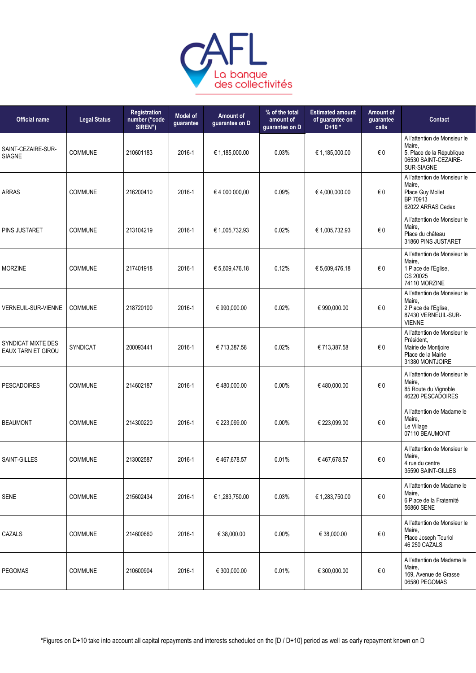

| <b>Official name</b>                     | <b>Legal Status</b> | Registration<br>number ("code<br>SIREN") | <b>Model of</b><br>guarantee | Amount of<br>guarantee on D | % of the total<br>amount of<br>guarantee on D | <b>Estimated amount</b><br>of guarantee on<br>$D+10*$ | Amount of<br>guarantee<br>calls | Contact                                                                                                    |
|------------------------------------------|---------------------|------------------------------------------|------------------------------|-----------------------------|-----------------------------------------------|-------------------------------------------------------|---------------------------------|------------------------------------------------------------------------------------------------------------|
| SAINT-CEZAIRE-SUR-<br><b>SIAGNE</b>      | COMMUNE             | 210601183                                | 2016-1                       | € 1,185,000.00              | 0.03%                                         | € 1,185,000.00                                        | €0                              | A l'attention de Monsieur le<br>Maire,<br>5, Place de la République<br>06530 SAINT-CEZAIRE-<br>SUR-SIAGNE  |
| <b>ARRAS</b>                             | <b>COMMUNE</b>      | 216200410                                | 2016-1                       | € 4 000 000,00              | 0.09%                                         | €4,000,000.00                                         | €0                              | A l'attention de Monsieur le<br>Maire,<br>Place Guy Mollet<br>BP 70913<br>62022 ARRAS Cedex                |
| PINS JUSTARET                            | <b>COMMUNE</b>      | 213104219                                | 2016-1                       | € 1,005,732.93              | 0.02%                                         | € 1,005,732.93                                        | €0                              | A l'attention de Monsieur le<br>Maire,<br>Place du château<br>31860 PINS JUSTARET                          |
| <b>MORZINE</b>                           | <b>COMMUNE</b>      | 217401918                                | 2016-1                       | € 5,609,476.18              | 0.12%                                         | € 5,609,476.18                                        | € 0                             | A l'attention de Monsieur le<br>Maire,<br>1 Place de l'Eglise,<br>CS 20025<br>74110 MORZINE                |
| VERNEUIL-SUR-VIENNE                      | <b>COMMUNE</b>      | 218720100                                | 2016-1                       | € 990,000.00                | 0.02%                                         | € 990,000.00                                          | €0                              | A l'attention de Monsieur le<br>Maire,<br>2 Place de l'Eglise,<br>87430 VERNEUIL-SUR-<br><b>VIENNE</b>     |
| SYNDICAT MIXTE DES<br>EAUX TARN ET GIROU | <b>SYNDICAT</b>     | 200093441                                | 2016-1                       | € 713,387.58                | 0.02%                                         | € 713,387.58                                          | €0                              | A l'attention de Monsieur le<br>Président.<br>Mairie de Montjoire<br>Place de la Mairie<br>31380 MONTJOIRE |
| <b>PESCADOIRES</b>                       | COMMUNE             | 214602187                                | 2016-1                       | €480,000.00                 | 0.00%                                         | €480,000.00                                           | $\in 0$                         | A l'attention de Monsieur le<br>Maire,<br>85 Route du Vignoble<br>46220 PESCADOIRES                        |
| <b>BEAUMONT</b>                          | COMMUNE             | 214300220                                | 2016-1                       | € 223,099.00                | 0.00%                                         | € 223,099.00                                          | €0                              | A l'attention de Madame le<br>Maire,<br>Le Village<br>07110 BEAUMONT                                       |
| SAINT-GILLES                             | <b>COMMUNE</b>      | 213002587                                | 2016-1                       | €467,678.57                 | 0.01%                                         | €467,678.57                                           | €0                              | A l'attention de Monsieur le<br>Maire,<br>4 rue du centre<br>35590 SAINT-GILLES                            |
| <b>SENE</b>                              | COMMUNE             | 215602434                                | 2016-1                       | € 1,283,750.00              | 0.03%                                         | € 1,283,750.00                                        | $\in 0$                         | A l'attention de Madame le<br>Maire,<br>6 Place de la Fraternité<br>56860 SENE                             |
| CAZALS                                   | <b>COMMUNE</b>      | 214600660                                | 2016-1                       | € 38,000.00                 | 0.00%                                         | € 38,000.00                                           | $\epsilon$ 0                    | A l'attention de Monsieur le<br>Maire,<br>Place Joseph Touriol<br>46 250 CAZALS                            |
| <b>PEGOMAS</b>                           | <b>COMMUNE</b>      | 210600904                                | 2016-1                       | € 300,000.00                | 0.01%                                         | € 300,000.00                                          | €0                              | A l'attention de Madame le<br>Maire,<br>169, Avenue de Grasse<br>06580 PEGOMAS                             |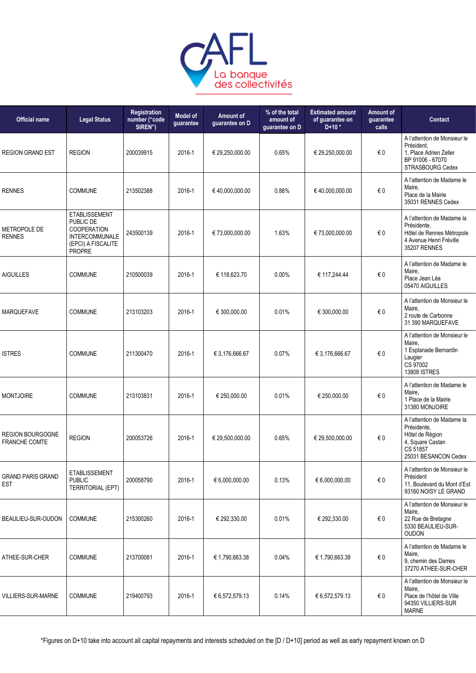

| <b>Official name</b>                            | <b>Legal Status</b>                                                                                       | Registration<br>number ("code<br>SIREN") | <b>Model of</b><br>guarantee | Amount of<br>guarantee on D | % of the total<br>amount of<br>guarantee on D | <b>Estimated amount</b><br>of guarantee on<br>$D+10*$ | Amount of<br>guarantee<br>calls | Contact                                                                                                              |
|-------------------------------------------------|-----------------------------------------------------------------------------------------------------------|------------------------------------------|------------------------------|-----------------------------|-----------------------------------------------|-------------------------------------------------------|---------------------------------|----------------------------------------------------------------------------------------------------------------------|
| <b>REGION GRAND EST</b>                         | <b>REGION</b>                                                                                             | 200039915                                | 2016-1                       | € 29,250,000.00             | 0.65%                                         | € 29,250,000.00                                       | € 0                             | A l'attention de Monsieur le<br>Président,<br>1, Place Adrien Zeller<br>BP 91006 - 67070<br>STRASBOURG Cedex         |
| <b>RENNES</b>                                   | <b>COMMUNE</b>                                                                                            | 213502388                                | 2016-1                       | €40,000,000.00              | 0.88%                                         | €40,000,000.00                                        | $\in 0$                         | A l'attention de Madame le<br>Maire,<br>Place de la Mairie<br>35031 RENNES Cedex                                     |
| METROPOLE DE<br><b>RENNES</b>                   | <b>ETABLISSEMENT</b><br>PUBLIC DE<br><b>COOPERATION</b><br>INTERCOMMUNALE<br>(EPCI) A FISCALITE<br>PROPRE | 243500139                                | 2016-1                       | € 73,000,000.00             | 1.63%                                         | € 73,000,000.00                                       | €0                              | A l'attention de Madame la<br>Présidente.<br>Hôtel de Rennes Métropole<br>4 Avenue Henri Fréville<br>35207 RENNES    |
| <b>AIGUILLES</b>                                | <b>COMMUNE</b>                                                                                            | 210500039                                | 2016-1                       | € 118,623.70                | 0.00%                                         | € 117,244.44                                          | $\in 0$                         | A l'attention de Madame le<br>Maire.<br>Place Jean Léa<br>05470 AIGUILLES                                            |
| <b>MARQUEFAVE</b>                               | <b>COMMUNE</b>                                                                                            | 213103203                                | 2016-1                       | € 300,000.00                | 0.01%                                         | € 300,000.00                                          | $\in 0$                         | A l'attention de Monsieur le<br>Maire,<br>2 route de Carbonne<br>31 390 MARQUEFAVE                                   |
| <b>ISTRES</b>                                   | <b>COMMUNE</b>                                                                                            | 211300470                                | 2016-1                       | € 3,176,666.67              | 0.07%                                         | € 3,176,666.67                                        | € 0                             | A l'attention de Monsieur le<br>Maire.<br>1 Esplanade Bernardin<br>Laugier<br>CS 97002<br><b>13808 ISTRES</b>        |
| <b>MONTJOIRE</b>                                | <b>COMMUNE</b>                                                                                            | 213103831                                | 2016-1                       | € 250,000.00                | 0.01%                                         | € 250,000.00                                          | $\in 0$                         | A l'attention de Madame le<br>Maire,<br>1 Place de la Mairie<br>31380 MONJOIRE                                       |
| <b>REGION BOURGOGNE</b><br><b>FRANCHE COMTE</b> | <b>REGION</b>                                                                                             | 200053726                                | 2016-1                       | € 29,500,000.00             | 0.65%                                         | € 29,500,000.00                                       | $\in 0$                         | A l'attention de Madame la<br>Présidente,<br>Hôtel de Région<br>4, Square Castan<br>CS 51857<br>25031 BESANCON Cedex |
| <b>GRAND PARIS GRAND</b><br><b>EST</b>          | <b>ETABLISSEMENT</b><br><b>PUBLIC</b><br>TERRITORIAL (EPT)                                                | 200058790                                | 2016-1                       | € 6,000,000.00              | 0.13%                                         | € 6,000,000.00                                        | $\in 0$                         | A l'attention de Monsieur le<br>Président<br>11, Boulevard du Mont d'Est<br>93160 NOISY LE GRAND                     |
| BEAULIEU-SUR-OUDON                              | <b>COMMUNE</b>                                                                                            | 215300260                                | 2016-1                       | € 292,330.00                | 0.01%                                         | € 292,330.00                                          | €0                              | A l'attention de Monsieur le<br>Maire,<br>22 Rue de Bretagne<br>5330 BEAULIEU-SUR-<br><b>OUDON</b>                   |
| ATHEE-SUR-CHER                                  | <b>COMMUNE</b>                                                                                            | 213700081                                | 2016-1                       | € 1,790,663.38              | 0.04%                                         | € 1,790,663.38                                        | $\in 0$                         | A l'attention de Madame le<br>Maire,<br>9, chemin des Dames<br>37270 ATHEE-SUR-CHER                                  |
| <b>VILLIERS-SUR-MARNE</b>                       | COMMUNE                                                                                                   | 219400793                                | 2016-1                       | € 6,572,579.13              | 0.14%                                         | € 6,572,579.13                                        | €0                              | A l'attention de Monsieur le<br>Maire,<br>Place de l'hôtel de Ville<br>94350 VILLIERS-SUR<br><b>MARNE</b>            |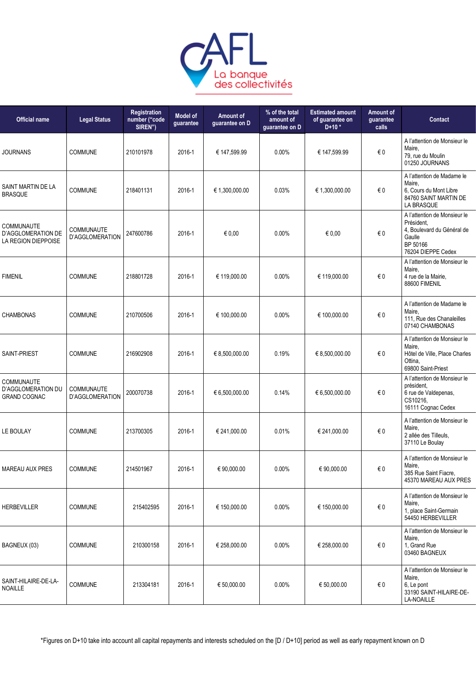

| <b>Official name</b>                                           | <b>Legal Status</b>                  | Registration<br>number ("code<br>SIREN") | <b>Model of</b><br>guarantee | Amount of<br>guarantee on D | % of the total<br>amount of<br>guarantee on D | <b>Estimated amount</b><br>of guarantee on<br>$D+10*$ | Amount of<br>guarantee<br>calls | <b>Contact</b>                                                                                                       |
|----------------------------------------------------------------|--------------------------------------|------------------------------------------|------------------------------|-----------------------------|-----------------------------------------------|-------------------------------------------------------|---------------------------------|----------------------------------------------------------------------------------------------------------------------|
| <b>JOURNANS</b>                                                | <b>COMMUNE</b>                       | 210101978                                | 2016-1                       | € 147,599.99                | 0.00%                                         | € 147,599.99                                          | $\in 0$                         | A l'attention de Monsieur le<br>Maire,<br>79, rue du Moulin<br>01250 JOURNANS                                        |
| SAINT MARTIN DE LA<br><b>BRASQUE</b>                           | COMMUNE                              | 218401131                                | 2016-1                       | € 1,300,000.00              | 0.03%                                         | € 1,300,000.00                                        | €0                              | A l'attention de Madame le<br>Maire.<br>6, Cours du Mont Libre<br>84760 SAINT MARTIN DE<br>LA BRASQUE                |
| COMMUNAUTE<br><b>D'AGGLOMERATION DE</b><br>LA REGION DIEPPOISE | COMMUNAUTE<br>D'AGGLOMERATION        | 247600786                                | 2016-1                       | € $0,00$                    | 0.00%                                         | € 0,00                                                | $\in 0$                         | A l'attention de Monsieur le<br>Président,<br>4. Boulevard du Général de<br>Gaulle<br>BP 50166<br>76204 DIEPPE Cedex |
| <b>FIMENIL</b>                                                 | <b>COMMUNE</b>                       | 218801728                                | 2016-1                       | € 119,000.00                | 0.00%                                         | € 119,000.00                                          | €0                              | A l'attention de Monsieur le<br>Maire,<br>4 rue de la Mairie.<br>88600 FIMENIL                                       |
| CHAMBONAS                                                      | <b>COMMUNE</b>                       | 210700506                                | 2016-1                       | € 100,000.00                | 0.00%                                         | € 100,000.00                                          | $\in 0$                         | A l'attention de Madame le<br>Maire,<br>111, Rue des Chanaleilles<br>07140 CHAMBONAS                                 |
| SAINT-PRIEST                                                   | <b>COMMUNE</b>                       | 216902908                                | 2016-1                       | € 8,500,000.00              | 0.19%                                         | € 8,500,000.00                                        | €0                              | A l'attention de Monsieur le<br>Maire.<br>Hôtel de Ville, Place Charles<br>Ottina,<br>69800 Saint-Priest             |
| COMMUNAUTE<br>D'AGGLOMERATION DU<br><b>GRAND COGNAC</b>        | <b>COMMUNAUTE</b><br>D'AGGLOMERATION | 200070738                                | 2016-1                       | € 6,500,000.00              | 0.14%                                         | € 6,500,000.00                                        | $\in 0$                         | A l'attention de Monsieur le<br>président.<br>6 rue de Valdepenas,<br>CS10216,<br>16111 Cognac Cedex                 |
| LE BOULAY                                                      | <b>COMMUNE</b>                       | 213700305                                | 2016-1                       | € 241,000.00                | 0.01%                                         | € 241,000.00                                          | €0                              | A l'attention de Monsieur le<br>Maire,<br>2 allée des Tilleuls.<br>37110 Le Boulay                                   |
| <b>MAREAU AUX PRES</b>                                         | COMMUNE                              | 214501967                                | 2016-1                       | € 90,000.00                 | 0.00%                                         | € 90,000.00                                           | €0                              | A l'attention de Monsieur le<br>Maire,<br>385 Rue Saint Fiacre,<br>45370 MAREAU AUX PRES                             |
| <b>HERBEVILLER</b>                                             | <b>COMMUNE</b>                       | 215402595                                | 2016-1                       | € 150,000.00                | 0.00%                                         | € 150,000.00                                          | $\epsilon$ 0                    | A l'attention de Monsieur le<br>Maire,<br>1, place Saint-Germain<br>54450 HERBEVILLER                                |
| BAGNEUX (03)                                                   | COMMUNE                              | 210300158                                | 2016-1                       | € 258,000.00                | 0.00%                                         | € 258,000.00                                          | €0                              | A l'attention de Monsieur le<br>Maire,<br>1, Grand Rue<br>03460 BAGNEUX                                              |
| SAINT-HILAIRE-DE-LA-<br><b>NOAILLE</b>                         | <b>COMMUNE</b>                       | 213304181                                | 2016-1                       | € 50,000.00                 | $0.00\%$                                      | € 50,000.00                                           | $\in 0$                         | A l'attention de Monsieur le<br>Maire,<br>6, Le pont<br>33190 SAINT-HILAIRE-DE-<br><b>LA-NOAILLE</b>                 |
|                                                                |                                      |                                          |                              |                             |                                               |                                                       |                                 |                                                                                                                      |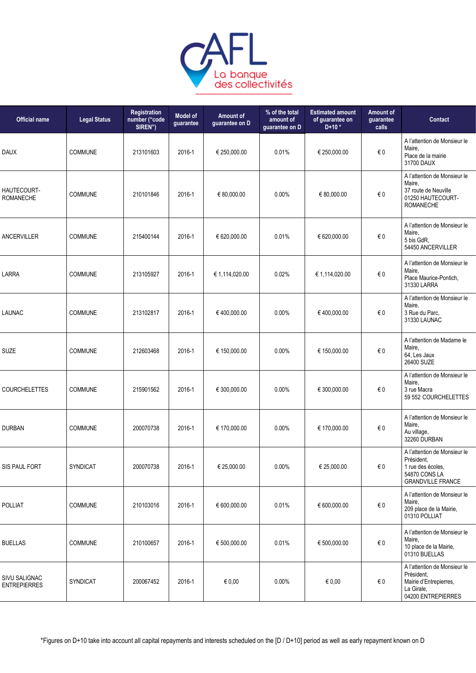

| <b>Official name</b>                 | <b>Legal Status</b> | <b>Registration</b><br>number ("code<br>SIREN") | <b>Model of</b><br>guarantee | <b>Amount of</b><br>guarantee on D | % of the total<br>amount of<br>guarantee on D | <b>Estimated amount</b><br>of guarantee on<br>$D+10*$ | Amount of<br>guarantee<br>calls | <b>Contact</b>                                                                                               |
|--------------------------------------|---------------------|-------------------------------------------------|------------------------------|------------------------------------|-----------------------------------------------|-------------------------------------------------------|---------------------------------|--------------------------------------------------------------------------------------------------------------|
| <b>DAUX</b>                          | <b>COMMUNE</b>      | 213101603                                       | 2016-1                       | € 250,000.00                       | 0.01%                                         | € 250,000.00                                          | $\epsilon$ 0                    | A l'attention de Monsieur le<br>Maire,<br>Place de la mairie<br>31700 DAUX                                   |
| HAUTECOURT-<br><b>ROMANECHE</b>      | COMMUNE             | 210101846                                       | 2016-1                       | € 80,000.00                        | 0.00%                                         | € 80,000.00                                           | $\epsilon$ 0                    | A l'attention de Monsieur le<br>Maire,<br>37 route de Neuville<br>01250 HAUTECOURT-<br><b>ROMANECHE</b>      |
| <b>ANCERVILLER</b>                   | <b>COMMUNE</b>      | 215400144                                       | 2016-1                       | € 620,000.00                       | 0.01%                                         | € 620,000.00                                          | $\epsilon$ 0                    | A l'attention de Monsieur le<br>Maire,<br>5 bis GdR,<br>54450 ANCERVILLER                                    |
| LARRA                                | COMMUNE             | 213105927                                       | 2016-1                       | € 1,114,020.00                     | 0.02%                                         | € 1,114,020.00                                        | $\epsilon$ 0                    | A l'attention de Monsieur le<br>Maire,<br>Place Maurice-Pontich,<br>31330 LARRA                              |
| <b>LAUNAC</b>                        | COMMUNE             | 213102817                                       | 2016-1                       | €400,000.00                        | 0.00%                                         | € 400,000.00                                          | € 0                             | A l'attention de Monsieur le<br>Maire,<br>3 Rue du Parc,<br>31330 LAUNAC                                     |
| <b>SUZE</b>                          | COMMUNE             | 212603468                                       | 2016-1                       | € 150,000.00                       | 0.00%                                         | € 150,000.00                                          | $\epsilon$ 0                    | A l'attention de Madame le<br>Maire,<br>64, Les Jaux<br>26400 SUZE                                           |
| <b>COURCHELETTES</b>                 | <b>COMMUNE</b>      | 215901562                                       | 2016-1                       | € 300,000.00                       | 0.00%                                         | € 300,000.00                                          | € 0                             | A l'attention de Monsieur le<br>Maire,<br>3 rue Macra<br>59 552 COURCHELETTES                                |
| <b>DURBAN</b>                        | <b>COMMUNE</b>      | 200070738                                       | 2016-1                       | € 170,000.00                       | 0.00%                                         | € 170,000.00                                          | $\epsilon$ 0                    | A l'attention de Monsieur le<br>Maire,<br>Au village,<br>32260 DURBAN                                        |
| SIS PAUL FORT                        | SYNDICAT            | 200070738                                       | 2016-1                       | € 25,000.00                        | 0.00%                                         | € 25,000.00                                           | $\epsilon$ 0                    | A l'attention de Monsieur le<br>Président,<br>1 rue des écoles,<br>54870 CONS LA<br><b>GRANDVILLE FRANCE</b> |
| <b>POLLIAT</b>                       | <b>COMMUNE</b>      | 210103016                                       | 2016-1                       | € 600,000.00                       | 0.01%                                         | € 600,000.00                                          | $\epsilon$ 0                    | A l'attention de Monsieur le<br>Maire,<br>209 place de la Mairie,<br>01310 POLLIAT                           |
| <b>BUELLAS</b>                       | <b>COMMUNE</b>      | 210100657                                       | 2016-1                       | € 500,000.00                       | 0.01%                                         | € 500,000.00                                          | $\epsilon$ 0                    | A l'attention de Monsieur le<br>Maire,<br>10 place de la Mairie,<br>01310 BUELLAS                            |
| SIVU SALIGNAC<br><b>ENTREPIERRES</b> | <b>SYNDICAT</b>     | 200067452                                       | 2016-1                       | € 0,00                             | $0.00\%$                                      | $\epsilon$ 0,00                                       | € 0                             | A l'attention de Monsieur le<br>Président.<br>Mairie d'Entrepierres,<br>La Girale,<br>04200 ENTREPIERRES     |